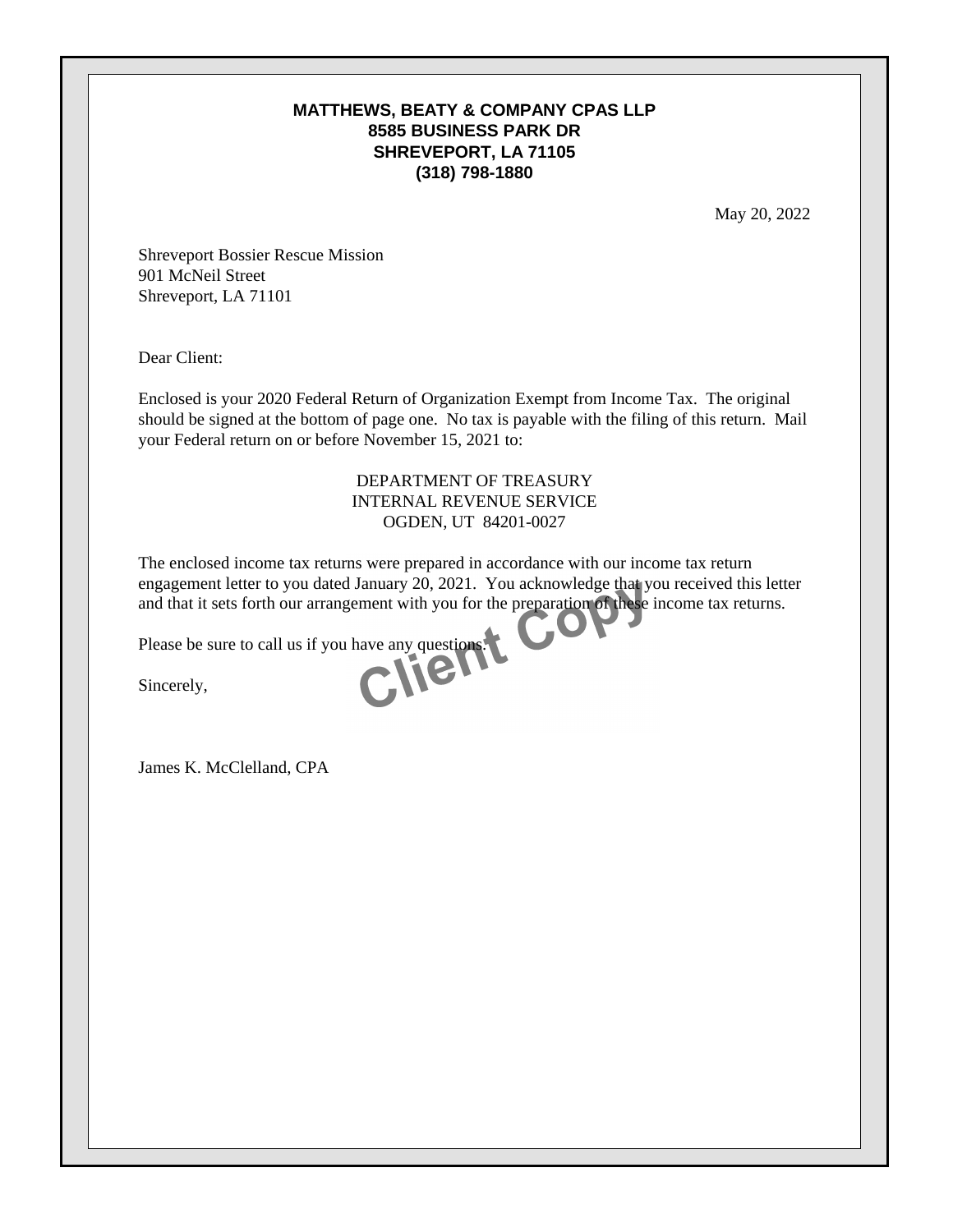# **MATTHEWS, BEATY & COMPANY CPAS LLP 8585 BUSINESS PARK DR SHREVEPORT, LA 71105 (318) 798-1880**

May 20, 2022

Shreveport Bossier Rescue Mission 901 McNeil Street Shreveport, LA 71101

Dear Client:

Enclosed is your 2020 Federal Return of Organization Exempt from Income Tax. The original should be signed at the bottom of page one. No tax is payable with the filing of this return. Mail your Federal return on or before November 15, 2021 to:

# DEPARTMENT OF TREASURY INTERNAL REVENUE SERVICE OGDEN, UT 84201-0027

The enclosed income tax returns were prepared in accordance with our income tax return engagement letter to you dated January 20, 2021. You acknowledge that you received this letter and that it sets forth our arrangement with you for the preparation of these income tax returns.<br>Please be sure to call us if you have seen as

Please be sure to call us if you have any questions.

Sincerely,

James K. McClelland, CPA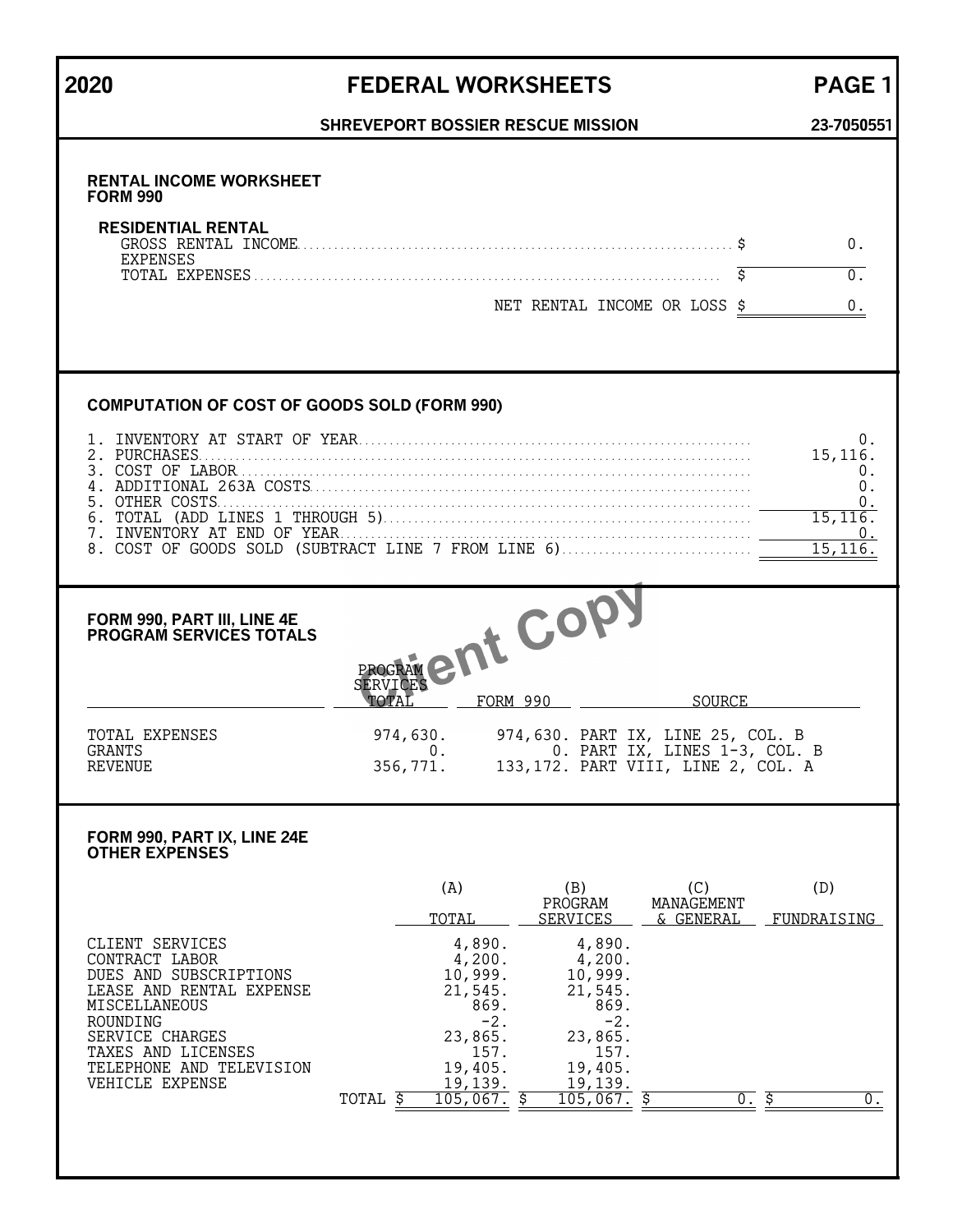# **2020 FEDERAL WORKSHEETS PAGE 1**

# **SHREVEPORT BOSSIER RESCUE MISSION 23-7050551**

| <b>RESIDENTIAL RENTAL</b><br>0.<br><b>EXPENSES</b><br>$\overline{0}$ .<br>NET RENTAL INCOME OR LOSS<br>0.<br><b>COMPUTATION OF COST OF GOODS SOLD (FORM 990)</b><br>15,116.<br>2. PURCHASES<br>15,116.<br>15,116<br>PROGRAM BITTE COP.<br>FORM 990, PART III, LINE 4E<br><b>PROGRAM SERVICES TOTALS</b><br>SOURCE.<br><b>FORM 990</b><br>TOTAL EXPENSES<br>974,630. 974,630. PART IX, LINE 25, COL. B<br>0. PART IX, LINES 1-3, COL. B<br><b>GRANTS</b><br>$0$ .<br>133, 172. PART VIII, LINE 2, COL. A<br>356,771.<br><b>REVENUE</b><br>FORM 990, PART IX, LINE 24E<br><b>OTHER EXPENSES</b><br>(A)<br>(B)<br>(C)<br>(D)<br>PROGRAM<br>MANAGEMENT<br>TOTAL<br><b>SERVICES</b><br>& GENERAL<br>FUNDRAISING<br>4,890.<br>CLIENT SERVICES<br>4,890. |          |
|---------------------------------------------------------------------------------------------------------------------------------------------------------------------------------------------------------------------------------------------------------------------------------------------------------------------------------------------------------------------------------------------------------------------------------------------------------------------------------------------------------------------------------------------------------------------------------------------------------------------------------------------------------------------------------------------------------------------------------------------------|----------|
|                                                                                                                                                                                                                                                                                                                                                                                                                                                                                                                                                                                                                                                                                                                                                   |          |
|                                                                                                                                                                                                                                                                                                                                                                                                                                                                                                                                                                                                                                                                                                                                                   |          |
|                                                                                                                                                                                                                                                                                                                                                                                                                                                                                                                                                                                                                                                                                                                                                   |          |
|                                                                                                                                                                                                                                                                                                                                                                                                                                                                                                                                                                                                                                                                                                                                                   |          |
|                                                                                                                                                                                                                                                                                                                                                                                                                                                                                                                                                                                                                                                                                                                                                   | 0.<br>0. |
|                                                                                                                                                                                                                                                                                                                                                                                                                                                                                                                                                                                                                                                                                                                                                   |          |
|                                                                                                                                                                                                                                                                                                                                                                                                                                                                                                                                                                                                                                                                                                                                                   |          |
|                                                                                                                                                                                                                                                                                                                                                                                                                                                                                                                                                                                                                                                                                                                                                   |          |
|                                                                                                                                                                                                                                                                                                                                                                                                                                                                                                                                                                                                                                                                                                                                                   |          |
|                                                                                                                                                                                                                                                                                                                                                                                                                                                                                                                                                                                                                                                                                                                                                   |          |
|                                                                                                                                                                                                                                                                                                                                                                                                                                                                                                                                                                                                                                                                                                                                                   |          |
|                                                                                                                                                                                                                                                                                                                                                                                                                                                                                                                                                                                                                                                                                                                                                   |          |
|                                                                                                                                                                                                                                                                                                                                                                                                                                                                                                                                                                                                                                                                                                                                                   |          |
|                                                                                                                                                                                                                                                                                                                                                                                                                                                                                                                                                                                                                                                                                                                                                   |          |
|                                                                                                                                                                                                                                                                                                                                                                                                                                                                                                                                                                                                                                                                                                                                                   |          |
| CONTRACT LABOR<br>4,200.<br>4,200.                                                                                                                                                                                                                                                                                                                                                                                                                                                                                                                                                                                                                                                                                                                |          |
| DUES AND SUBSCRIPTIONS<br>10,999.<br>10,999.<br>21,545.<br>LEASE AND RENTAL EXPENSE<br>21,545.<br>MISCELLANEOUS<br>869.<br>869.                                                                                                                                                                                                                                                                                                                                                                                                                                                                                                                                                                                                                   |          |
| ROUNDING<br>$-2.$<br>$-2.$<br>SERVICE CHARGES<br>23,865.<br>23,865.<br>TAXES AND LICENSES<br>157.<br>157.                                                                                                                                                                                                                                                                                                                                                                                                                                                                                                                                                                                                                                         |          |
| 19,405.<br>19,405.<br>TELEPHONE AND TELEVISION<br>VEHICLE EXPENSE<br>19,139.<br>19,139.<br>TOTAL \$<br>105,067.<br>105,067.<br>ङ<br>\$.<br>0.<br>S                                                                                                                                                                                                                                                                                                                                                                                                                                                                                                                                                                                                |          |
|                                                                                                                                                                                                                                                                                                                                                                                                                                                                                                                                                                                                                                                                                                                                                   |          |
|                                                                                                                                                                                                                                                                                                                                                                                                                                                                                                                                                                                                                                                                                                                                                   |          |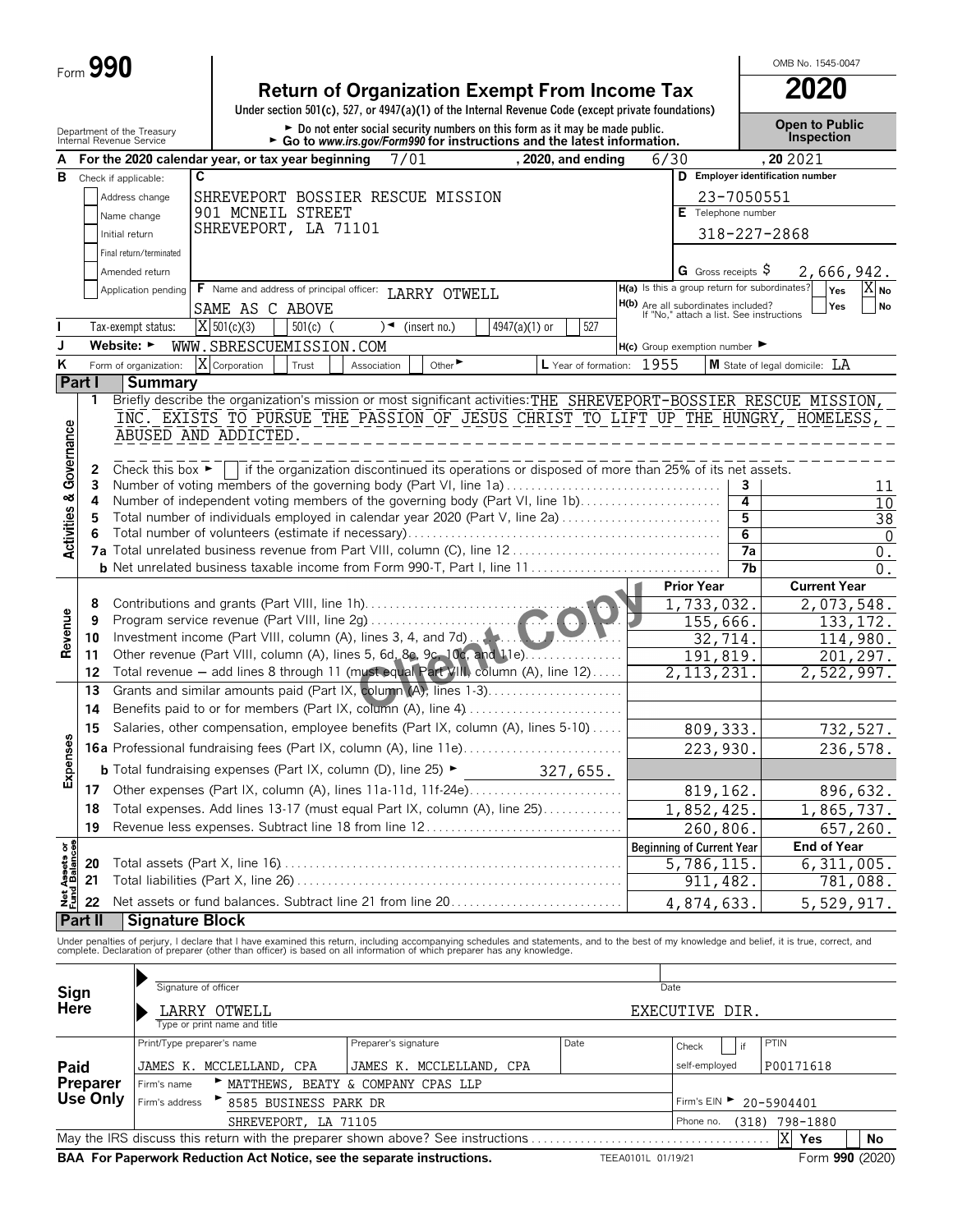| Form $\boldsymbol{J}$ | 990 |
|-----------------------|-----|
|-----------------------|-----|

|                                        | Form 990        |                                                                                                                                           |                  |                                                                                                                                                            |               |                             |  |                                                                             |           |                           |                                                                                 |                 | OMB No. 1545-0047                                                                                                                                                                                                              |
|----------------------------------------|-----------------|-------------------------------------------------------------------------------------------------------------------------------------------|------------------|------------------------------------------------------------------------------------------------------------------------------------------------------------|---------------|-----------------------------|--|-----------------------------------------------------------------------------|-----------|---------------------------|---------------------------------------------------------------------------------|-----------------|--------------------------------------------------------------------------------------------------------------------------------------------------------------------------------------------------------------------------------|
|                                        |                 |                                                                                                                                           |                  | <b>Return of Organization Exempt From Income Tax</b><br>Under section 501(c), 527, or 4947(a)(1) of the Internal Revenue Code (except private foundations) |               |                             |  |                                                                             |           |                           |                                                                                 |                 | 2020                                                                                                                                                                                                                           |
|                                        |                 | Department of the Treasury<br>Internal Revenue Service                                                                                    |                  | Go to www.irs.gov/Form990 for instructions and the latest information.                                                                                     |               |                             |  | Do not enter social security numbers on this form as it may be made public. |           |                           |                                                                                 |                 | <b>Open to Public</b><br>Inspection                                                                                                                                                                                            |
|                                        |                 | For the 2020 calendar year, or tax year beginning                                                                                         |                  |                                                                                                                                                            |               | 7/01                        |  | , 2020, and ending                                                          |           | 6/30                      |                                                                                 |                 | , 20 20 21                                                                                                                                                                                                                     |
| В                                      |                 | Check if applicable:                                                                                                                      | C                |                                                                                                                                                            |               |                             |  |                                                                             |           |                           |                                                                                 |                 | D Employer identification number                                                                                                                                                                                               |
|                                        |                 | Address change                                                                                                                            |                  | SHREVEPORT BOSSIER RESCUE MISSION                                                                                                                          |               |                             |  |                                                                             |           |                           |                                                                                 | 23-7050551      |                                                                                                                                                                                                                                |
|                                        |                 | Name change                                                                                                                               |                  | 901 MCNEIL STREET                                                                                                                                          |               |                             |  |                                                                             |           |                           | E Telephone number                                                              |                 |                                                                                                                                                                                                                                |
|                                        |                 | Initial return                                                                                                                            |                  | SHREVEPORT, LA 71101                                                                                                                                       |               |                             |  |                                                                             |           |                           |                                                                                 |                 | 318-227-2868                                                                                                                                                                                                                   |
|                                        |                 | Final return/terminated                                                                                                                   |                  |                                                                                                                                                            |               |                             |  |                                                                             |           |                           |                                                                                 |                 |                                                                                                                                                                                                                                |
|                                        |                 | Amended return                                                                                                                            |                  |                                                                                                                                                            |               |                             |  |                                                                             |           |                           | G Gross receipts $\varsigma$                                                    |                 | 2,666,942.                                                                                                                                                                                                                     |
|                                        |                 | Application pending                                                                                                                       |                  | F Name and address of principal officer:                                                                                                                   |               | LARRY OTWELL                |  |                                                                             |           |                           | H(a) Is this a group return for subordinates?                                   |                 | $X_{N0}$<br>Yes                                                                                                                                                                                                                |
|                                        |                 |                                                                                                                                           |                  | SAME AS C ABOVE                                                                                                                                            |               |                             |  |                                                                             |           |                           | H(b) Are all subordinates included?<br>If "No," attach a list. See instructions |                 | No<br>Yes                                                                                                                                                                                                                      |
|                                        |                 | Tax-exempt status:                                                                                                                        | $X$ 501(c)(3)    | $501(c)$ (                                                                                                                                                 | $\rightarrow$ | (insert no.)                |  | 4947(a)(1) or                                                               | 527       |                           |                                                                                 |                 |                                                                                                                                                                                                                                |
| J                                      |                 | Website: ►                                                                                                                                |                  | WWW.SBRESCUEMISSION.COM                                                                                                                                    |               |                             |  |                                                                             |           |                           | $H(c)$ Group exemption number $\blacktriangleright$                             |                 |                                                                                                                                                                                                                                |
| Κ                                      |                 | Form of organization:                                                                                                                     | X<br>Corporation | Trust                                                                                                                                                      | Association   | Other $\blacktriangleright$ |  |                                                                             |           | L Year of formation: 1955 |                                                                                 |                 | M State of legal domicile: LA                                                                                                                                                                                                  |
|                                        | Part I          | <b>Summary</b>                                                                                                                            |                  |                                                                                                                                                            |               |                             |  |                                                                             |           |                           |                                                                                 |                 |                                                                                                                                                                                                                                |
|                                        | 1               |                                                                                                                                           |                  |                                                                                                                                                            |               |                             |  |                                                                             |           |                           |                                                                                 |                 | Briefly describe the organization's mission or most significant activities: THE SHREVEPORT-BOSSIER RESCUE MISSION,                                                                                                             |
|                                        |                 |                                                                                                                                           |                  |                                                                                                                                                            |               |                             |  |                                                                             |           |                           |                                                                                 |                 | INC. EXISTS TO PURSUE THE PASSION OF JESUS CHRIST TO LIFT UP THE HUNGRY, HOMELESS,                                                                                                                                             |
|                                        |                 | ABUSED AND ADDICTED.                                                                                                                      |                  |                                                                                                                                                            |               |                             |  |                                                                             |           |                           |                                                                                 |                 |                                                                                                                                                                                                                                |
| <b>Activities &amp; Governance</b>     |                 | Check this box religion of the organization discontinued its operations or disposed of more than 25% of its net assets.                   |                  |                                                                                                                                                            |               |                             |  |                                                                             |           |                           |                                                                                 |                 |                                                                                                                                                                                                                                |
|                                        | 2<br>3          | Number of voting members of the governing body (Part VI, line 1a)                                                                         |                  |                                                                                                                                                            |               |                             |  |                                                                             |           |                           |                                                                                 | $\mathbf{3}$    | 11                                                                                                                                                                                                                             |
|                                        | 4               | Number of independent voting members of the governing body (Part VI, line 1b)                                                             |                  |                                                                                                                                                            |               |                             |  |                                                                             |           |                           |                                                                                 | 4               | $\overline{10}$                                                                                                                                                                                                                |
|                                        | 5               | Total number of individuals employed in calendar year 2020 (Part V, line 2a)                                                              |                  |                                                                                                                                                            |               |                             |  |                                                                             |           |                           |                                                                                 | $\overline{5}$  | $\overline{38}$                                                                                                                                                                                                                |
|                                        |                 |                                                                                                                                           |                  |                                                                                                                                                            |               |                             |  |                                                                             |           |                           |                                                                                 | $\overline{6}$  | $\theta$                                                                                                                                                                                                                       |
|                                        |                 |                                                                                                                                           |                  |                                                                                                                                                            |               |                             |  |                                                                             |           |                           |                                                                                 | $\overline{7a}$ | $0$ .                                                                                                                                                                                                                          |
|                                        |                 |                                                                                                                                           |                  |                                                                                                                                                            |               |                             |  |                                                                             |           |                           |                                                                                 | $\overline{7b}$ | 0.                                                                                                                                                                                                                             |
|                                        |                 |                                                                                                                                           |                  |                                                                                                                                                            |               |                             |  |                                                                             |           |                           | <b>Prior Year</b>                                                               |                 | <b>Current Year</b>                                                                                                                                                                                                            |
|                                        | 8<br>9          | Contributions and grants (Part VIII, line 1h)                                                                                             |                  |                                                                                                                                                            |               |                             |  |                                                                             |           |                           | $\overline{1,733}$ , 032.                                                       |                 | 2,073,548.                                                                                                                                                                                                                     |
| Revenue                                | 10              | Investment income (Part VIII, column (A), lines 3, 4, and 7d)                                                                             |                  |                                                                                                                                                            |               |                             |  |                                                                             |           |                           | 155,666.<br>32,714.                                                             |                 | 133, 172.<br>114,980.                                                                                                                                                                                                          |
|                                        | 11              | Other revenue (Part VIII, column (A), lines 5, 6d, 8c, 9c, 10c, and 11e)                                                                  |                  |                                                                                                                                                            |               |                             |  |                                                                             |           |                           | 191,819.                                                                        |                 | 201,297.                                                                                                                                                                                                                       |
|                                        | 12              | Total revenue - add lines 8 through 11 (must equal Part VIII, column (A), line 12)                                                        |                  |                                                                                                                                                            |               |                             |  |                                                                             |           |                           | 2, 113, 231.                                                                    |                 | 2,522,997.                                                                                                                                                                                                                     |
|                                        | $\overline{13}$ |                                                                                                                                           |                  |                                                                                                                                                            |               |                             |  |                                                                             |           |                           |                                                                                 |                 |                                                                                                                                                                                                                                |
|                                        | 14              | Benefits paid to or for members (Part IX, column (A), line 4)                                                                             |                  |                                                                                                                                                            |               |                             |  |                                                                             |           |                           |                                                                                 |                 |                                                                                                                                                                                                                                |
|                                        | 15              | Salaries, other compensation, employee benefits (Part IX, column (A), lines 5-10)                                                         |                  |                                                                                                                                                            |               |                             |  |                                                                             |           |                           | 809, 333.                                                                       |                 | 732,527.                                                                                                                                                                                                                       |
|                                        |                 | 16a Professional fundraising fees (Part IX, column (A), line 11e)                                                                         |                  |                                                                                                                                                            |               |                             |  |                                                                             |           |                           | 223,930.                                                                        |                 | 236,578.                                                                                                                                                                                                                       |
| Expenses                               |                 | <b>b</b> Total fundraising expenses (Part IX, column (D), line 25) $\blacktriangleright$                                                  |                  |                                                                                                                                                            |               |                             |  | 327,655.                                                                    |           |                           |                                                                                 |                 |                                                                                                                                                                                                                                |
|                                        |                 |                                                                                                                                           |                  |                                                                                                                                                            |               |                             |  |                                                                             |           |                           |                                                                                 |                 |                                                                                                                                                                                                                                |
|                                        | 17<br>18        | Other expenses (Part IX, column (A), lines 11a-11d, 11f-24e)<br>Total expenses. Add lines 13-17 (must equal Part IX, column (A), line 25) |                  |                                                                                                                                                            |               |                             |  |                                                                             | 819, 162. |                           | 896,632.<br>1,865,737.                                                          |                 |                                                                                                                                                                                                                                |
|                                        | 19              | Revenue less expenses. Subtract line 18 from line 12                                                                                      |                  |                                                                                                                                                            |               |                             |  |                                                                             |           |                           | 1,852,425.                                                                      |                 |                                                                                                                                                                                                                                |
|                                        |                 |                                                                                                                                           |                  |                                                                                                                                                            |               |                             |  |                                                                             |           |                           | 260,806.                                                                        |                 | 657,260.<br><b>End of Year</b>                                                                                                                                                                                                 |
|                                        | 20              |                                                                                                                                           |                  |                                                                                                                                                            |               |                             |  |                                                                             |           |                           | <b>Beginning of Current Year</b><br>5,786,115.                                  |                 | 6,311,005.                                                                                                                                                                                                                     |
|                                        | 21              |                                                                                                                                           |                  |                                                                                                                                                            |               |                             |  |                                                                             |           |                           | 911, 482.                                                                       |                 | 781,088.                                                                                                                                                                                                                       |
| <b>Net Assets or<br/>Fund Balances</b> | 22              | Net assets or fund balances. Subtract line 21 from line 20                                                                                |                  |                                                                                                                                                            |               |                             |  |                                                                             |           |                           | 4,874,633.                                                                      |                 | 5,529,917.                                                                                                                                                                                                                     |
|                                        | Part II         | <b>Signature Block</b>                                                                                                                    |                  |                                                                                                                                                            |               |                             |  |                                                                             |           |                           |                                                                                 |                 |                                                                                                                                                                                                                                |
|                                        |                 |                                                                                                                                           |                  |                                                                                                                                                            |               |                             |  |                                                                             |           |                           |                                                                                 |                 |                                                                                                                                                                                                                                |
|                                        |                 |                                                                                                                                           |                  |                                                                                                                                                            |               |                             |  |                                                                             |           |                           |                                                                                 |                 | Under penalties of perjury, I declare that I have examined this return, including accompanying schedules and statements, and to the best of my knowledge and belief, it is true, correct, and complete. Declaration of prepare |
|                                        |                 |                                                                                                                                           |                  |                                                                                                                                                            |               |                             |  |                                                                             |           |                           |                                                                                 |                 |                                                                                                                                                                                                                                |

| Sign                                                                                                            | Signature of officer                    |                                    |                | Date           |           |  |  |
|-----------------------------------------------------------------------------------------------------------------|-----------------------------------------|------------------------------------|----------------|----------------|-----------|--|--|
| <b>Here</b>                                                                                                     | LARRY OTWELL                            |                                    |                | EXECUTIVE DIR. |           |  |  |
|                                                                                                                 | Type or print name and title            |                                    |                |                |           |  |  |
|                                                                                                                 | Print/Type preparer's name              | Preparer's signature               | Date           | Check          | PTIN      |  |  |
| Paid                                                                                                            | JAMES K. MCCLELLAND, CPA                | JAMES K. MCCLELLAND, CPA           |                | self-employed  | P00171618 |  |  |
| Preparer<br>Use Only                                                                                            | Firm's name                             | MATTHEWS, BEATY & COMPANY CPAS LLP |                |                |           |  |  |
|                                                                                                                 | 8585 BUSINESS PARK DR<br>Firm's address | Firm's EIN 20-5904401              |                |                |           |  |  |
|                                                                                                                 | SHREVEPORT, LA 71105                    | Phone no.                          | (318) 798-1880 |                |           |  |  |
| X<br>Yes                                                                                                        |                                         |                                    |                |                |           |  |  |
| BAA For Paperwork Reduction Act Notice, see the separate instructions.<br>Form 990 (2020)<br>TEEA0101L 01/19/21 |                                         |                                    |                |                |           |  |  |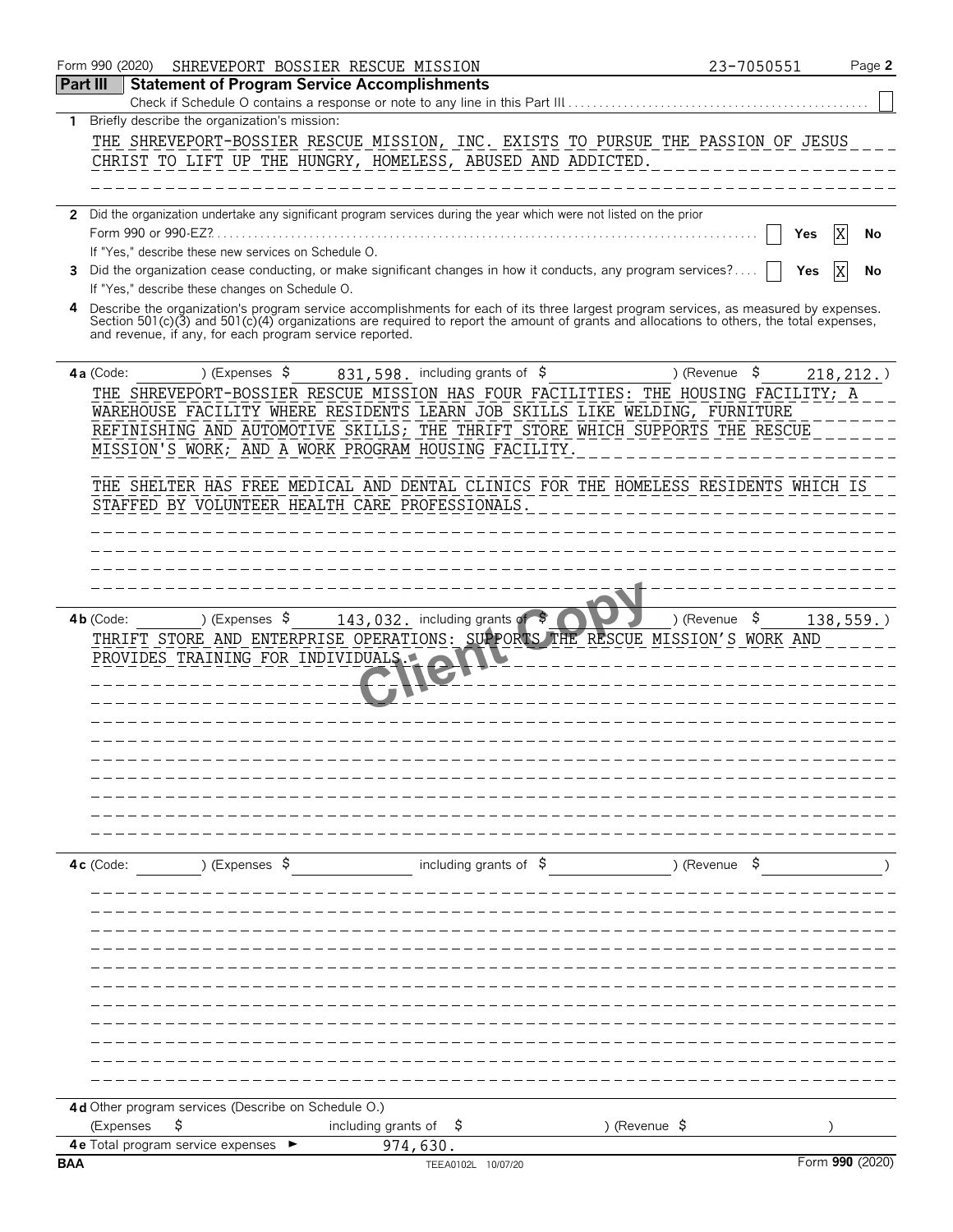|            | Form 990 (2020)                                         | SHREVEPORT BOSSIER RESCUE MISSION                                                                                                                                                                                                                                                | 23-7050551               | Page 2          |
|------------|---------------------------------------------------------|----------------------------------------------------------------------------------------------------------------------------------------------------------------------------------------------------------------------------------------------------------------------------------|--------------------------|-----------------|
| Part III   |                                                         | <b>Statement of Program Service Accomplishments</b><br>Check if Schedule O contains a response or note to any line in this Part III                                                                                                                                              |                          |                 |
| 1.         | Briefly describe the organization's mission:            |                                                                                                                                                                                                                                                                                  |                          |                 |
|            |                                                         | THE SHREVEPORT-BOSSIER RESCUE MISSION, INC. EXISTS TO PURSUE THE PASSION OF JESUS                                                                                                                                                                                                |                          |                 |
|            |                                                         | CHRIST TO LIFT UP THE HUNGRY, HOMELESS, ABUSED AND ADDICTED.                                                                                                                                                                                                                     |                          |                 |
|            |                                                         |                                                                                                                                                                                                                                                                                  |                          |                 |
|            |                                                         | 2 Did the organization undertake any significant program services during the year which were not listed on the prior                                                                                                                                                             |                          |                 |
|            |                                                         |                                                                                                                                                                                                                                                                                  |                          | ΙX<br>No<br>Yes |
|            | If "Yes," describe these new services on Schedule O.    |                                                                                                                                                                                                                                                                                  |                          |                 |
| 3          |                                                         | Did the organization cease conducting, or make significant changes in how it conducts, any program services?                                                                                                                                                                     |                          | X<br>Yes<br>No  |
|            | If "Yes," describe these changes on Schedule O.         |                                                                                                                                                                                                                                                                                  |                          |                 |
| 4          |                                                         | Describe the organization's program service accomplishments for each of its three largest program services, as measured by expenses.<br>Section 501(c)(3) and 501(c)(4) organizations are required to report the amount of grants and allocations to others, the total expenses, |                          |                 |
|            | and revenue, if any, for each program service reported. |                                                                                                                                                                                                                                                                                  |                          |                 |
|            |                                                         |                                                                                                                                                                                                                                                                                  |                          |                 |
|            | ) (Expenses \$<br>4a (Code:                             | 831, 598. including grants of \$                                                                                                                                                                                                                                                 | \$<br>) (Revenue         | 218, 212.       |
|            |                                                         | THE SHREVEPORT-BOSSIER RESCUE MISSION HAS FOUR FACILITIES: THE HOUSING FACILITY; A<br>WAREHOUSE FACILITY WHERE RESIDENTS LEARN JOB SKILLS LIKE WELDING, FURNITURE                                                                                                                |                          |                 |
|            |                                                         | REFINISHING AND AUTOMOTIVE SKILLS; THE THRIFT STORE WHICH SUPPORTS THE RESCUE                                                                                                                                                                                                    |                          |                 |
|            |                                                         | MISSION'S WORK; AND A WORK PROGRAM HOUSING FACILITY.                                                                                                                                                                                                                             |                          |                 |
|            |                                                         |                                                                                                                                                                                                                                                                                  |                          |                 |
|            |                                                         | THE SHELTER HAS FREE MEDICAL AND DENTAL CLINICS FOR THE HOMELESS RESIDENTS WHICH IS                                                                                                                                                                                              |                          |                 |
|            | STAFFED BY VOLUNTEER HEALTH CARE PROFESSIONALS          |                                                                                                                                                                                                                                                                                  |                          |                 |
|            |                                                         |                                                                                                                                                                                                                                                                                  |                          |                 |
|            |                                                         |                                                                                                                                                                                                                                                                                  |                          |                 |
|            |                                                         |                                                                                                                                                                                                                                                                                  |                          |                 |
|            |                                                         |                                                                                                                                                                                                                                                                                  |                          |                 |
|            | ) (Expenses $\sqrt{5}$<br>$4b$ (Code:                   | 143, 032. including grants of<br>ెక్                                                                                                                                                                                                                                             | \$<br>) (Revenue         | 138, 559.       |
|            | PROVIDES TRAINING FOR INDIVIDUALS.                      | THRIFT STORE AND ENTERPRISE OPERATIONS: SUPPORTS THE RESCUE                                                                                                                                                                                                                      | MISSION'S WORK AND       |                 |
|            |                                                         |                                                                                                                                                                                                                                                                                  |                          |                 |
|            |                                                         |                                                                                                                                                                                                                                                                                  |                          |                 |
|            |                                                         |                                                                                                                                                                                                                                                                                  |                          |                 |
|            |                                                         |                                                                                                                                                                                                                                                                                  |                          |                 |
|            |                                                         |                                                                                                                                                                                                                                                                                  |                          |                 |
|            |                                                         |                                                                                                                                                                                                                                                                                  |                          |                 |
|            |                                                         |                                                                                                                                                                                                                                                                                  |                          |                 |
|            |                                                         |                                                                                                                                                                                                                                                                                  |                          |                 |
|            |                                                         |                                                                                                                                                                                                                                                                                  |                          |                 |
|            | $4c$ (Code:<br>) (Expenses \$                           | including grants of $\frac{1}{2}$                                                                                                                                                                                                                                                | ) (Revenue \$            |                 |
|            |                                                         |                                                                                                                                                                                                                                                                                  |                          |                 |
|            |                                                         |                                                                                                                                                                                                                                                                                  |                          |                 |
|            |                                                         |                                                                                                                                                                                                                                                                                  |                          |                 |
|            |                                                         |                                                                                                                                                                                                                                                                                  |                          |                 |
|            |                                                         |                                                                                                                                                                                                                                                                                  |                          |                 |
|            |                                                         |                                                                                                                                                                                                                                                                                  |                          |                 |
|            |                                                         |                                                                                                                                                                                                                                                                                  |                          |                 |
|            |                                                         |                                                                                                                                                                                                                                                                                  |                          |                 |
|            |                                                         |                                                                                                                                                                                                                                                                                  |                          |                 |
|            |                                                         |                                                                                                                                                                                                                                                                                  |                          |                 |
|            | 4d Other program services (Describe on Schedule O.)     |                                                                                                                                                                                                                                                                                  |                          |                 |
|            | (Expenses                                               | including grants of<br>Ş                                                                                                                                                                                                                                                         | ) (Revenue $\frac{1}{2}$ |                 |
| <b>BAA</b> | <b>4e</b> Total program service expenses                | 974,630.<br>TEEA0102L 10/07/20                                                                                                                                                                                                                                                   |                          | Form 990 (2020) |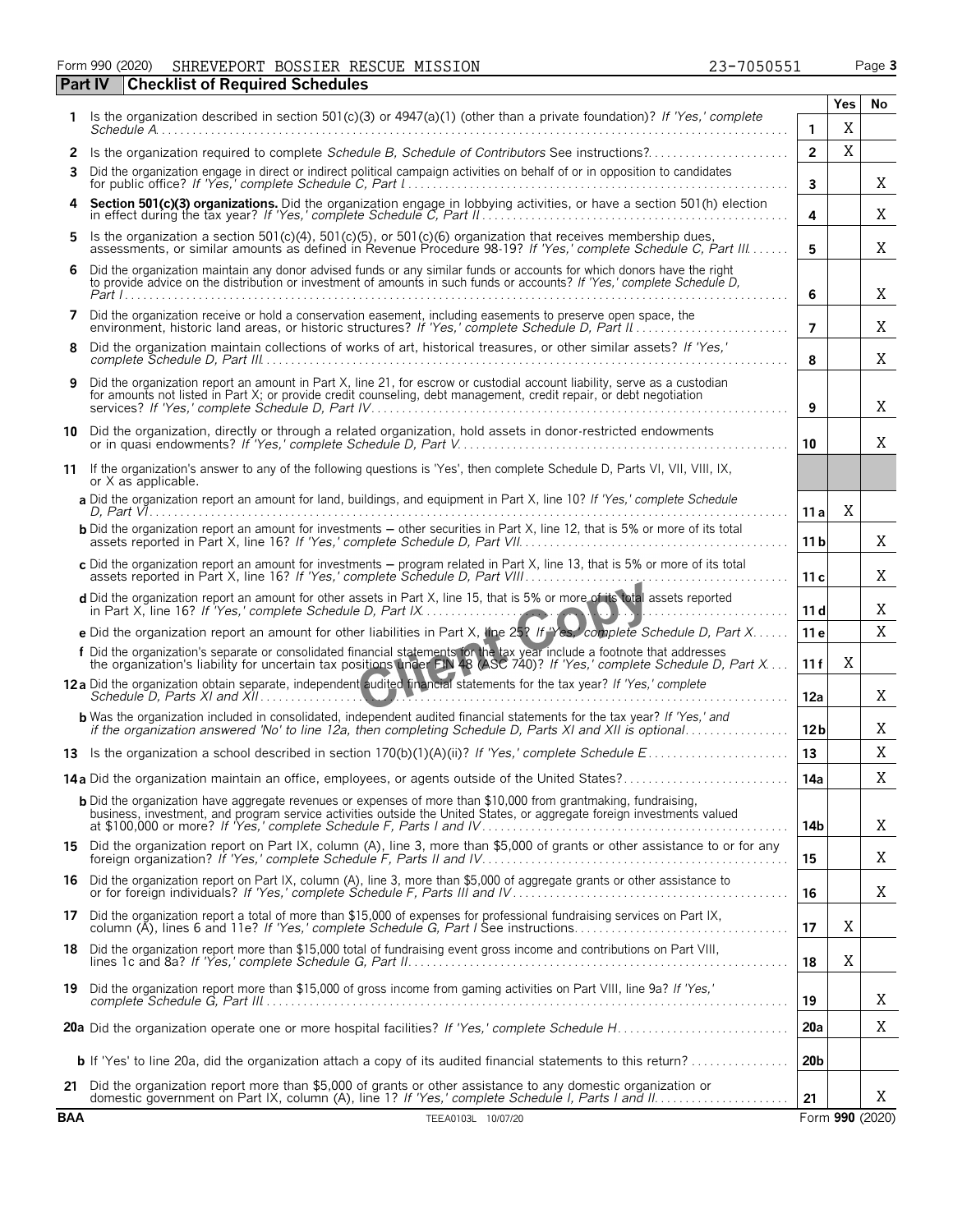Form 990 (2020) Page **3** SHREVEPORT BOSSIER RESCUE MISSION 23-7050551

| Part IV    | <b>Checklist of Required Schedules</b>                                                                                                                                                                                                                                         |                 |            |                 |
|------------|--------------------------------------------------------------------------------------------------------------------------------------------------------------------------------------------------------------------------------------------------------------------------------|-----------------|------------|-----------------|
| 1          | Is the organization described in section 501(c)(3) or $4947(a)(1)$ (other than a private foundation)? If 'Yes,' complete                                                                                                                                                       |                 | <b>Yes</b> | No.             |
|            |                                                                                                                                                                                                                                                                                | 1               | X          |                 |
| 2          | Is the organization required to complete Schedule B, Schedule of Contributors See instructions?                                                                                                                                                                                | $\overline{2}$  | X          |                 |
| 3          | Did the organization engage in direct or indirect political campaign activities on behalf of or in opposition to candidates                                                                                                                                                    | 3               |            | Χ               |
| 4          | Section 501(c)(3) organizations. Did the organization engage in lobbying activities, or have a section 501(h) election<br>in effect during the tax year? If 'Yes,' complete Schedule C, Part $\parallel \ldots \ldots \ldots \ldots \ldots \ldots \ldots \ldots \ldots \ldots$ | 4               |            | X               |
| 5          | Is the organization a section 501(c)(4), 501(c)(5), or 501(c)(6) organization that receives membership dues,<br>assessments, or similar amounts as defined in Revenue Procedure 98-19? If 'Yes,' complete Schedule C, Part III                                                 | 5               |            | X               |
| 6          | Did the organization maintain any donor advised funds or any similar funds or accounts for which donors have the right<br>to provide advice on the distribution or investment of amounts in such funds or accounts? If 'Yes,' complete Schedule D,                             | 6               |            | Χ               |
| 7          | Did the organization receive or hold a conservation easement, including easements to preserve open space, the                                                                                                                                                                  | $\overline{7}$  |            | X               |
| 8          | Did the organization maintain collections of works of art, historical treasures, or other similar assets? If 'Yes,'                                                                                                                                                            | 8               |            | Χ               |
| 9          | Did the organization report an amount in Part X, line 21, for escrow or custodial account liability, serve as a custodian<br>for amounts not listed in Part X; or provide credit counseling, debt management, credit repair, or debt negotiation                               | 9               |            | Χ               |
|            | 10 Did the organization, directly or through a related organization, hold assets in donor-restricted endowments                                                                                                                                                                | 10              |            | X               |
|            | 11 If the organization's answer to any of the following questions is 'Yes', then complete Schedule D, Parts VI, VII, VIII, IX.<br>or X as applicable.                                                                                                                          |                 |            |                 |
|            | a Did the organization report an amount for land, buildings, and equipment in Part X, line 10? If 'Yes,' complete Schedule                                                                                                                                                     | 11 a            | Χ          |                 |
|            | <b>b</b> Did the organization report an amount for investments – other securities in Part X, line 12, that is 5% or more of its total                                                                                                                                          | 11 <sub>b</sub> |            | Χ               |
|            | c Did the organization report an amount for investments - program related in Part X, line 13, that is 5% or more of its total                                                                                                                                                  | 11 c            |            | X               |
|            | d Did the organization report an amount for other assets in Part X, line 15, that is 5% or more of its total assets reported<br>in Part X, line 16? If 'Yes,' complete Schedule D, Part IX.                                                                                    | 11d             |            | Χ               |
|            | e Did the organization report an amount for other liabilities in Part X, the 25? If "Yes," complete Schedule D, Part X                                                                                                                                                         | 11e             |            | X               |
|            | f Did the organization's separate or consolidated financial statements for the tax year include a footnote that addresses<br>the organization's liability for uncertain tax positions under FIN 48 (ASC 740)? If 'Yes,' complete                                               | 11f             | X          |                 |
|            | 12a Did the organization obtain separate, independent audited financial statements for the tax year? If 'Yes,' complete<br>Schedule D, Parts XI and XII                                                                                                                        | 12a             |            | Χ               |
|            | <b>b</b> Was the organization included in consolidated, independent audited financial statements for the tax year? If 'Yes,' and<br>if the organization answered 'No' to line 12a, then completing Schedule D, Parts XI and XII is optional                                    | 12 <sub>b</sub> |            | Χ               |
|            |                                                                                                                                                                                                                                                                                | 13              |            | Χ               |
|            |                                                                                                                                                                                                                                                                                | 14a             |            | Χ               |
|            | <b>b</b> Did the organization have aggregate revenues or expenses of more than \$10,000 from grantmaking, fundraising,                                                                                                                                                         | 14b             |            | X               |
|            | 15 Did the organization report on Part IX, column (A), line 3, more than \$5,000 of grants or other assistance to or for any                                                                                                                                                   | 15              |            | X               |
| 16         | Did the organization report on Part IX, column (A), line 3, more than \$5,000 of aggregate grants or other assistance to<br>or for foreign individuals? If 'Yes,' complete Schedule F, Parts III and IV                                                                        | 16              |            | Χ               |
| 17.        | Did the organization report a total of more than \$15,000 of expenses for professional fundraising services on Part IX,                                                                                                                                                        | 17              | Χ          |                 |
| 18         | Did the organization report more than \$15,000 total of fundraising event gross income and contributions on Part VIII,                                                                                                                                                         | 18              | X          |                 |
| 19         | Did the organization report more than \$15,000 of gross income from gaming activities on Part VIII, line 9a? If 'Yes,'                                                                                                                                                         | 19              |            | Χ               |
|            |                                                                                                                                                                                                                                                                                | 20a             |            | X               |
|            | <b>b</b> If 'Yes' to line 20a, did the organization attach a copy of its audited financial statements to this return?                                                                                                                                                          | 20 <sub>b</sub> |            |                 |
| 21         | Did the organization report more than \$5,000 of grants or other assistance to any domestic organization or                                                                                                                                                                    | 21              |            | X               |
| <b>BAA</b> | TEEA0103L 10/07/20                                                                                                                                                                                                                                                             |                 |            | Form 990 (2020) |

| m 990 (2020) l | SHREVEPORT BOSSIER RESCUE MISSI |  |  |
|----------------|---------------------------------|--|--|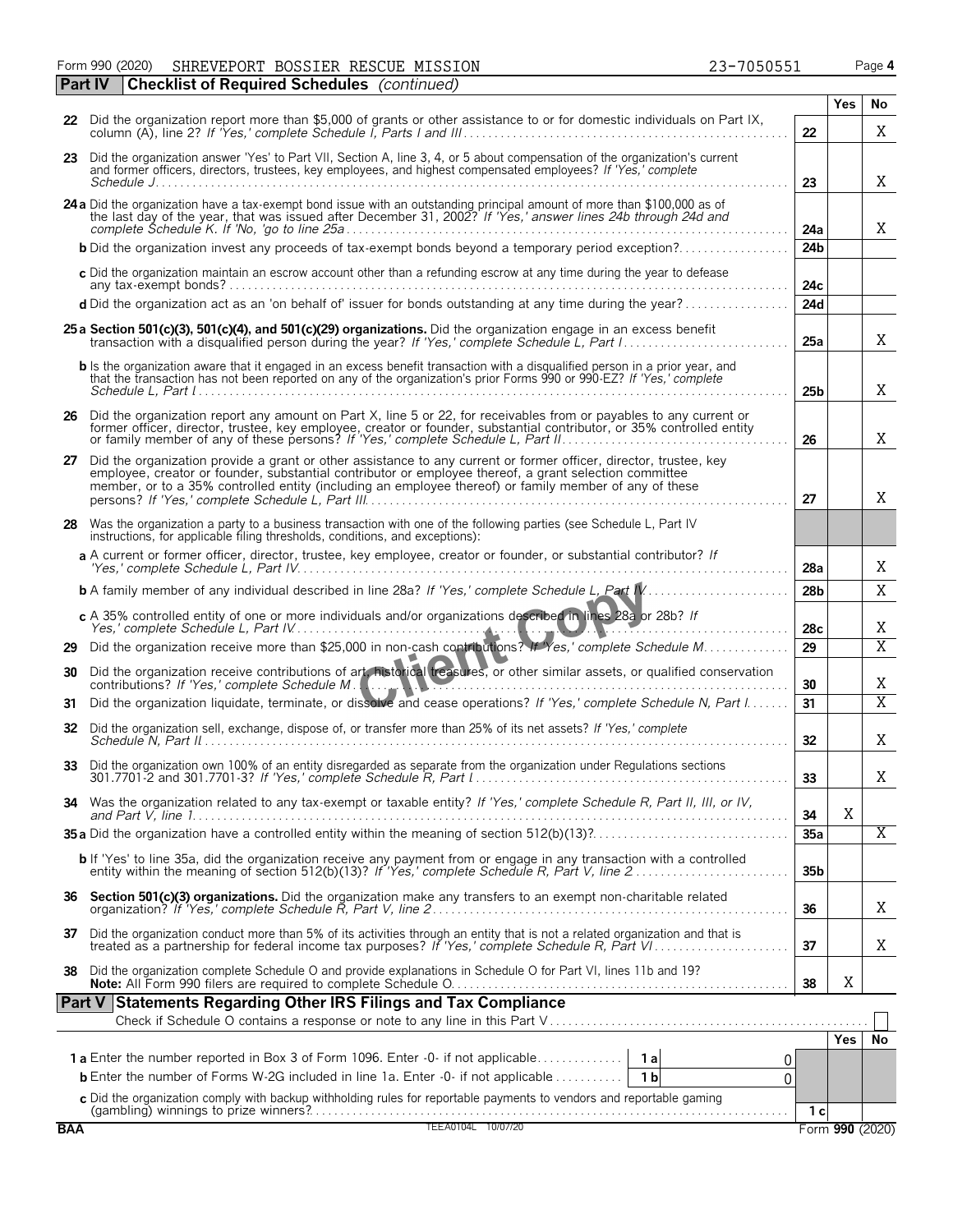Form 990 (2020) Page **4** SHREVEPORT BOSSIER RESCUE MISSION 23-7050551

|            | <b>Checklist of Required Schedules</b> (continued)<br>Part IV                                                                                                                                                                                                                                                                            |                 |            |                 |
|------------|------------------------------------------------------------------------------------------------------------------------------------------------------------------------------------------------------------------------------------------------------------------------------------------------------------------------------------------|-----------------|------------|-----------------|
|            |                                                                                                                                                                                                                                                                                                                                          |                 | <b>Yes</b> | No.             |
|            | 22 Did the organization report more than \$5,000 of grants or other assistance to or for domestic individuals on Part IX,                                                                                                                                                                                                                | 22              |            | X               |
|            | 23 Did the organization answer 'Yes' to Part VII, Section A, line 3, 4, or 5 about compensation of the organization's current<br>and former officers, directors, trustees, key employees, and highest compensated employees? If 'Yes,' complete                                                                                          | 23              |            | X               |
|            | 24 a Did the organization have a tax-exempt bond issue with an outstanding principal amount of more than \$100,000 as of<br>the last day of the year, that was issued after December 31, 2002? If 'Yes,' answer lines 24b through 24d and                                                                                                | 24a             |            | X               |
|            | <b>b</b> Did the organization invest any proceeds of tax-exempt bonds beyond a temporary period exception?                                                                                                                                                                                                                               | 24b             |            |                 |
|            | c Did the organization maintain an escrow account other than a refunding escrow at any time during the year to defease                                                                                                                                                                                                                   | 24c             |            |                 |
|            | d Did the organization act as an 'on behalf of' issuer for bonds outstanding at any time during the year?                                                                                                                                                                                                                                | 24d             |            |                 |
|            | 25 a Section 501(c)(3), 501(c)(4), and 501(c)(29) organizations. Did the organization engage in an excess benefit                                                                                                                                                                                                                        |                 |            |                 |
|            |                                                                                                                                                                                                                                                                                                                                          | 25a             |            | X               |
|            | <b>b</b> Is the organization aware that it engaged in an excess benefit transaction with a disqualified person in a prior year, and<br>that the transaction has not been reported on any of the organization's prior Forms 990 or 990-EZ? If 'Yes,' complete                                                                             | 25 <sub>b</sub> |            | X               |
|            | 26 Did the organization report any amount on Part X, line 5 or 22, for receivables from or payables to any current or former officer, director, trustee, key employee, creator or founder, substantial contributor, or 35% con                                                                                                           | 26              |            | X               |
|            | 27 Did the organization provide a grant or other assistance to any current or former officer, director, trustee, key<br>employee, creator or founder, substantial contributor or employee thereof, a grant selection committee<br>member, or to a 35% controlled entity (including an employee thereof) or family member of any of these | 27              |            | Χ               |
|            | 28 Was the organization a party to a business transaction with one of the following parties (see Schedule L, Part IV<br>instructions, for applicable filing thresholds, conditions, and exceptions):                                                                                                                                     |                 |            |                 |
|            | a A current or former officer, director, trustee, key employee, creator or founder, or substantial contributor? If                                                                                                                                                                                                                       | 28a             |            | Χ               |
|            |                                                                                                                                                                                                                                                                                                                                          | 28 <sub>b</sub> |            | X               |
|            | c A 35% controlled entity of one or more individuals and/or organizations described in lines 28a or 28b? If                                                                                                                                                                                                                              | 28c             |            | Χ               |
| 29         | Did the organization receive more than \$25,000 in non-cash contributions? If Yes,' complete Schedule M.                                                                                                                                                                                                                                 | 29              |            | $\overline{X}$  |
| 30         | Did the organization receive contributions of art, historical treasures, or other similar assets, or qualified conservation<br>contributions? If 'Yes,' complete Schedule M. <b>[47] All and Contributions?</b> If 'Yes,' complete Schedule M. <b>[47]</b>                                                                               | 30              |            | Χ               |
| 31         | Did the organization liquidate, terminate, or dissolve and cease operations? If 'Yes,' complete Schedule N, Part I                                                                                                                                                                                                                       | 31              |            | $\overline{X}$  |
|            | 32 Did the organization sell, exchange, dispose of, or transfer more than 25% of its net assets? If 'Yes,' complete                                                                                                                                                                                                                      | 32              |            | Χ               |
|            | 33 Did the organization own 100% of an entity disregarded as separate from the organization under Regulations sections                                                                                                                                                                                                                   | 33              |            | Χ               |
| 34         | Was the organization related to any tax-exempt or taxable entity? If 'Yes,' complete Schedule R, Part II, III, or IV,                                                                                                                                                                                                                    | 34              | Χ          |                 |
|            |                                                                                                                                                                                                                                                                                                                                          | 35a             |            | $\overline{X}$  |
|            | b If 'Yes' to line 35a, did the organization receive any payment from or engage in any transaction with a controlled<br>entity within the meaning of section 512(b)(13)? If 'Yes,' complete Schedule R, Part V, line 2                                                                                                                   | 35 <sub>b</sub> |            |                 |
| 36         | Section 501(c)(3) organizations. Did the organization make any transfers to an exempt non-charitable related                                                                                                                                                                                                                             | 36              |            | X               |
| 37         | Did the organization conduct more than 5% of its activities through an entity that is not a related organization and that is                                                                                                                                                                                                             | 37              |            | X               |
| 38         | Did the organization complete Schedule O and provide explanations in Schedule O for Part VI, lines 11b and 19?                                                                                                                                                                                                                           | 38              | X          |                 |
|            | <b>Part V Statements Regarding Other IRS Filings and Tax Compliance</b>                                                                                                                                                                                                                                                                  |                 |            |                 |
|            |                                                                                                                                                                                                                                                                                                                                          |                 |            |                 |
|            |                                                                                                                                                                                                                                                                                                                                          |                 | Yes.       | No              |
|            | U<br><b>b</b> Enter the number of Forms W-2G included in line 1a. Enter -0- if not applicable<br>1 <sub>b</sub><br>0                                                                                                                                                                                                                     |                 |            |                 |
|            |                                                                                                                                                                                                                                                                                                                                          |                 |            |                 |
|            |                                                                                                                                                                                                                                                                                                                                          | 1 с             |            |                 |
| <b>BAA</b> | TEEA0104L 10/07/20                                                                                                                                                                                                                                                                                                                       |                 |            | Form 990 (2020) |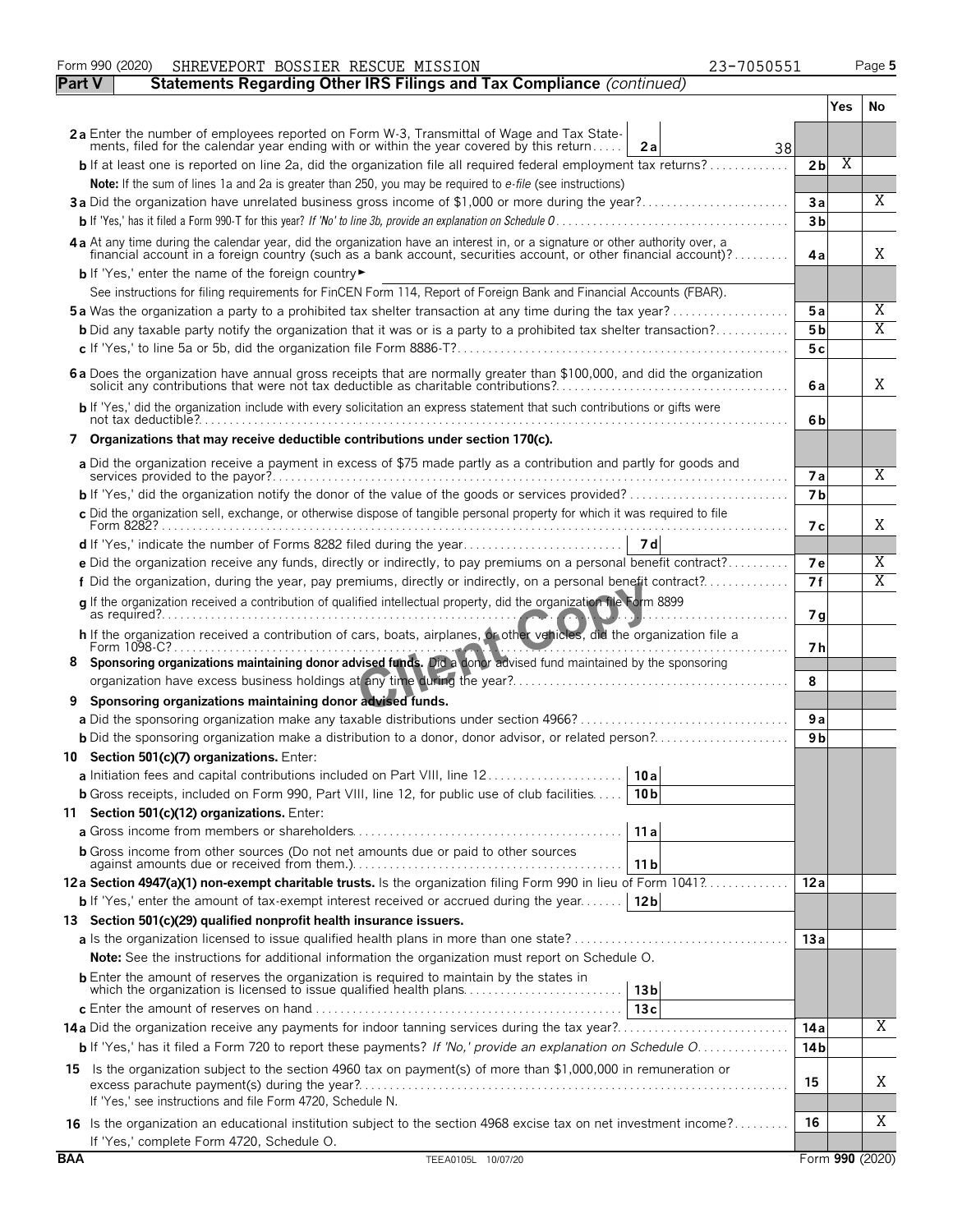|               | Form 990 (2020)<br>SHREVEPORT BOSSIER RESCUE MISSION<br>23-7050551                                                                                                                                                                                |                |     | Page 5                  |
|---------------|---------------------------------------------------------------------------------------------------------------------------------------------------------------------------------------------------------------------------------------------------|----------------|-----|-------------------------|
| <b>Part V</b> | Statements Regarding Other IRS Filings and Tax Compliance (continued)                                                                                                                                                                             |                |     |                         |
|               |                                                                                                                                                                                                                                                   |                | Yes | No.                     |
|               | 2a Enter the number of employees reported on Form W-3, Transmittal of Wage and Tax State-                                                                                                                                                         |                |     |                         |
|               | ments, filed for the calendar year ending with or within the year covered by this return<br>2a<br>38                                                                                                                                              |                |     |                         |
|               | <b>b</b> If at least one is reported on line 2a, did the organization file all required federal employment tax returns?                                                                                                                           | 2 <sub>b</sub> | X   |                         |
|               | Note: If the sum of lines 1a and 2a is greater than 250, you may be required to e-file (see instructions)                                                                                                                                         |                |     |                         |
|               | 3a Did the organization have unrelated business gross income of \$1,000 or more during the year?                                                                                                                                                  | Зa             |     | $\overline{\mathrm{X}}$ |
|               |                                                                                                                                                                                                                                                   | 3 <sub>b</sub> |     |                         |
|               | 4 a At any time during the calendar year, did the organization have an interest in, or a signature or other authority over, a<br>financial account in a foreign country (such as a bank account, securities account, or other financial account)? | 4 a            |     | Χ                       |
|               | <b>b</b> If 'Yes,' enter the name of the foreign country                                                                                                                                                                                          |                |     |                         |
|               | See instructions for filing requirements for FinCEN Form 114, Report of Foreign Bank and Financial Accounts (FBAR).                                                                                                                               |                |     |                         |
|               | <b>5a</b> Was the organization a party to a prohibited tax shelter transaction at any time during the tax year?                                                                                                                                   | 5a             |     | X                       |
|               | <b>b</b> Did any taxable party notify the organization that it was or is a party to a prohibited tax shelter transaction?                                                                                                                         | 5 <sub>b</sub> |     | Χ                       |
|               |                                                                                                                                                                                                                                                   | 5с             |     |                         |
|               | 6 a Does the organization have annual gross receipts that are normally greater than \$100,000, and did the organization solicit any contributions that were not tax deductible as charitable contributions?                                       | 6a             |     | Χ                       |
|               | b If 'Yes,' did the organization include with every solicitation an express statement that such contributions or gifts were                                                                                                                       | 6b             |     |                         |
|               | 7 Organizations that may receive deductible contributions under section 170(c).                                                                                                                                                                   |                |     |                         |
|               | a Did the organization receive a payment in excess of \$75 made partly as a contribution and partly for goods and                                                                                                                                 | <b>7a</b>      |     | X                       |
|               |                                                                                                                                                                                                                                                   | 7 <sub>b</sub> |     |                         |
|               | c Did the organization sell, exchange, or otherwise dispose of tangible personal property for which it was required to file                                                                                                                       |                |     |                         |
|               |                                                                                                                                                                                                                                                   | 7 с            |     | X                       |
|               |                                                                                                                                                                                                                                                   |                |     |                         |
|               | e Did the organization receive any funds, directly or indirectly, to pay premiums on a personal benefit contract?                                                                                                                                 | 7e             |     | $\overline{X}$          |
|               | f Did the organization, during the year, pay premiums, directly or indirectly, on a personal benefit contract?                                                                                                                                    | 7f             |     | Χ                       |
|               | q If the organization received a contribution of qualified intellectual property, did the organization file Form 8899                                                                                                                             | 7 g            |     |                         |
|               | h If the organization received a contribution of cars, boats, airplanes, on other vehicles, did the organization file a                                                                                                                           | 7 h            |     |                         |
|               | 8 Sponsoring organizations maintaining donor advised funds. Did a donor advised fund maintained by the sponsoring                                                                                                                                 |                |     |                         |
|               |                                                                                                                                                                                                                                                   | 8              |     |                         |
| 9             | Sponsoring organizations maintaining donor advised funds.                                                                                                                                                                                         |                |     |                         |
|               |                                                                                                                                                                                                                                                   | 9 a            |     |                         |
|               | <b>b</b> Did the sponsoring organization make a distribution to a donor, donor advisor, or related person?                                                                                                                                        | 9 <sub>b</sub> |     |                         |
|               | 10 Section 501(c)(7) organizations. Enter:                                                                                                                                                                                                        |                |     |                         |
|               | a Initiation fees and capital contributions included on Part VIII, line 12<br>10a                                                                                                                                                                 |                |     |                         |
|               | <b>b</b> Gross receipts, included on Form 990, Part VIII, line 12, for public use of club facilities<br>10 <sub>b</sub>                                                                                                                           |                |     |                         |
|               | 11 Section 501(c)(12) organizations. Enter:                                                                                                                                                                                                       |                |     |                         |
|               | 11a                                                                                                                                                                                                                                               |                |     |                         |
|               | <b>b</b> Gross income from other sources (Do not net amounts due or paid to other sources<br>11 b                                                                                                                                                 |                |     |                         |
|               | 12a Section 4947(a)(1) non-exempt charitable trusts. Is the organization filing Form 990 in lieu of Form 1041?                                                                                                                                    | 12a            |     |                         |
|               | 12 <sub>b</sub><br><b>b</b> If 'Yes,' enter the amount of tax-exempt interest received or accrued during the year                                                                                                                                 |                |     |                         |
|               | 13 Section 501(c)(29) qualified nonprofit health insurance issuers.                                                                                                                                                                               |                |     |                         |
|               |                                                                                                                                                                                                                                                   | 13a            |     |                         |
|               | <b>Note:</b> See the instructions for additional information the organization must report on Schedule O.                                                                                                                                          |                |     |                         |
|               | <b>b</b> Enter the amount of reserves the organization is required to maintain by the states in<br>13 <sub>b</sub>                                                                                                                                |                |     |                         |
|               | 13c                                                                                                                                                                                                                                               |                |     |                         |
|               |                                                                                                                                                                                                                                                   | 14 a           |     | $\overline{X}$          |
|               | b If 'Yes,' has it filed a Form 720 to report these payments? If 'No,' provide an explanation on Schedule O                                                                                                                                       | 14 b           |     |                         |
|               | 15 Is the organization subject to the section 4960 tax on payment(s) of more than \$1,000,000 in remuneration or                                                                                                                                  |                |     |                         |
|               |                                                                                                                                                                                                                                                   | 15             |     | X                       |
|               | If 'Yes,' see instructions and file Form 4720, Schedule N.                                                                                                                                                                                        |                |     |                         |
|               | 16 Is the organization an educational institution subject to the section 4968 excise tax on net investment income?                                                                                                                                | 16             |     | X                       |
| <b>BAA</b>    | If 'Yes,' complete Form 4720, Schedule O.                                                                                                                                                                                                         |                |     |                         |
|               | TEEA0105L 10/07/20                                                                                                                                                                                                                                |                |     | Form 990 (2020)         |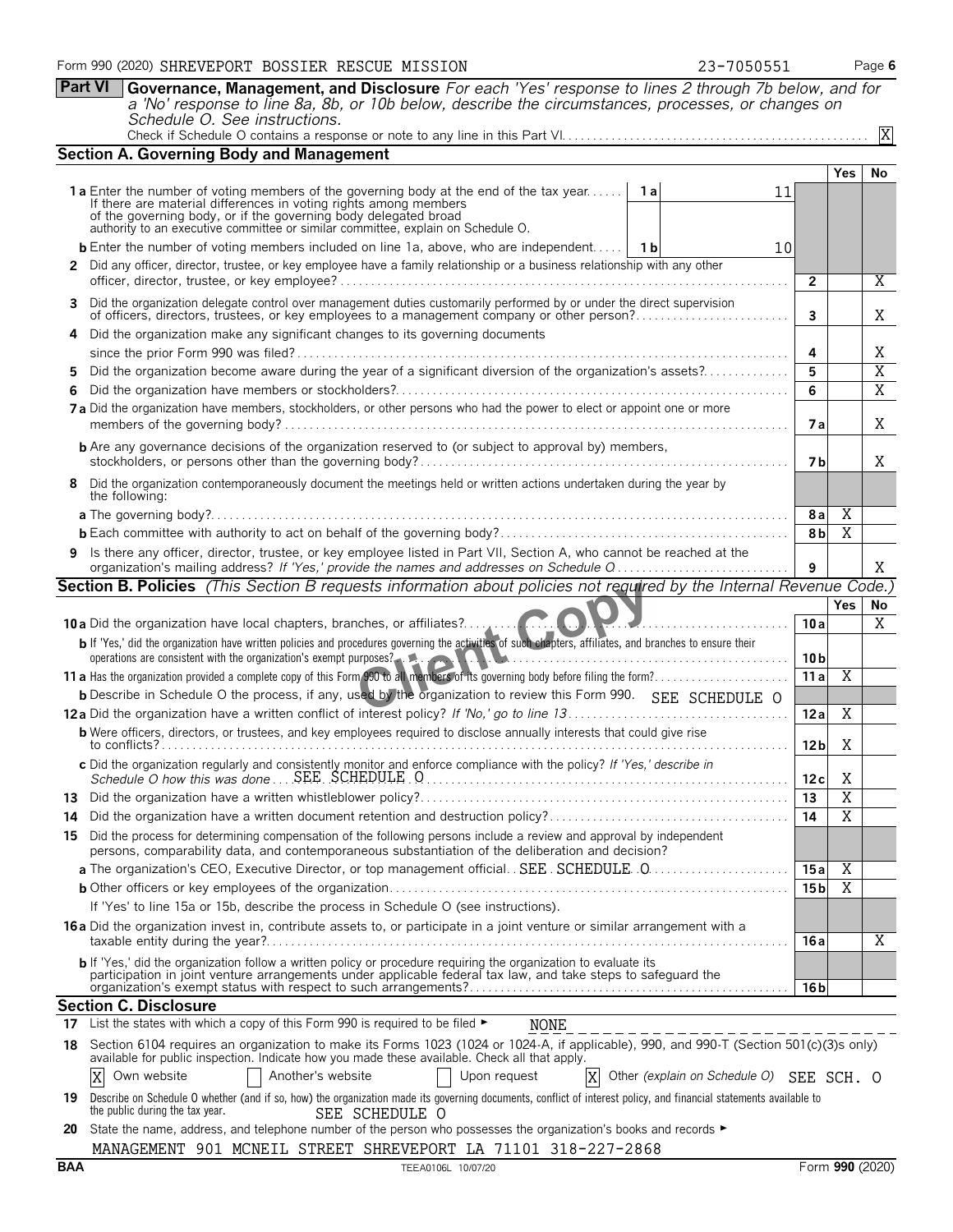|     | <b>Part VI</b> | Governance, Management, and Disclosure For each 'Yes' response to lines 2 through 7b below, and for                                                                                                                                      |                 |                     |                |
|-----|----------------|------------------------------------------------------------------------------------------------------------------------------------------------------------------------------------------------------------------------------------------|-----------------|---------------------|----------------|
|     |                | a 'No' response to line 8a, 8b, or 10b below, describe the circumstances, processes, or changes on<br>Schedule O. See instructions.                                                                                                      |                 |                     |                |
|     |                |                                                                                                                                                                                                                                          |                 |                     | X              |
|     |                | <b>Section A. Governing Body and Management</b>                                                                                                                                                                                          |                 |                     |                |
|     |                |                                                                                                                                                                                                                                          |                 | <b>Yes</b>          | No             |
|     |                | <b>1a</b> Enter the number of voting members of the governing body at the end of the tax year<br>1 a<br>11<br>If there are material differences in voting rights among members                                                           |                 |                     |                |
|     |                | of the governing body, or if the governing body delegated broad authority to an executive committee or similar committee, explain on Schedule O.                                                                                         |                 |                     |                |
|     |                | <b>b</b> Enter the number of voting members included on line 1a, above, who are independent   1b<br>10                                                                                                                                   |                 |                     |                |
|     |                | 2 Did any officer, director, trustee, or key employee have a family relationship or a business relationship with any other                                                                                                               |                 |                     |                |
|     |                |                                                                                                                                                                                                                                          | $\overline{2}$  |                     | Χ              |
| 3   |                | Did the organization delegate control over management duties customarily performed by or under the direct supervision                                                                                                                    |                 |                     |                |
|     |                | of officers, directors, trustees, or key employees to a management company or other person?<br>Did the organization make any significant changes to its governing documents                                                              | 3               |                     | X              |
|     |                |                                                                                                                                                                                                                                          | 4               |                     | Χ              |
|     |                | Did the organization become aware during the year of a significant diversion of the organization's assets?                                                                                                                               | 5               |                     | $\overline{X}$ |
|     |                |                                                                                                                                                                                                                                          | 6               |                     | $\overline{X}$ |
|     |                | 7a Did the organization have members, stockholders, or other persons who had the power to elect or appoint one or more                                                                                                                   | 7а              |                     | X              |
|     |                | <b>b</b> Are any governance decisions of the organization reserved to (or subject to approval by) members,                                                                                                                               |                 |                     |                |
|     |                |                                                                                                                                                                                                                                          | 7 <sub>b</sub>  |                     | X              |
| 8   |                | Did the organization contemporaneously document the meetings held or written actions undertaken during the year by<br>the following:                                                                                                     |                 |                     |                |
|     |                |                                                                                                                                                                                                                                          | 8 a             | X<br>$\overline{X}$ |                |
|     |                | 9 Is there any officer, director, trustee, or key employee listed in Part VII, Section A, who cannot be reached at the                                                                                                                   | 8 <sub>b</sub>  |                     |                |
|     |                | organization's mailing address? If 'Yes,' provide the names and addresses on Schedule Q                                                                                                                                                  | 9               |                     | X              |
|     |                | <b>Section B. Policies</b> (This Section B requests information about policies not required by the Internal Revenue Code.)                                                                                                               |                 |                     |                |
|     |                |                                                                                                                                                                                                                                          |                 | <b>Yes</b>          | No             |
|     |                | b If 'Yes,' did the organization have written policies and procedures governing the activities of such chapters, affiliates, and branches to ensure their                                                                                | 10a             |                     | Χ              |
|     |                | operations are consistent with the organization's exempt purposes?                                                                                                                                                                       | 10 <sub>b</sub> |                     |                |
|     |                |                                                                                                                                                                                                                                          | 11a             | $\overline{X}$      |                |
|     |                | <b>b</b> Describe in Schedule O the process, if any, used by the organization to review this Form 990. SEE SCHEDULE O                                                                                                                    |                 |                     |                |
|     |                |                                                                                                                                                                                                                                          | 12a             | X                   |                |
|     |                | <b>b</b> Were officers, directors, or trustees, and key employees required to disclose annually interests that could give rise<br>to conflicts? $\dots$                                                                                  | 12 <sub>b</sub> | X                   |                |
|     |                | c Did the organization regularly and consistently monitor and enforce compliance with the policy? If 'Yes,' describe in                                                                                                                  | 12c             | X                   |                |
| 13  |                |                                                                                                                                                                                                                                          | 13              | $\overline{X}$      |                |
| 14  |                |                                                                                                                                                                                                                                          | 14              | $\overline{X}$      |                |
| 15. |                | Did the process for determining compensation of the following persons include a review and approval by independent<br>persons, comparability data, and contemporaneous substantiation of the deliberation and decision?                  |                 |                     |                |
|     |                |                                                                                                                                                                                                                                          | 15a             | X                   |                |
|     |                | If 'Yes' to line 15a or 15b, describe the process in Schedule O (see instructions).                                                                                                                                                      | 15 <sub>b</sub> | $\overline{X}$      |                |
|     |                | <b>16a</b> Did the organization invest in, contribute assets to, or participate in a joint venture or similar arrangement with a                                                                                                         |                 |                     |                |
|     |                |                                                                                                                                                                                                                                          | 16 a            |                     | X              |
|     |                | <b>b</b> If 'Yes,' did the organization follow a written policy or procedure requiring the organization to evaluate its<br>participation in joint venture arrangements under applicable federal tax law, and take steps to safeguard the |                 |                     |                |
|     |                | <b>Section C. Disclosure</b>                                                                                                                                                                                                             | 16 b            |                     |                |
| 17  |                | List the states with which a copy of this Form 990 is required to be filed ►<br>NONE                                                                                                                                                     |                 |                     |                |
| 18  |                | Section 6104 requires an organization to make its Forms 1023 (1024 or 1024-A, if applicable), 990, and 990-T (Section 501(c)(3)s only)                                                                                                   |                 |                     |                |
|     | X              | available for public inspection. Indicate how you made these available. Check all that apply.<br>Another's website<br>$\mathbf X$<br>Other (explain on Schedule O) SEE SCH. O<br>Own website<br>Upon request                             |                 |                     |                |
| 19  |                | Describe on Schedule O whether (and if so, how) the organization made its governing documents, conflict of interest policy, and financial statements available to<br>the public during the tax year.<br>SEE SCHEDULE O                   |                 |                     |                |
| 20  |                | State the name, address, and telephone number of the person who possesses the organization's books and records ►                                                                                                                         |                 |                     |                |
|     |                | MANAGEMENT 901 MCNEIL STREET SHREVEPORT LA 71101 318-227-2868                                                                                                                                                                            |                 |                     |                |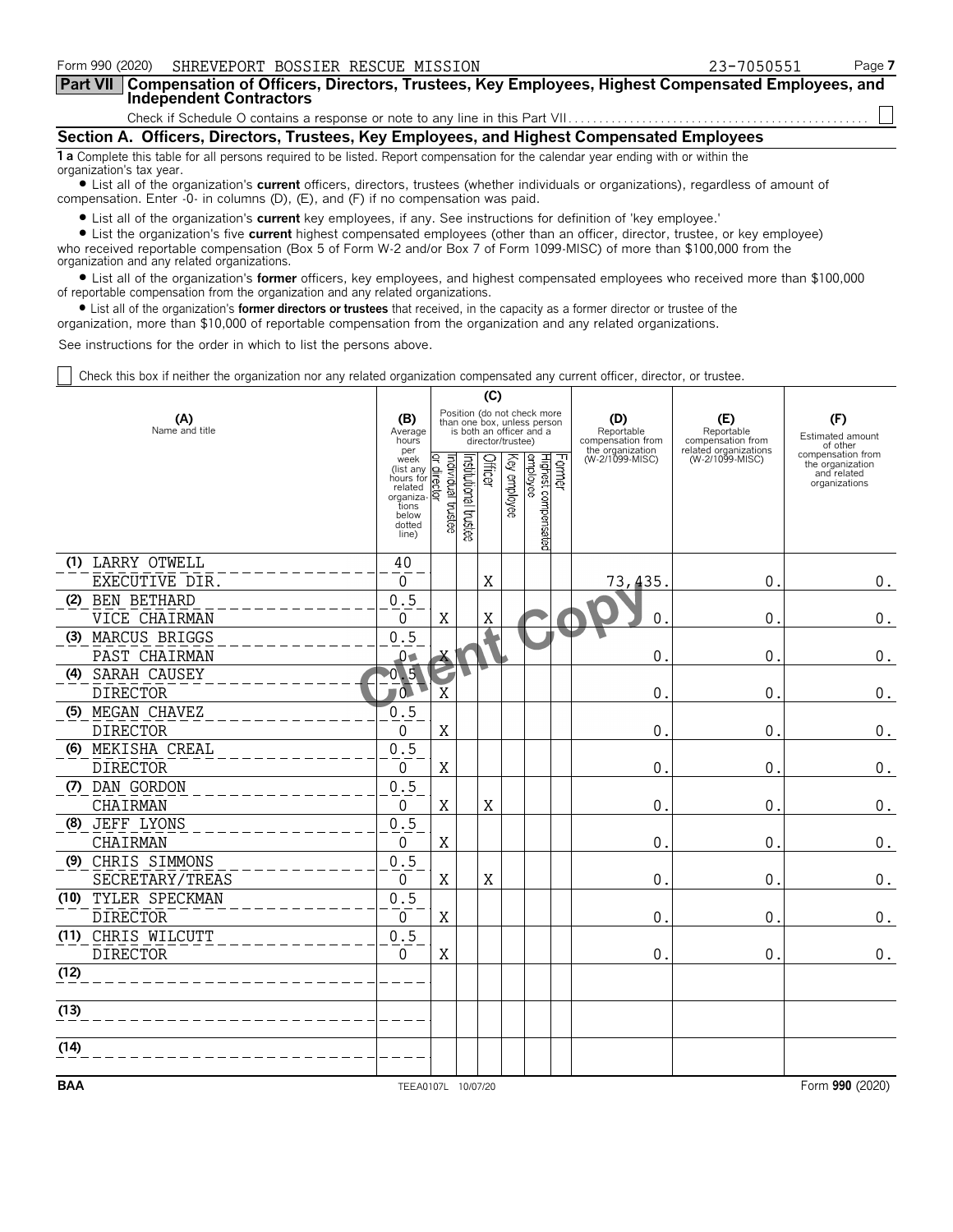| Form 990 (2020) SHREVEPORT BOSSIER RESCUE MISSION                                                                                                                     | 23-7050551 | Page 7 |
|-----------------------------------------------------------------------------------------------------------------------------------------------------------------------|------------|--------|
| Part VII   Compensation of Officers, Directors, Trustees, Key Employees, Highest Compensated Employees, and<br><b>Independent Contractors</b>                         |            |        |
|                                                                                                                                                                       |            |        |
| Section A. Officers, Directors, Trustees, Key Employees, and Highest Compensated Employees                                                                            |            |        |
| <b>1 a</b> Complete this table for all persons required to be listed. Report compensation for the calendar year ending with or within the<br>organization's tax year. |            |        |

? List all of the organization's **current** officers, directors, trustees (whether individuals or organizations), regardless of amount of compensation. Enter -0- in columns (D), (E), and (F) if no compensation was paid.

? List all of the organization's **current** key employees, if any. See instructions for definition of 'key employee.'

? List the organization's five **current** highest compensated employees (other than an officer, director, trustee, or key employee) who received reportable compensation (Box 5 of Form W-2 and/or Box 7 of Form 1099-MISC) of more than \$100,000 from the organization and any related organizations.

? List all of the organization's **former** officers, key employees, and highest compensated employees who received more than \$100,000 of reportable compensation from the organization and any related organizations.

? List all of the organization's **former directors or trustees** that received, in the capacity as a former director or trustee of the

organization, more than \$10,000 of reportable compensation from the organization and any related organizations.

See instructions for the order in which to list the persons above.

Check this box if neither the organization nor any related organization compensated any current officer, director, or trustee.

|                               |                                                                                             |                                     |                       | (C)     |                   |                                                                                        |                                                            |                                          |                                                                       |
|-------------------------------|---------------------------------------------------------------------------------------------|-------------------------------------|-----------------------|---------|-------------------|----------------------------------------------------------------------------------------|------------------------------------------------------------|------------------------------------------|-----------------------------------------------------------------------|
| (A)<br>Name and title         | (B)<br>Average<br>hours<br>per                                                              |                                     |                       |         | director/trustee) | Position (do not check more<br>than one box, unless person<br>is both an officer and a | (D)<br>Reportable<br>compensation from<br>the organization | (E)<br>Reportable<br>compensation from   | (F)<br>Estimated amount<br>of other                                   |
|                               | week<br>(list any<br>hours for<br>related<br>organiza-<br>tions<br>below<br>dotted<br>line) | ndividual<br>direct<br>Σ<br>trustee | Institutional trustee | Officer | Key employee      | Former<br>Highest compensated<br>employee                                              | (W-2/1099-MISC)                                            | related organizations<br>(W-2/1099-MISC) | compensation from<br>the organization<br>and related<br>organizations |
| (1) LARRY OTWELL              | 40                                                                                          |                                     |                       |         |                   |                                                                                        |                                                            |                                          |                                                                       |
| EXECUTIVE DIR.                | $\Omega$                                                                                    |                                     |                       | X       |                   |                                                                                        | 73,435                                                     | 0                                        | $\boldsymbol{0}$ .                                                    |
| (2) BEN BETHARD               | 0.5                                                                                         |                                     |                       |         |                   |                                                                                        |                                                            |                                          |                                                                       |
| VICE CHAIRMAN                 | 0                                                                                           | X                                   |                       | Χ       |                   |                                                                                        | $\Omega$                                                   | $\mathbf 0$ .                            | $\boldsymbol{0}$ .                                                    |
| (3) MARCUS BRIGGS             | 0.5                                                                                         |                                     |                       |         |                   |                                                                                        |                                                            |                                          |                                                                       |
| PAST CHAIRMAN                 | $0\degree$                                                                                  | Χ                                   |                       |         |                   |                                                                                        | $\Omega$                                                   | $\Omega$                                 | $0_{.}$                                                               |
| (4) SARAH CAUSEY              | 0.5                                                                                         |                                     |                       |         |                   |                                                                                        |                                                            |                                          |                                                                       |
| <b>DIRECTOR</b>               | $\overline{0}$                                                                              | X                                   |                       |         |                   |                                                                                        | 0                                                          | 0                                        | 0.                                                                    |
| (5) MEGAN CHAVEZ              | 0.5                                                                                         |                                     |                       |         |                   |                                                                                        |                                                            |                                          |                                                                       |
| <b>DIRECTOR</b>               | 0                                                                                           | X                                   |                       |         |                   |                                                                                        | 0                                                          | 0                                        | $0_{.}$                                                               |
| (6) MEKISHA CREAL             | 0.5                                                                                         |                                     |                       |         |                   |                                                                                        |                                                            |                                          |                                                                       |
| <b>DIRECTOR</b>               | $\Omega$                                                                                    | X                                   |                       |         |                   |                                                                                        | $\mathbf 0$                                                | 0                                        | $0$ .                                                                 |
| (7) DAN GORDON                | 0.5                                                                                         |                                     |                       |         |                   |                                                                                        |                                                            |                                          |                                                                       |
| CHAIRMAN                      | $\Omega$                                                                                    | Χ                                   |                       | X       |                   |                                                                                        | $\Omega$                                                   | $\Omega$                                 | $\boldsymbol{0}$ .                                                    |
| (8) JEFF LYONS                | 0.5                                                                                         |                                     |                       |         |                   |                                                                                        |                                                            |                                          |                                                                       |
| CHAIRMAN<br>(9) CHRIS SIMMONS | 0<br>0.5                                                                                    | X                                   |                       |         |                   |                                                                                        | 0                                                          | 0                                        | 0.                                                                    |
| SECRETARY/TREAS               | 0                                                                                           | X                                   |                       | X       |                   |                                                                                        | 0                                                          | 0                                        | $0_{.}$                                                               |
| TYLER SPECKMAN<br>(10)        | 0.5                                                                                         |                                     |                       |         |                   |                                                                                        |                                                            |                                          |                                                                       |
| <b>DIRECTOR</b>               | 0                                                                                           | X                                   |                       |         |                   |                                                                                        | $\mathbf 0$                                                | $\mathbf 0$ .                            | $0$ .                                                                 |
| CHRIS WILCUTT<br>(11)         | 0.5                                                                                         |                                     |                       |         |                   |                                                                                        |                                                            |                                          |                                                                       |
| <b>DIRECTOR</b>               | $\pmb{0}$                                                                                   | Χ                                   |                       |         |                   |                                                                                        | $\boldsymbol{0}$                                           | $\mathbf 0$                              | $\boldsymbol{0}$ .                                                    |
| (12)                          |                                                                                             |                                     |                       |         |                   |                                                                                        |                                                            |                                          |                                                                       |
|                               |                                                                                             |                                     |                       |         |                   |                                                                                        |                                                            |                                          |                                                                       |
| (13)                          |                                                                                             |                                     |                       |         |                   |                                                                                        |                                                            |                                          |                                                                       |
|                               |                                                                                             |                                     |                       |         |                   |                                                                                        |                                                            |                                          |                                                                       |
| (14)                          |                                                                                             |                                     |                       |         |                   |                                                                                        |                                                            |                                          |                                                                       |
| <b>BAA</b>                    | TEEA0107L 10/07/20                                                                          |                                     |                       |         |                   |                                                                                        |                                                            |                                          | Form 990 (2020)                                                       |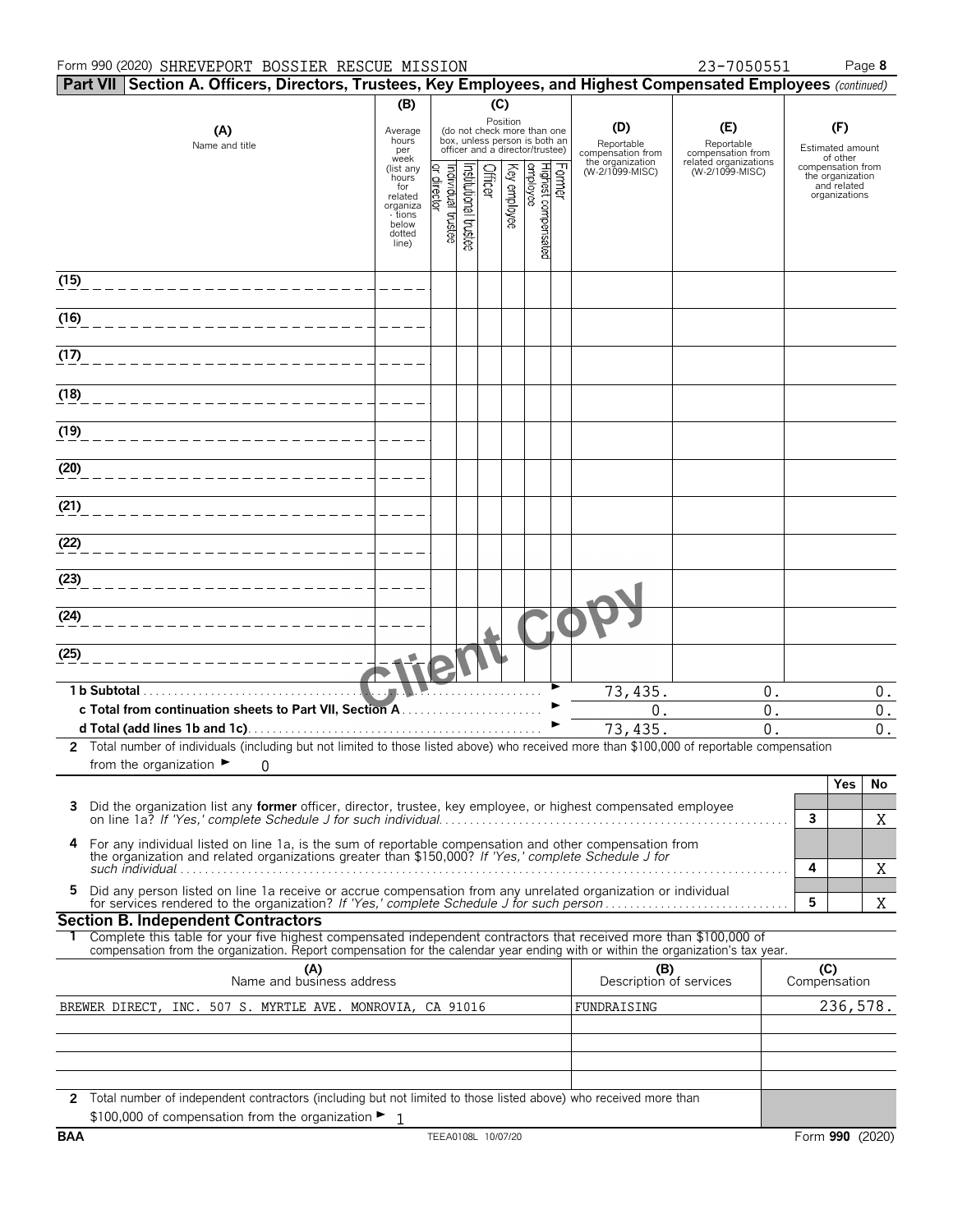#### Form 990 (2020) Page **8** SHREVEPORT BOSSIER RESCUE MISSION 23-7050551

| 23-7050551 |  |  |
|------------|--|--|

| Part VII Section A. Officers, Directors, Trustees, Key Employees, and Highest Compensated Employees (continued)                                                                                                                                              |                                                          |                                    |                       |                         |                                                                                                             |        |                                        |                                          |                                                                                   |
|--------------------------------------------------------------------------------------------------------------------------------------------------------------------------------------------------------------------------------------------------------------|----------------------------------------------------------|------------------------------------|-----------------------|-------------------------|-------------------------------------------------------------------------------------------------------------|--------|----------------------------------------|------------------------------------------|-----------------------------------------------------------------------------------|
|                                                                                                                                                                                                                                                              | (B)                                                      |                                    |                       | (C)                     |                                                                                                             |        |                                        |                                          |                                                                                   |
| (A)<br>Name and title                                                                                                                                                                                                                                        | Average<br>hours<br>per                                  |                                    |                       |                         | Position<br>(do not check more than one<br>box, unless person is both an<br>officer and a director/trustee) |        | (D)<br>Reportable<br>compensation from | (E)<br>Reportable<br>compensation from   | (F)<br>Estimated amount                                                           |
|                                                                                                                                                                                                                                                              | week<br>(list any<br>hours<br>for<br>related<br>organiza | ্<br>ndividual trustee<br>director |                       | Officer<br>Key employee |                                                                                                             | Former | the organization<br>(W-2/1099-MISC)    | related organizations<br>(W-2/1099-MISC) | of other<br>compensation from<br>the organization<br>and related<br>organizations |
|                                                                                                                                                                                                                                                              | - tions<br>below<br>dotted<br>line)                      |                                    | Institutional trustee |                         | Highest compensated<br>employee                                                                             |        |                                        |                                          |                                                                                   |
| (15)                                                                                                                                                                                                                                                         |                                                          |                                    |                       |                         |                                                                                                             |        |                                        |                                          |                                                                                   |
| (16)                                                                                                                                                                                                                                                         |                                                          |                                    |                       |                         |                                                                                                             |        |                                        |                                          |                                                                                   |
| (17)                                                                                                                                                                                                                                                         |                                                          |                                    |                       |                         |                                                                                                             |        |                                        |                                          |                                                                                   |
| (18)                                                                                                                                                                                                                                                         |                                                          |                                    |                       |                         |                                                                                                             |        |                                        |                                          |                                                                                   |
| (19)                                                                                                                                                                                                                                                         |                                                          |                                    |                       |                         |                                                                                                             |        |                                        |                                          |                                                                                   |
| (20)                                                                                                                                                                                                                                                         |                                                          |                                    |                       |                         |                                                                                                             |        |                                        |                                          |                                                                                   |
| (21)                                                                                                                                                                                                                                                         |                                                          |                                    |                       |                         |                                                                                                             |        |                                        |                                          |                                                                                   |
| (22)                                                                                                                                                                                                                                                         |                                                          |                                    |                       |                         |                                                                                                             |        |                                        |                                          |                                                                                   |
| (23)                                                                                                                                                                                                                                                         |                                                          |                                    |                       |                         |                                                                                                             |        |                                        |                                          |                                                                                   |
| (24)                                                                                                                                                                                                                                                         |                                                          |                                    |                       |                         |                                                                                                             |        |                                        |                                          |                                                                                   |
| (25)                                                                                                                                                                                                                                                         |                                                          |                                    |                       |                         |                                                                                                             |        |                                        |                                          |                                                                                   |
|                                                                                                                                                                                                                                                              |                                                          |                                    |                       |                         |                                                                                                             |        | 73,435.                                | $0$ .                                    | $0$ .                                                                             |
|                                                                                                                                                                                                                                                              |                                                          |                                    |                       |                         |                                                                                                             |        | 0.<br>73,435.                          | 0.<br>$\overline{0}$ .                   | $\mathbf 0$ .<br>$0$ .                                                            |
| 2 Total number of individuals (including but not limited to those listed above) who received more than \$100,000 of reportable compensation                                                                                                                  |                                                          |                                    |                       |                         |                                                                                                             |        |                                        |                                          |                                                                                   |
| from the organization $\blacktriangleright$<br>- 0                                                                                                                                                                                                           |                                                          |                                    |                       |                         |                                                                                                             |        |                                        |                                          |                                                                                   |
| 3                                                                                                                                                                                                                                                            |                                                          |                                    |                       |                         |                                                                                                             |        |                                        |                                          | Yes<br>No                                                                         |
| Did the organization list any former officer, director, trustee, key employee, or highest compensated employee                                                                                                                                               |                                                          |                                    |                       |                         |                                                                                                             |        |                                        |                                          | $\mathbf{3}$<br>X                                                                 |
| For any individual listed on line 1a, is the sum of reportable compensation and other compensation from<br>4<br>the organization and related organizations greater than \$150,000? If 'Yes,' complete Schedule J for                                         |                                                          |                                    |                       |                         |                                                                                                             |        |                                        |                                          | 4<br>X                                                                            |
| Did any person listed on line 1a receive or accrue compensation from any unrelated organization or individual<br>5.                                                                                                                                          |                                                          |                                    |                       |                         |                                                                                                             |        |                                        |                                          | 5<br>X                                                                            |
| <b>Section B. Independent Contractors</b>                                                                                                                                                                                                                    |                                                          |                                    |                       |                         |                                                                                                             |        |                                        |                                          |                                                                                   |
| Complete this table for your five highest compensated independent contractors that received more than \$100,000 of<br>1.<br>compensation from the organization. Report compensation for the calendar year ending with or within the organization's tax year. |                                                          |                                    |                       |                         |                                                                                                             |        |                                        |                                          |                                                                                   |
| (A)<br>Name and business address                                                                                                                                                                                                                             |                                                          |                                    |                       |                         |                                                                                                             |        | (B)<br>Description of services         |                                          | (C)<br>Compensation                                                               |
| BREWER DIRECT, INC. 507 S. MYRTLE AVE. MONROVIA, CA 91016                                                                                                                                                                                                    |                                                          |                                    |                       |                         |                                                                                                             |        | FUNDRAISING                            |                                          | 236,578.                                                                          |
|                                                                                                                                                                                                                                                              |                                                          |                                    |                       |                         |                                                                                                             |        |                                        |                                          |                                                                                   |
|                                                                                                                                                                                                                                                              |                                                          |                                    |                       |                         |                                                                                                             |        |                                        |                                          |                                                                                   |
| 2 Total number of independent contractors (including but not limited to those listed above) who received more than<br>\$100,000 of compensation from the organization ► 1                                                                                    |                                                          |                                    |                       |                         |                                                                                                             |        |                                        |                                          |                                                                                   |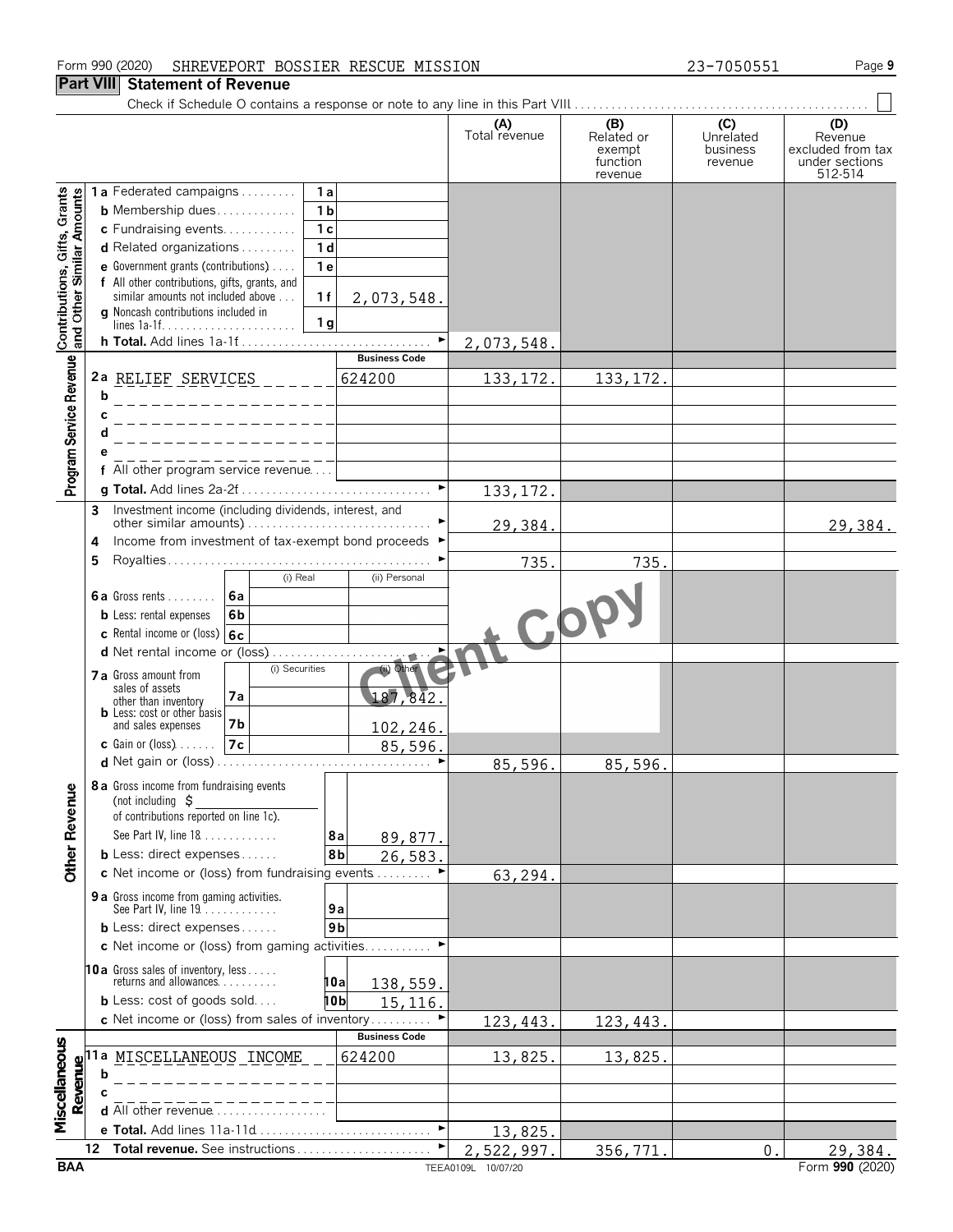#### Form 990 (2020) Page **9** SHREVEPORT BOSSIER RESCUE MISSION 23-7050551

# **Part VIII Statement of Revenue**

|                                                           |        |                                                                                                                                                                                                                                                                                                                             |                       | (A)<br>Total revenue | (B)<br>Related or<br>exempt<br>function<br>revenue | (C)<br>Unrelated<br>business<br>revenue | (D)<br>Revenue<br>excluded from tax<br>under sections<br>512-514 |
|-----------------------------------------------------------|--------|-----------------------------------------------------------------------------------------------------------------------------------------------------------------------------------------------------------------------------------------------------------------------------------------------------------------------------|-----------------------|----------------------|----------------------------------------------------|-----------------------------------------|------------------------------------------------------------------|
| Contributions, Gifts, Grants<br>and Other Similar Amounts |        | 1a Federated campaigns<br>1a<br>1 <sub>b</sub><br><b>b</b> Membership dues<br>c Fundraising events<br>1 <sub>c</sub><br>d Related organizations<br>1 <sub>d</sub><br><b>e</b> Government grants (contributions) $\ldots$<br>1e<br>f All other contributions, gifts, grants, and<br>similar amounts not included above<br>1f | 2,073,548.            |                      |                                                    |                                         |                                                                  |
|                                                           |        | g Noncash contributions included in<br>1 <sub>g</sub>                                                                                                                                                                                                                                                                       |                       |                      |                                                    |                                         |                                                                  |
|                                                           |        |                                                                                                                                                                                                                                                                                                                             | $\blacktriangleright$ | 2,073,548.           |                                                    |                                         |                                                                  |
|                                                           |        |                                                                                                                                                                                                                                                                                                                             | <b>Business Code</b>  |                      |                                                    |                                         |                                                                  |
| Program Service Revenue                                   | b      | 2a RELIEF SERVICES                                                                                                                                                                                                                                                                                                          | 624200                | 133, 172.            | 133, 172.                                          |                                         |                                                                  |
|                                                           |        |                                                                                                                                                                                                                                                                                                                             |                       |                      |                                                    |                                         |                                                                  |
|                                                           |        |                                                                                                                                                                                                                                                                                                                             |                       |                      |                                                    |                                         |                                                                  |
|                                                           |        | f All other program service revenue                                                                                                                                                                                                                                                                                         |                       |                      |                                                    |                                         |                                                                  |
|                                                           |        |                                                                                                                                                                                                                                                                                                                             | $\blacktriangleright$ | 133, 172.            |                                                    |                                         |                                                                  |
|                                                           | 3<br>4 | Investment income (including dividends, interest, and<br>Income from investment of tax-exempt bond proceeds ▶                                                                                                                                                                                                               |                       | 29,384.              |                                                    |                                         | 29,384.                                                          |
|                                                           | 5      |                                                                                                                                                                                                                                                                                                                             |                       | 735.                 | 735.                                               |                                         |                                                                  |
|                                                           |        | (i) Real<br>6a<br><b>6a</b> Gross rents $\ldots$                                                                                                                                                                                                                                                                            | (ii) Personal         |                      |                                                    |                                         |                                                                  |
|                                                           |        | <b>b</b> Less: rental expenses<br>6 <sub>b</sub>                                                                                                                                                                                                                                                                            |                       | CO <sub>1</sub>      |                                                    |                                         |                                                                  |
|                                                           |        | c Rental income or (loss) 6c<br>d Net rental income or (loss)                                                                                                                                                                                                                                                               |                       |                      |                                                    |                                         |                                                                  |
|                                                           |        | (i) Securities<br><b>7 a</b> Gross amount from<br>sales of assets                                                                                                                                                                                                                                                           | (ii) Other            |                      |                                                    |                                         |                                                                  |
|                                                           |        | 7a<br>other than inventory<br><b>b</b> Less: cost or other basis<br>7b<br>and sales expenses                                                                                                                                                                                                                                | 187, 842<br>102,246.  |                      |                                                    |                                         |                                                                  |
|                                                           |        | 7c<br>$c$ Gain or (loss) $\ldots$ .                                                                                                                                                                                                                                                                                         | 85,596.               |                      |                                                    |                                         |                                                                  |
|                                                           |        |                                                                                                                                                                                                                                                                                                                             |                       | 85,596.              | 85,596.                                            |                                         |                                                                  |
| Φ<br><b>Other Revenu</b>                                  |        | 8 a Gross income from fundraising events<br>(not including $\sin$<br>of contributions reported on line 1c).                                                                                                                                                                                                                 |                       |                      |                                                    |                                         |                                                                  |
|                                                           |        | See Part IV, line 18<br>8a                                                                                                                                                                                                                                                                                                  | 89,877.               |                      |                                                    |                                         |                                                                  |
|                                                           |        | <b>b</b> Less: direct expenses<br>8b                                                                                                                                                                                                                                                                                        | 26,583.               |                      |                                                    |                                         |                                                                  |
|                                                           |        | c Net income or (loss) from fundraising events                                                                                                                                                                                                                                                                              |                       | 63,294.              |                                                    |                                         |                                                                  |
|                                                           |        | 9 a Gross income from gaming activities.<br>See Part IV, line 19.<br>9a                                                                                                                                                                                                                                                     |                       |                      |                                                    |                                         |                                                                  |
|                                                           |        | 9 <sub>b</sub><br><b>b</b> Less: direct expenses $\ldots$ .                                                                                                                                                                                                                                                                 |                       |                      |                                                    |                                         |                                                                  |
|                                                           |        | c Net income or (loss) from gaming activities                                                                                                                                                                                                                                                                               |                       |                      |                                                    |                                         |                                                                  |
|                                                           |        | 10a Gross sales of inventory, less<br>returns and allowances<br>10a<br><b>b</b> Less: cost of goods sold<br>10Ы                                                                                                                                                                                                             | 138,559.<br>15, 116.  |                      |                                                    |                                         |                                                                  |
|                                                           |        | c Net income or (loss) from sales of inventory.                                                                                                                                                                                                                                                                             |                       | 123, 443.            | 123, 443.                                          |                                         |                                                                  |
|                                                           |        |                                                                                                                                                                                                                                                                                                                             | <b>Business Code</b>  |                      |                                                    |                                         |                                                                  |
| Miscellaneous<br>Revenue                                  |        | 11a MISCELLANEOUS INCOME                                                                                                                                                                                                                                                                                                    | 624200                | 13,825               | 13,825                                             |                                         |                                                                  |
|                                                           |        |                                                                                                                                                                                                                                                                                                                             |                       |                      |                                                    |                                         |                                                                  |
|                                                           |        | <b>d</b> All other revenue $\ldots \ldots \ldots \ldots \ldots$                                                                                                                                                                                                                                                             |                       |                      |                                                    |                                         |                                                                  |
|                                                           | 12     | e Total. Add lines 11a-11d                                                                                                                                                                                                                                                                                                  |                       | 13,825.              |                                                    |                                         |                                                                  |
|                                                           |        |                                                                                                                                                                                                                                                                                                                             |                       | 2,522,997.           | 356,771                                            | 0.                                      | 29,384.                                                          |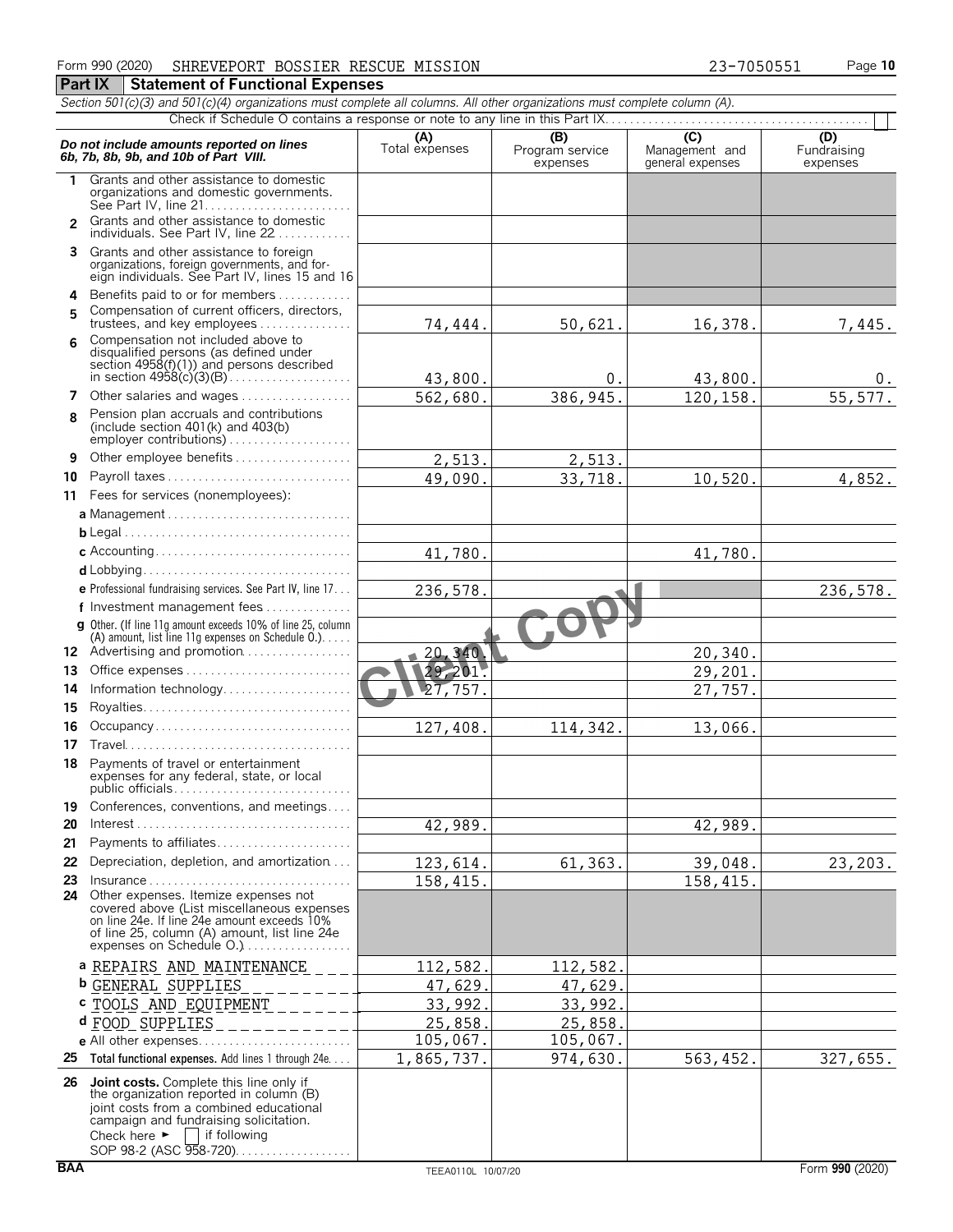### Form 990 (2020) SHREVEPORT BOSSIER RESCUE MISSION 23-7050551 Page 1**0 Part IX | Statement of Functional Expenses**

|                | Section 501(c)(3) and 501(c)(4) organizations must complete all columns. All other organizations must complete column (A).                                                                                                  |                       |                             |                                    |                         |
|----------------|-----------------------------------------------------------------------------------------------------------------------------------------------------------------------------------------------------------------------------|-----------------------|-----------------------------|------------------------------------|-------------------------|
|                |                                                                                                                                                                                                                             |                       | (B)                         | $\overline{C}$                     | (D)                     |
|                | Do not include amounts reported on lines<br>6b, 7b, 8b, 9b, and 10b of Part VIII.                                                                                                                                           | (A)<br>Total expenses | Program service<br>expenses | Management and<br>general expenses | Fundraising<br>expenses |
| 1.             | Grants and other assistance to domestic<br>organizations and domestic governments.                                                                                                                                          |                       |                             |                                    |                         |
| $\overline{2}$ | Grants and other assistance to domestic<br>individuals. See Part IV, line 22                                                                                                                                                |                       |                             |                                    |                         |
|                | 3 Grants and other assistance to foreign<br>organizations, foreign governments, and for-<br>eign individuals. See Part IV, lines 15 and 16                                                                                  |                       |                             |                                    |                         |
| 4              | Benefits paid to or for members                                                                                                                                                                                             |                       |                             |                                    |                         |
| 5              | Compensation of current officers, directors,<br>trustees, and key employees                                                                                                                                                 | 74,444.               | 50,621.                     | 16,378.                            | 7,445.                  |
| 6              | Compensation not included above to<br>disqualified persons (as defined under<br>section $4958(f)(1)$ and persons described                                                                                                  | 43,800.               | 0.                          | 43,800.                            | $0$ .                   |
| 7              | Other salaries and wages                                                                                                                                                                                                    | 562,680.              | 386,945.                    | 120,158.                           | 55,577.                 |
| 8              | Pension plan accruals and contributions<br>(include section $401(k)$ and $403(b)$<br>employer contributions)                                                                                                                |                       |                             |                                    |                         |
| 9              | Other employee benefits                                                                                                                                                                                                     | 2,513.                | 2,513.                      |                                    |                         |
| 10             | Payroll taxes                                                                                                                                                                                                               | 49,090                | 33,718.                     | 10,520.                            | 4,852.                  |
|                | 11 Fees for services (nonemployees):                                                                                                                                                                                        |                       |                             |                                    |                         |
|                |                                                                                                                                                                                                                             |                       |                             |                                    |                         |
|                |                                                                                                                                                                                                                             |                       |                             |                                    |                         |
|                |                                                                                                                                                                                                                             | 41,780.               |                             | 41,780.                            |                         |
|                |                                                                                                                                                                                                                             |                       |                             |                                    |                         |
|                | e Professional fundraising services. See Part IV, line 17                                                                                                                                                                   | 236,578.              |                             |                                    | 236,578.                |
|                | f Investment management fees                                                                                                                                                                                                |                       |                             |                                    |                         |
|                | g Other. (If line 11q amount exceeds 10% of line 25, column<br>(A) amount, list line 11g expenses on Schedule $0.$ )                                                                                                        |                       |                             |                                    |                         |
|                | 12 Advertising and promotion                                                                                                                                                                                                | 20,340.               |                             | 20,340.                            |                         |
| 13             |                                                                                                                                                                                                                             | 29,201.               |                             | 29,201.                            |                         |
| 14             | Information technology                                                                                                                                                                                                      | 27,757.               |                             | 27,757.                            |                         |
| 15             |                                                                                                                                                                                                                             |                       |                             |                                    |                         |
| 16             | Occupancy                                                                                                                                                                                                                   | 127,408.              | 114,342.                    | 13,066.                            |                         |
| 17             |                                                                                                                                                                                                                             |                       |                             |                                    |                         |
| 18             | Payments of travel or entertainment<br>expenses for any federal, state, or local<br>public officials                                                                                                                        |                       |                             |                                    |                         |
| 19             | Conferences, conventions, and meetings                                                                                                                                                                                      |                       |                             |                                    |                         |
| 20             |                                                                                                                                                                                                                             | 42,989.               |                             | 42,989.                            |                         |
| 21             | Payments to affiliates                                                                                                                                                                                                      |                       |                             |                                    |                         |
| 22             | Depreciation, depletion, and amortization                                                                                                                                                                                   | 123,614.              | 61,363.                     | 39,048.                            | 23, 203.                |
| 23<br>24       | $Insurance \ldots \ldots \ldots \ldots \ldots \ldots \ldots$<br>Other expenses. Itemize expenses not                                                                                                                        | 158, 415.             |                             | 158, 415.                          |                         |
|                | covered above (List miscellaneous expenses<br>on line 24e. If line 24e amount exceeds 10%<br>of line 25, column (A) amount, list line 24e<br>expenses on Schedule O.)                                                       |                       |                             |                                    |                         |
|                | a REPAIRS AND MAINTENANCE                                                                                                                                                                                                   | 112,582.              | 112,582                     |                                    |                         |
|                | <b>b</b> GENERAL SUPPLIES                                                                                                                                                                                                   | 47,629.               | 47,629.                     |                                    |                         |
|                | C TOOLS AND EQUIPMENT                                                                                                                                                                                                       | 33,992                | 33,992                      |                                    |                         |
|                | d FOOD SUPPLIES                                                                                                                                                                                                             | 25,858.               | 25,858.                     |                                    |                         |
|                | e All other expenses                                                                                                                                                                                                        | 105,067.              | 105,067.                    |                                    |                         |
| 25             | Total functional expenses. Add lines 1 through 24e.                                                                                                                                                                         | 1,865,737.            | 974,630.                    | 563, 452.                          | 327,655.                |
| 26             | Joint costs. Complete this line only if<br>the organization reported in column (B)<br>joint costs from a combined educational<br>campaign and fundraising solicitation.<br>Check here $\blacktriangleright$<br>if following |                       |                             |                                    |                         |

SOP 98-2 (ASC 958-720). . . . . . . . . . . . . . . . .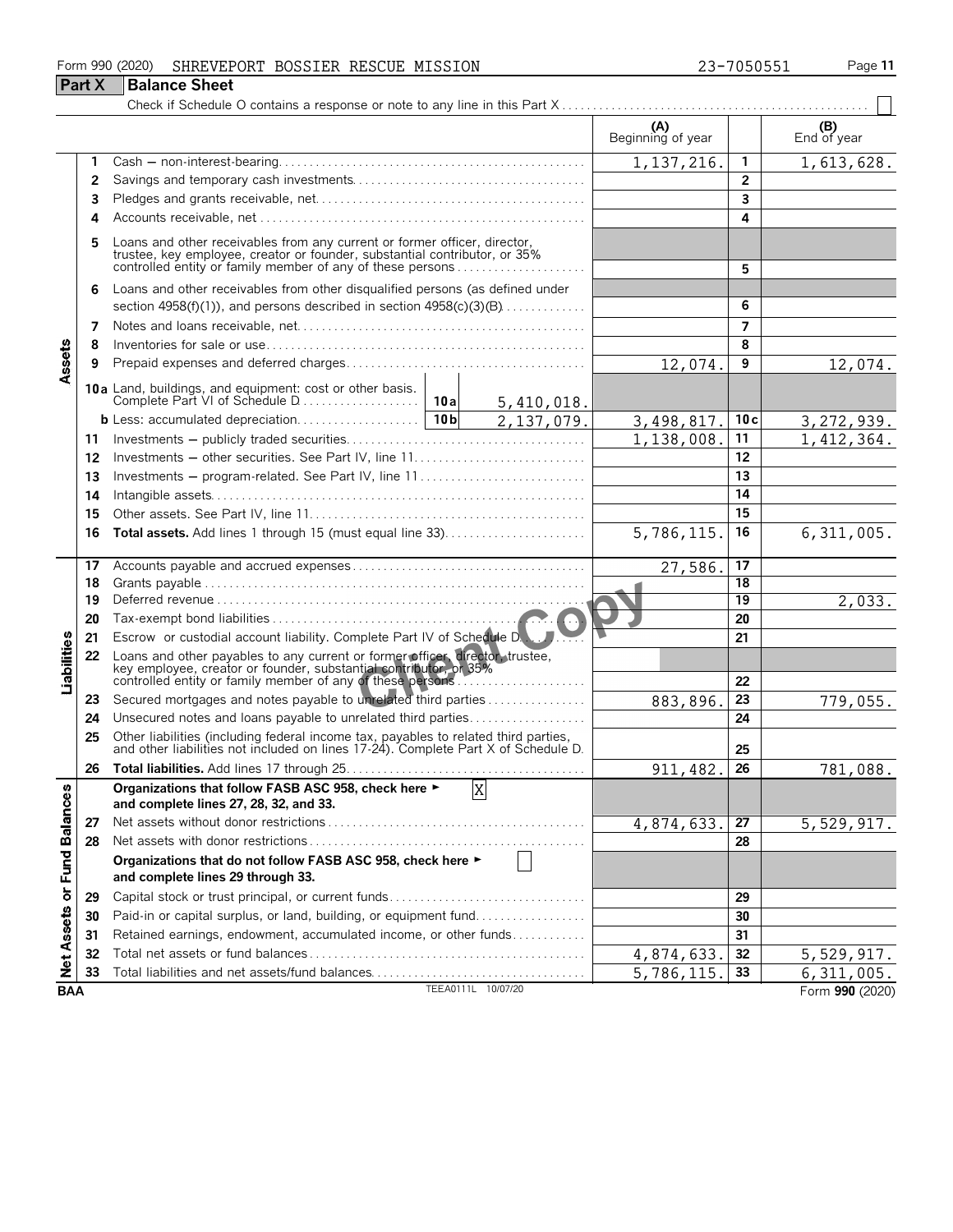|                             |               | Form 990 (2020)<br>SHREVEPORT BOSSIER RESCUE MISSION                                                                                                                                                            |                            |                          | 23-7050551     | Page 11            |
|-----------------------------|---------------|-----------------------------------------------------------------------------------------------------------------------------------------------------------------------------------------------------------------|----------------------------|--------------------------|----------------|--------------------|
|                             | <b>Part X</b> | <b>Balance Sheet</b>                                                                                                                                                                                            |                            |                          |                |                    |
|                             |               |                                                                                                                                                                                                                 |                            |                          |                |                    |
|                             |               |                                                                                                                                                                                                                 |                            | (A)<br>Beginning of year |                | (B)<br>End of year |
|                             | 1.            |                                                                                                                                                                                                                 |                            | 1, 137, 216.             | $\mathbf{1}$   | 1,613,628.         |
|                             | 2             |                                                                                                                                                                                                                 |                            |                          | $\overline{2}$ |                    |
|                             | 3             |                                                                                                                                                                                                                 |                            |                          | 3              |                    |
|                             | 4             |                                                                                                                                                                                                                 |                            |                          | 4              |                    |
|                             |               | Loans and other receivables from any current or former officer, director, trustee, key employee, creator or founder, substantial contributor, or 35% controlled entity or family member of any of these persons |                            | 5                        |                |                    |
|                             | 6             | Loans and other receivables from other disqualified persons (as defined under                                                                                                                                   |                            |                          |                |                    |
|                             |               | section $4958(f)(1)$ , and persons described in section $4958(c)(3)(B)$                                                                                                                                         |                            |                          | 6              |                    |
|                             | 7             |                                                                                                                                                                                                                 |                            |                          | $\overline{ }$ |                    |
|                             | 8             |                                                                                                                                                                                                                 |                            |                          | 8              |                    |
| Assets                      | 9             |                                                                                                                                                                                                                 |                            | 12,074.                  | 9              | 12,074.            |
|                             |               |                                                                                                                                                                                                                 |                            |                          |                |                    |
|                             |               |                                                                                                                                                                                                                 | 5,410,018.                 |                          |                |                    |
|                             |               |                                                                                                                                                                                                                 | $\overline{2}$ , 137, 079. | 3,498,817.               | 10c            | 3, 272, 939.       |
|                             | 11            |                                                                                                                                                                                                                 |                            | 1,138,008.               | 11             | 1, 412, 364.       |
|                             | 12            |                                                                                                                                                                                                                 |                            |                          | 12<br>13       |                    |
|                             | 13            | Investments - program-related. See Part IV, line 11                                                                                                                                                             |                            |                          | 14             |                    |
|                             | 14            |                                                                                                                                                                                                                 |                            | 15                       |                |                    |
|                             | 15            |                                                                                                                                                                                                                 |                            | 16                       | 6, 311, 005.   |                    |
|                             | 16            |                                                                                                                                                                                                                 |                            | 5,786,115.               |                |                    |
|                             | 17            |                                                                                                                                                                                                                 |                            | 27,586.                  | 17             |                    |
|                             | 18            |                                                                                                                                                                                                                 |                            |                          | 18             |                    |
|                             | 19            |                                                                                                                                                                                                                 |                            |                          | 19             | 2,033.             |
|                             | 20            |                                                                                                                                                                                                                 |                            |                          | 20             |                    |
|                             | 21            | Escrow or custodial account liability. Complete Part IV of Schedule D.                                                                                                                                          |                            |                          | 21             |                    |
| Liabilities                 | 22            | Loans and other payables to any current or former officer, director, trustee, key employee, creator or founder, substantial contributor, or 35% controlled entity or family member of any of these persons      | .                          |                          | 22             |                    |
|                             | 23            | Secured mortgages and notes payable to unrelated third parties                                                                                                                                                  |                            | 883,896.                 | 23             | 779,055.           |
|                             | 24            | Unsecured notes and loans payable to unrelated third parties                                                                                                                                                    |                            |                          | 24             |                    |
|                             | 25            | Other liabilities (including federal income tax, payables to related third parties, and other liabilities not included on lines 17-24). Complete Part X of Schedule D.                                          |                            |                          | 25             |                    |
|                             | 26            |                                                                                                                                                                                                                 |                            | 911, 482.                | 26             | 781,088.           |
|                             |               | Organizations that follow FASB ASC 958, check here ►<br>and complete lines 27, 28, 32, and 33.                                                                                                                  | X                          |                          |                |                    |
|                             | 27            |                                                                                                                                                                                                                 |                            | 4,874,633                | 27             | 5,529,917.         |
|                             | 28            |                                                                                                                                                                                                                 |                            |                          | 28             |                    |
| Net Assets or Fund Balances |               | Organizations that do not follow FASB ASC 958, check here ►<br>and complete lines 29 through 33.                                                                                                                |                            |                          |                |                    |
|                             | 29            |                                                                                                                                                                                                                 |                            |                          | 29             |                    |
|                             | 30            | Paid-in or capital surplus, or land, building, or equipment fund                                                                                                                                                |                            |                          | 30             |                    |
|                             | 31            | Retained earnings, endowment, accumulated income, or other funds                                                                                                                                                |                            |                          | 31             |                    |
|                             | 32            |                                                                                                                                                                                                                 |                            | 4,874,633                | 32             | 5,529,917.         |
|                             | 33            | Total liabilities and net assets/fund balances                                                                                                                                                                  |                            | 5,786,115.               | 33             | 6, 311, 005.       |
| <b>BAA</b>                  |               |                                                                                                                                                                                                                 | TEEA0111L 10/07/20         |                          |                | Form 990 (2020)    |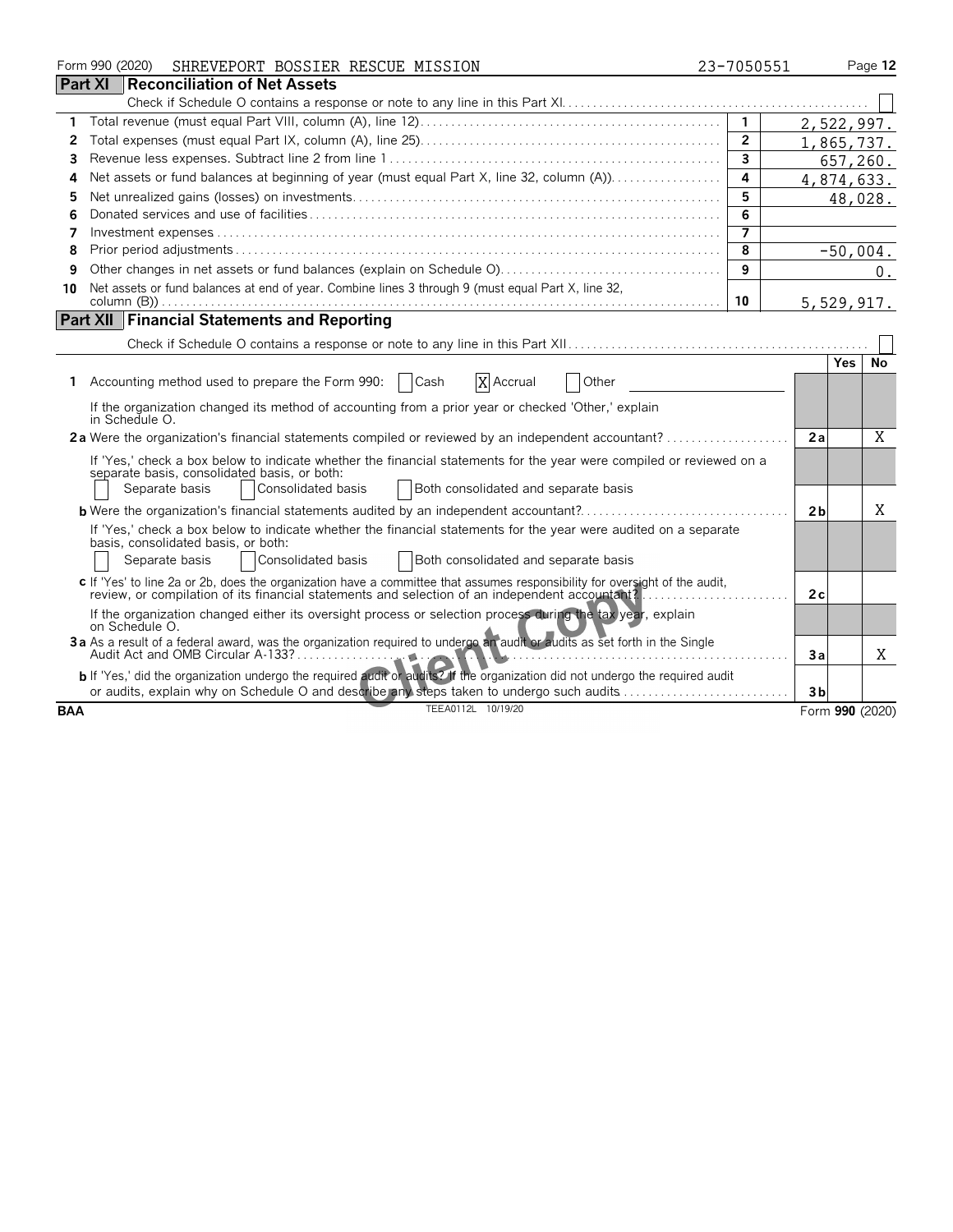|            | Form 990 (2020)<br>SHREVEPORT BOSSIER RESCUE MISSION                                                                                                                                                                                                 | 23-7050551              |                 | Page 12 |
|------------|------------------------------------------------------------------------------------------------------------------------------------------------------------------------------------------------------------------------------------------------------|-------------------------|-----------------|---------|
|            | <b>Part XI</b><br>Reconciliation of Net Assets                                                                                                                                                                                                       |                         |                 |         |
|            |                                                                                                                                                                                                                                                      |                         |                 |         |
| 1          |                                                                                                                                                                                                                                                      | $\overline{1}$          | 2,522,997.      |         |
| 2          |                                                                                                                                                                                                                                                      | $\overline{2}$          | 1,865,737.      |         |
| 3          |                                                                                                                                                                                                                                                      | $\overline{\mathbf{3}}$ | 657,260.        |         |
| 4          | Net assets or fund balances at beginning of year (must equal Part X, line 32, column (A)).                                                                                                                                                           | 4                       | 4,874,633.      |         |
| 5          |                                                                                                                                                                                                                                                      | 5                       |                 | 48,028. |
| 6          |                                                                                                                                                                                                                                                      | 6                       |                 |         |
| 7          |                                                                                                                                                                                                                                                      | 7                       |                 |         |
| 8          |                                                                                                                                                                                                                                                      | 8                       | $-50,004.$      |         |
| 9          |                                                                                                                                                                                                                                                      | 9                       |                 | 0.      |
| 10         | Net assets or fund balances at end of year. Combine lines 3 through 9 (must equal Part X, line 32,                                                                                                                                                   |                         |                 |         |
|            |                                                                                                                                                                                                                                                      | 10                      | 5,529,917.      |         |
|            | <b>Part XII Financial Statements and Reporting</b>                                                                                                                                                                                                   |                         |                 |         |
|            |                                                                                                                                                                                                                                                      |                         |                 |         |
|            |                                                                                                                                                                                                                                                      |                         | <b>Yes</b>      | No      |
|            | 1 Accounting method used to prepare the Form 990:<br>Cash<br>X Accrual<br>Other                                                                                                                                                                      |                         |                 |         |
|            | If the organization changed its method of accounting from a prior year or checked 'Other,' explain<br>in Schedule O.                                                                                                                                 |                         |                 |         |
|            |                                                                                                                                                                                                                                                      |                         | 2a              | X       |
|            | If 'Yes,' check a box below to indicate whether the financial statements for the year were compiled or reviewed on a<br>separate basis, consolidated basis, or both:<br>Consolidated basis<br>Separate basis<br>Both consolidated and separate basis |                         |                 |         |
|            |                                                                                                                                                                                                                                                      |                         |                 | X       |
|            |                                                                                                                                                                                                                                                      |                         | 2 <sub>b</sub>  |         |
|            | If 'Yes,' check a box below to indicate whether the financial statements for the year were audited on a separate<br>basis, consolidated basis, or both:<br>Consolidated basis<br>Both consolidated and separate basis<br>Separate basis              |                         |                 |         |
|            | c If 'Yes' to line 2a or 2b, does the organization have a committee that assumes responsibility for oversight of the audit,<br>review, or compilation of its financial statements and selection of an independent accountant?                        |                         | 2c              |         |
|            | If the organization changed either its oversight process or selection process during the tax year, explain<br>on Schedule O.                                                                                                                         |                         |                 |         |
|            | 3a As a result of a federal award, was the organization required to undergo an audit or audits as set forth in the Single<br>Audit Act and OMB Circular A-133?                                                                                       |                         | Зa              | X       |
|            | b If 'Yes,' did the organization undergo the required audit or audits? If the organization did not undergo the required audit                                                                                                                        |                         |                 |         |
|            | or audits, explain why on Schedule O and describe any steps taken to undergo such audits                                                                                                                                                             |                         | 3 <sub>b</sub>  |         |
| <b>BAA</b> | TEEA0112L 10/19/20                                                                                                                                                                                                                                   |                         | Form 990 (2020) |         |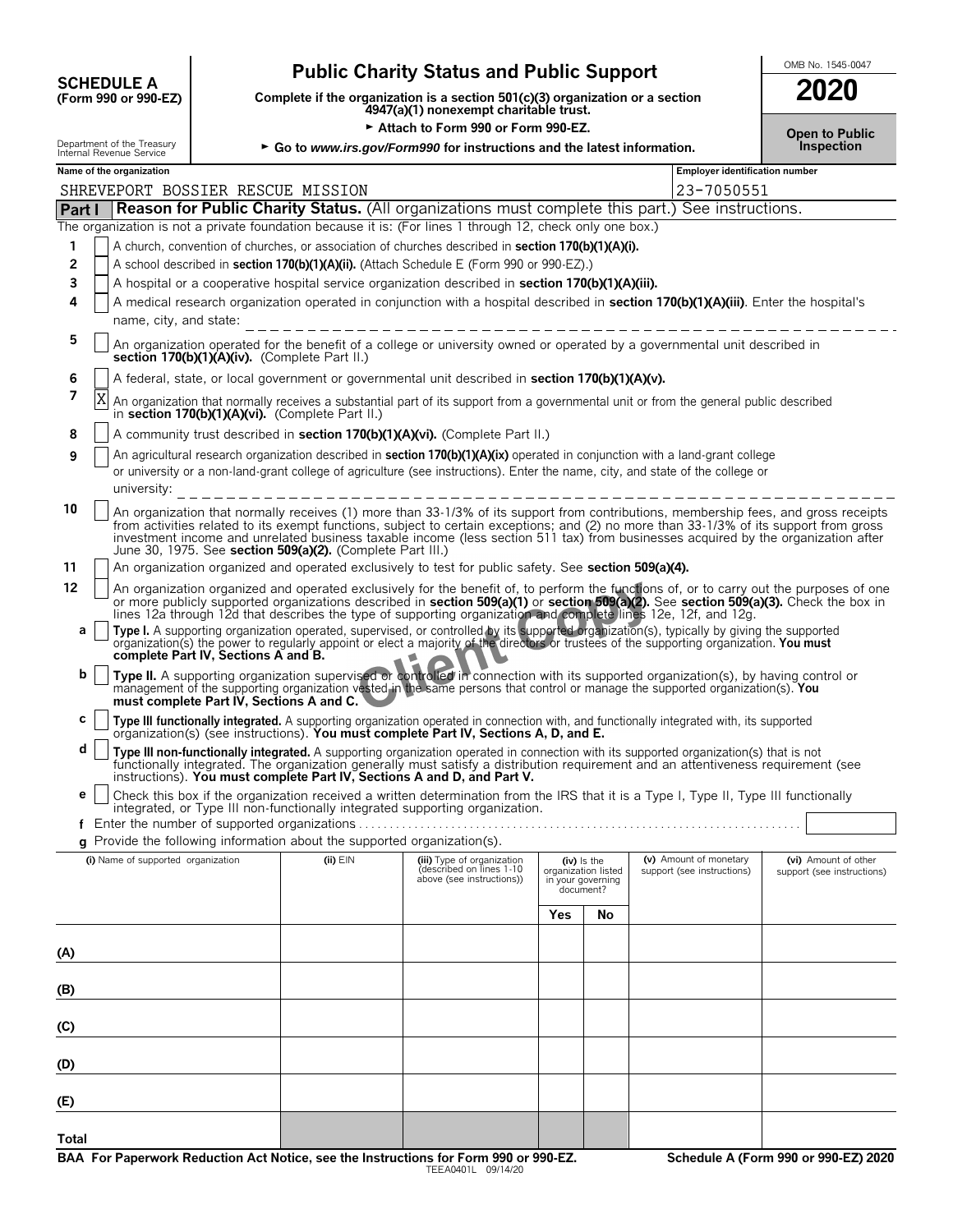| <b>SCHEDULE A</b>    |  |
|----------------------|--|
| (Form 990 or 990.FZ) |  |

# **Public Charity Status and Public Support**  $\frac{\text{OMB NO. 1545-0047}}{2222}$

**Complete if the organization is a section 501(c)(3) organization or a section 4947(a)(1) nonexempt charitable trust.**

■ Attach to Form 990 or Form 990-EZ.<br>The pow/Form 990 for instructions and the latest information. Department of the Treasury **Co to** *www.irs.gov/Form990* **for instructions and the latest information.**<br>Internal Revenue Service

| 2020                  |  |
|-----------------------|--|
| <b>Open to Public</b> |  |

**Name of the organization Employer identification number Part I Reason for Public Charity Status.** (All organizations must complete this part.) See instructions. The organization is not a private foundation because it is: (For lines 1 through 12, check only one box.) **1** A church, convention of churches, or association of churches described in **section 170(b)(1)(A)(i). 2** A school described in **section 170(b)(1)(A)(ii).** (Attach Schedule E (Form 990 or 990-EZ).) **3** A hospital or a cooperative hospital service organization described in **section 170(b)(1)(A)(iii). 4** A medical research organization operated in conjunction with a hospital described in **section 170(b)(1)(A)(iii)**. Enter the hospital's name, city, and state: **5** An organization operated for the benefit of a college or university owned or operated by a governmental unit described in **section 170(b)(1)(A)(iv).** (Complete Part II.) **6** A federal, state, or local government or governmental unit described in **section 170(b)(1)(A)(v). 7**  $\overline{X}$  An organization that normally receives a substantial part of its support from a governmental unit or from the general public described in **section 170(b)(1)(A)(vi).** (Complete Part II.) **8** A community trust described in **section 170(b)(1)(A)(vi).** (Complete Part II.) **9** An agricultural research organization described in **section 170(b)(1)(A)(ix)** operated in conjunction with a land-grant college or university or a non-land-grant college of agriculture (see instructions). Enter the name, city, and state of the college or university: **10** An organization that normally receives (1) more than 33-1/3% of its support from contributions, membership fees, and gross receipts from activities related to its exempt functions, subject to certain exceptions; and (2) no more than 33-1/3% of its support from gross<br>investment income and unrelated business taxable income (less section 511 tax) from bus June 30, 1975. See **section 509(a)(2).** (Complete Part III.) **11** An organization organized and operated exclusively to test for public safety. See **section 509(a)(4). 12** An organization organized and operated exclusively for the benefit of, to perform the functions of, or to carry out the purposes of one or more publicly supported organizations described in **section 509(a)(1)** or **section 509(a)(2).** See **section 509(a)(3).** Check the box in lines 12a through 12d that describes the type of supporting organization and complete lines 12e, 12f, and 12g. a Type I. A supporting organization operated, supervised, or controlled by its supported organization(s), typically by giving the supported organization (s) the power to regularly appoint or elect a majority of the directo **b Type II.** A supporting organization supervised or controlled in connection with its supported organization(s), by having control or management of the supporting organization vested in the same persons that control or **must complete Part IV, Sections A and C. c Type III functionally integrated.** A supporting organization operated in connection with, and functionally integrated with, its supported organization(s) (see instructions). **You must complete Part IV, Sections A, D, and E. d Type III non-functionally integrated.** A supporting organization operated in connection with its supported organization(s) that is not functionally integrated. The organization generally must satisfy a distribution requirement and an attentiveness requirement (see instructions). **You must complete Part IV, Sections A and D, and Part V. e** | Check this box if the organization received a written determination from the IRS that it is a Type I, Type II, Type III functionally integrated, or Type III non-functionally integrated supporting organization. **f** Enter the number of supported organizations. . . . . . . . . . . . . . . . . . . . . . . . . . . . . . . . . . . . . . . . . . . . . . . . . . . . . . . . . . . . . . . . . . . . . . . . . **g** Provide the following information about the supported organization(s). (i) Name of supported organization **(ii)** EIN **(iii)** Type of organization **(iv)** Is the **(v)** Amount of monetary **(vi)** Amount of other **(iii)** Type of organization listed **conducts** is the **conducts (vi)** Amount of oth (described on lines 1-10 organization listed support (see instructions) support (see instructions) above (see instructions)) in your governing document? **Yes No (A) (B) (C) (D) (E) Total** SHREVEPORT BOSSIER RESCUE MISSION 23-7050551 X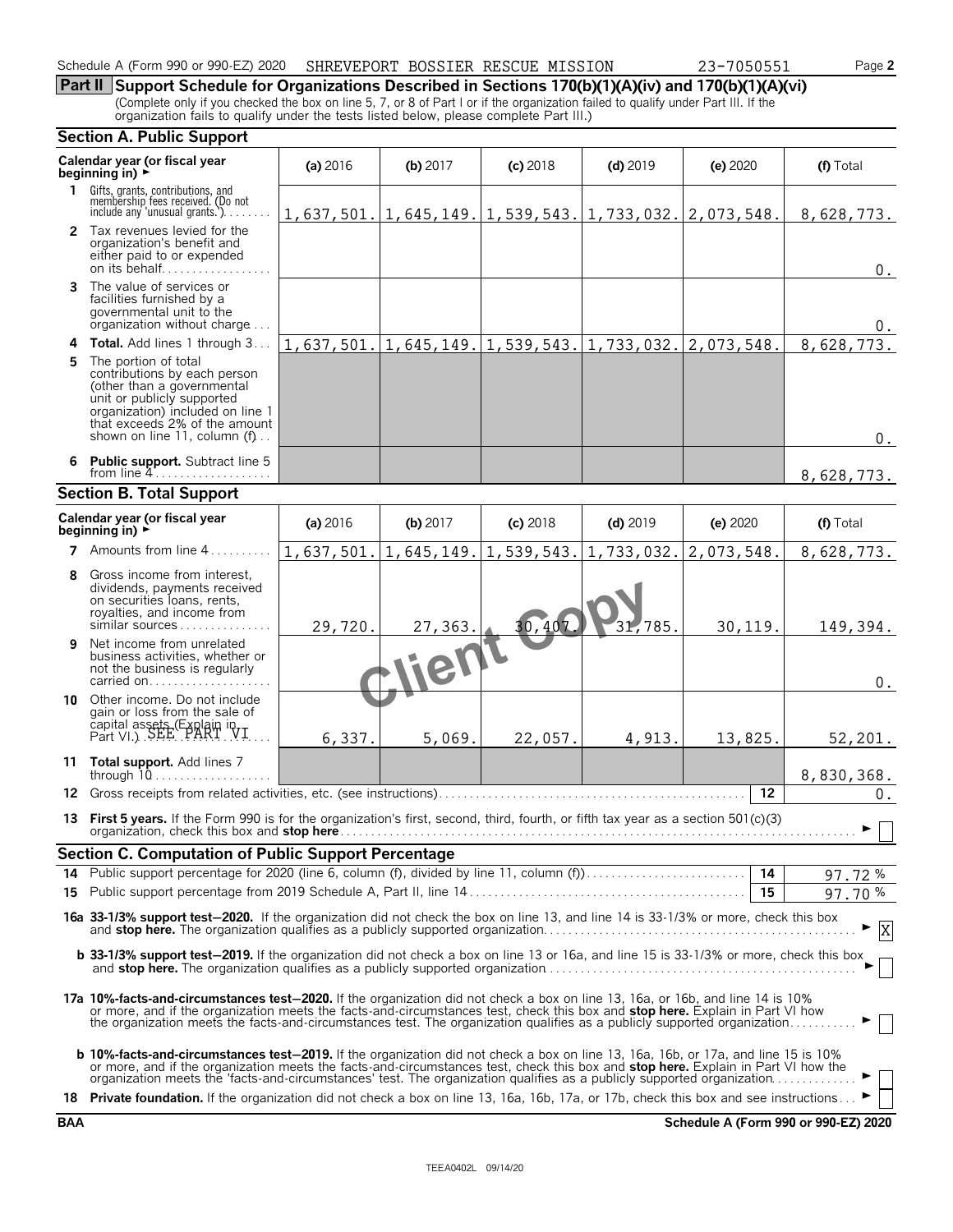| Schedule A (Form 990 or 990-EZ) 2020 | SHREVEPORT BOSSIER RESCUE MISSION | 7050551 | Page 2 |
|--------------------------------------|-----------------------------------|---------|--------|
|                                      |                                   |         |        |

**Part II Support Schedule for Organizations Described in Sections 170(b)(1)(A)(iv) and 170(b)(1)(A)(vi)** (Complete only if you checked the box on line 5, 7, or 8 of Part I or if the organization failed to qualify under Part III. If the organization fails to qualify under the tests listed below, please complete Part III.)

### **Section A. Public Support**

|    | JECHUITA. FUDIIC JUPPUIT                                                                                                                                                                                                                                                                                                                                                                                |            |            |            |                                                                            |                 |                                         |
|----|---------------------------------------------------------------------------------------------------------------------------------------------------------------------------------------------------------------------------------------------------------------------------------------------------------------------------------------------------------------------------------------------------------|------------|------------|------------|----------------------------------------------------------------------------|-----------------|-----------------------------------------|
|    | Calendar year (or fiscal year<br>beginning in) $\rightarrow$                                                                                                                                                                                                                                                                                                                                            | (a) $2016$ | (b) $2017$ | $(c)$ 2018 | $(d)$ 2019                                                                 | $(e)$ 2020      | (f) Total                               |
|    | 1 Gifts, grants, contributions, and<br>membership fees received. (Do not<br>include any 'unusual grants.')                                                                                                                                                                                                                                                                                              |            |            |            | $1, 637, 501.   1, 645, 149.   1, 539, 543.   1, 733, 032.   2, 073, 548.$ |                 | 8,628,773.                              |
|    | 2 Tax revenues levied for the<br>organization's benefit and<br>either paid to or expended                                                                                                                                                                                                                                                                                                               |            |            |            |                                                                            |                 | $0$ .                                   |
|    | <b>3</b> The value of services or<br>facilities furnished by a<br>governmental unit to the<br>organization without charge                                                                                                                                                                                                                                                                               |            |            |            |                                                                            |                 | 0.                                      |
|    | 4 Total. Add lines 1 through 3                                                                                                                                                                                                                                                                                                                                                                          |            |            |            | $1, 637, 501.   1, 645, 149.   1, 539, 543.   1, 733, 032.   2, 073, 548.$ |                 | 8,628,773.                              |
|    | 5 The portion of total<br>contributions by each person<br>(other than a governmental<br>unit or publicly supported<br>organization) included on line 1<br>that exceeds 2% of the amount<br>shown on line 11, column (f)                                                                                                                                                                                 |            |            |            |                                                                            |                 | 0.                                      |
|    | 6 Public support. Subtract line 5<br>from line $4$                                                                                                                                                                                                                                                                                                                                                      |            |            |            |                                                                            |                 | 8,628,773.                              |
|    | <b>Section B. Total Support</b>                                                                                                                                                                                                                                                                                                                                                                         |            |            |            |                                                                            |                 |                                         |
|    | Calendar year (or fiscal year<br>beginning in) $\rightarrow$                                                                                                                                                                                                                                                                                                                                            | (a) $2016$ | (b) $2017$ | $(c)$ 2018 | $(d)$ 2019                                                                 | (e) $2020$      | (f) Total                               |
|    | 7 Amounts from line 4                                                                                                                                                                                                                                                                                                                                                                                   |            |            |            | $1, 637, 501.   1, 645, 149.   1, 539, 543.   1, 733, 032.$                | 2,073,548.      | 8,628,773.                              |
|    | 8 Gross income from interest,<br>dividends, payments received<br>on securities loans, rents,<br>royalties, and income from<br>similar sources                                                                                                                                                                                                                                                           | 29,720.    | 27, 363.   | 30,407     | 31,785.                                                                    | 30,119.         | 149,394.                                |
|    | <b>9</b> Net income from unrelated<br>business activities, whether or<br>not the business is regularly<br>carried on                                                                                                                                                                                                                                                                                    |            | ien        |            |                                                                            |                 | $0$ .                                   |
|    | 10 Other income. Do not include<br>gain or loss from the sale of<br>capital assets (Explain in Part VI.) SEE PART VI.                                                                                                                                                                                                                                                                                   | 6,337.     | 5,069.     | 22,057.    | 4,913.                                                                     | 13,825.         | 52,201.                                 |
|    | 11 Total support. Add lines 7<br>through $10$                                                                                                                                                                                                                                                                                                                                                           |            |            |            |                                                                            |                 | 8,830,368.                              |
| 12 |                                                                                                                                                                                                                                                                                                                                                                                                         |            |            |            |                                                                            | 12 <sup>2</sup> | 0.                                      |
|    | 13 First 5 years. If the Form 990 is for the organization's first, second, third, fourth, or fifth tax year as a section 501(c)(3)                                                                                                                                                                                                                                                                      |            |            |            |                                                                            |                 | $\blacktriangleright$ $\vert \ \ \vert$ |
|    | <b>Section C. Computation of Public Support Percentage</b>                                                                                                                                                                                                                                                                                                                                              |            |            |            |                                                                            |                 |                                         |
|    |                                                                                                                                                                                                                                                                                                                                                                                                         |            |            |            |                                                                            |                 | 97.72 %                                 |
|    |                                                                                                                                                                                                                                                                                                                                                                                                         |            |            |            |                                                                            | 15              | 97.70 %                                 |
|    | 16a 33-1/3% support test-2020. If the organization did not check the box on line 13, and line 14 is 33-1/3% or more, check this box                                                                                                                                                                                                                                                                     |            |            |            |                                                                            |                 | X                                       |
|    | <b>b 33-1/3% support test-2019.</b> If the organization did not check a box on line 13 or 16a, and line 15 is 33-1/3% or more, check this box                                                                                                                                                                                                                                                           |            |            |            |                                                                            |                 |                                         |
|    | 17a 10%-facts-and-circumstances test-2020. If the organization did not check a box on line 13, 16a, or 16b, and line 14 is 10%<br>or more, and if the organization meets the facts-and-circumstances test, check this box and stop here. Explain in Part VI how<br>the organization meets the facts-and-circumstances test. The organization qualifies as a publicly supported organization             |            |            |            |                                                                            |                 |                                         |
|    | <b>b 10%-facts-and-circumstances test-2019.</b> If the organization did not check a box on line 13, 16a, 16b, or 17a, and line 15 is 10%<br>or more, and if the organization meets the facts-and-circumstances test, check this box and stop here. Explain in Part VI how the<br>organization meets the 'facts-and-circumstances' test. The organization qualifies as a publicly supported organization |            |            |            |                                                                            |                 |                                         |
|    | 18 Private foundation. If the organization did not check a box on line 13, 16a, 16b, 17a, or 17b, check this box and see instructions                                                                                                                                                                                                                                                                   |            |            |            |                                                                            |                 |                                         |

**BAA Schedule A (Form 990 or 990-EZ) 2020**

| Section A. Public Suppor |  |  |  |
|--------------------------|--|--|--|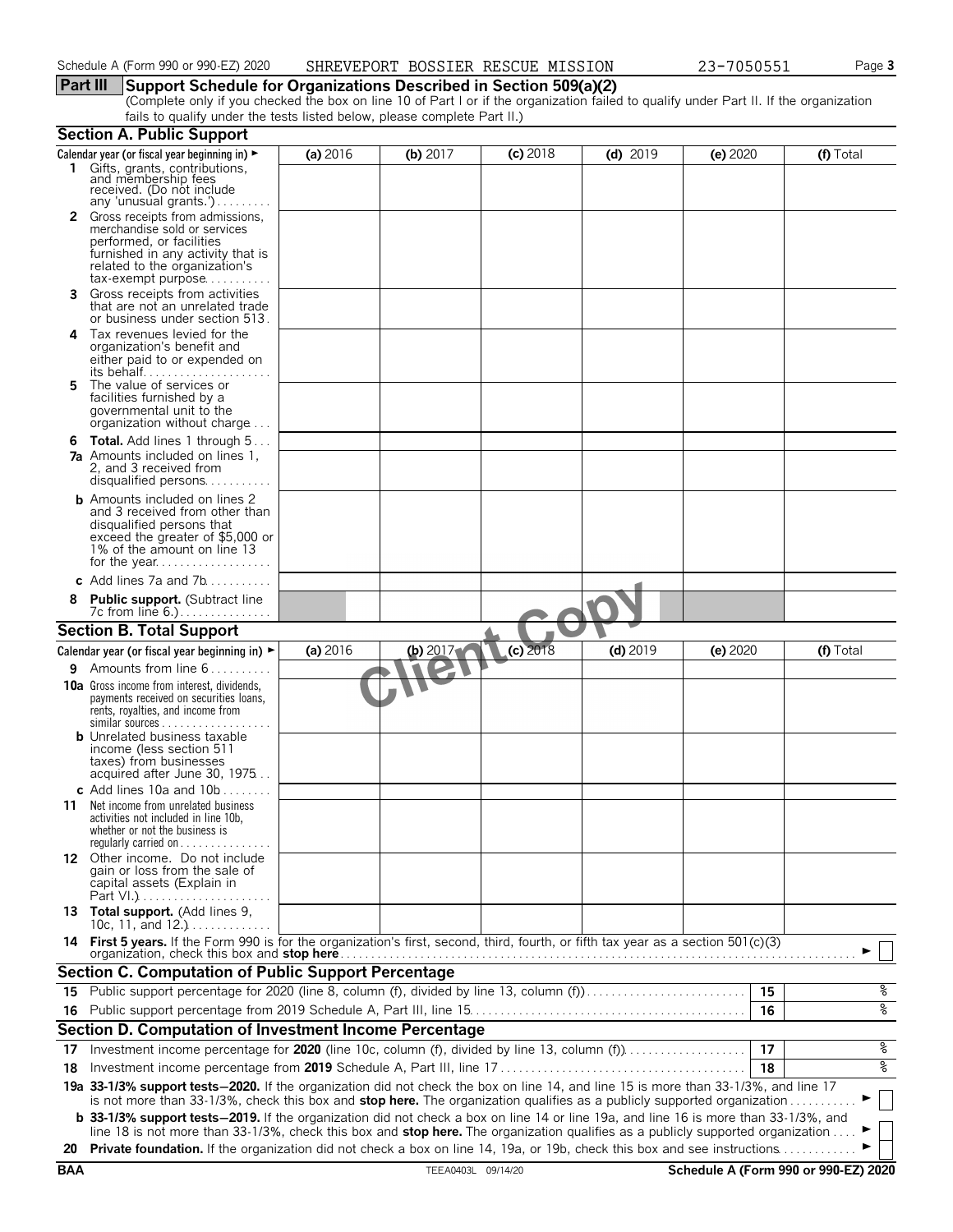# **Part III Support Schedule for Organizations Described in Section 509(a)(2)**

(Complete only if you checked the box on line 10 of Part I or if the organization failed to qualify under Part II. If the organization fails to qualify under the tests listed below, please complete Part II.)

|            | <b>Section A. Public Support</b>                                                                                                                                                                                                                                              |          |                    |            |            |            |                                      |
|------------|-------------------------------------------------------------------------------------------------------------------------------------------------------------------------------------------------------------------------------------------------------------------------------|----------|--------------------|------------|------------|------------|--------------------------------------|
|            | Calendar year (or fiscal year beginning in) $\blacktriangleright$                                                                                                                                                                                                             | (a) 2016 | (b) $2017$         | $(c)$ 2018 | $(d)$ 2019 | $(e)$ 2020 | (f) Total                            |
|            | 1 Gifts, grants, contributions,<br>and membership fees<br>received. (Do not include<br>any 'unusual grants.')                                                                                                                                                                 |          |                    |            |            |            |                                      |
|            | 2 Gross receipts from admissions,<br>merchandise sold or services<br>performed, or facilities<br>furnished in any activity that is<br>related to the organization's<br>$tax\text{-}exempt$ purpose                                                                            |          |                    |            |            |            |                                      |
| 3.         | Gross receipts from activities<br>that are not an unrelated trade<br>or business under section 513.                                                                                                                                                                           |          |                    |            |            |            |                                      |
| 4          | Tax revenues levied for the<br>organization's benefit and<br>either paid to or expended on                                                                                                                                                                                    |          |                    |            |            |            |                                      |
| 5.         | The value of services or<br>facilities furnished by a<br>governmental unit to the<br>organization without charge                                                                                                                                                              |          |                    |            |            |            |                                      |
| 6          | <b>Total.</b> Add lines 1 through 5<br><b>7a</b> Amounts included on lines 1.<br>2, and 3 received from<br>disqualified persons                                                                                                                                               |          |                    |            |            |            |                                      |
|            | <b>b</b> Amounts included on lines 2<br>and 3 received from other than<br>disqualified persons that<br>exceed the greater of \$5,000 or<br>1% of the amount on line 13                                                                                                        |          |                    |            |            |            |                                      |
|            | c Add lines $7a$ and $7b$                                                                                                                                                                                                                                                     |          |                    |            |            |            |                                      |
|            | <b>Public support.</b> (Subtract line                                                                                                                                                                                                                                         |          |                    |            |            |            |                                      |
|            | <b>Section B. Total Support</b>                                                                                                                                                                                                                                               |          |                    |            |            |            |                                      |
|            | Calendar year (or fiscal year beginning in) $\blacktriangleright$                                                                                                                                                                                                             | (a) 2016 | (b) 2017           | $(c)$ 2018 | $(d)$ 2019 | (e) 2020   | (f) Total                            |
| 9.         | Amounts from line 6                                                                                                                                                                                                                                                           |          |                    |            |            |            |                                      |
|            | <b>10a</b> Gross income from interest, dividends,<br>payments received on securities loans,<br>rents, royalties, and income from<br>$similar$ sources<br><b>b</b> Unrelated business taxable                                                                                  |          |                    |            |            |            |                                      |
|            | income (less section 511<br>taxes) from businesses<br>acquired after June 30, 1975<br>c Add lines 10a and $10b$                                                                                                                                                               |          |                    |            |            |            |                                      |
| 11         | Net income from unrelated business<br>activities not included in line 10b,<br>whether or not the business is<br>regularly carried on $\dots\dots\dots\dots$                                                                                                                   |          |                    |            |            |            |                                      |
|            | 12 Other income. Do not include<br>gain or loss from the sale of<br>capital assets (Explain in                                                                                                                                                                                |          |                    |            |            |            |                                      |
|            | 13 Total support. (Add lines 9,<br>10c, 11, and $12$                                                                                                                                                                                                                          |          |                    |            |            |            |                                      |
|            | 14 First 5 years. If the Form 990 is for the organization's first, second, third, fourth, or fifth tax year as a section 501(c)(3)<br>organization, check this box and stop here                                                                                              |          |                    |            |            |            |                                      |
|            | <b>Section C. Computation of Public Support Percentage</b>                                                                                                                                                                                                                    |          |                    |            |            |            |                                      |
|            | 15 Public support percentage for 2020 (line 8, column (f), divided by line 13, column (f)                                                                                                                                                                                     |          |                    |            |            | 15         | န့                                   |
|            |                                                                                                                                                                                                                                                                               |          |                    |            |            | 16         | ०१०                                  |
|            | Section D. Computation of Investment Income Percentage                                                                                                                                                                                                                        |          |                    |            |            |            |                                      |
| 17         |                                                                                                                                                                                                                                                                               |          |                    |            |            | 17         | %                                    |
| 18         |                                                                                                                                                                                                                                                                               |          |                    |            |            | 18         | ०७                                   |
|            | 19a 33-1/3% support tests-2020. If the organization did not check the box on line 14, and line 15 is more than 33-1/3%, and line 17<br>is not more than 33-1/3%, check this box and stop here. The organization qualifies as a publicly supported organization                |          |                    |            |            |            |                                      |
|            | <b>b</b> 33-1/3% support tests-2019. If the organization did not check a box on line 14 or line 19a, and line 16 is more than 33-1/3%, and<br>line 18 is not more than 33-1/3%, check this box and stop here. The organization qualifies as a publicly supported organization |          |                    |            |            |            |                                      |
| 20         | Private foundation. If the organization did not check a box on line 14, 19a, or 19b, check this box and see instructions.                                                                                                                                                     |          |                    |            |            |            |                                      |
| <b>BAA</b> |                                                                                                                                                                                                                                                                               |          | TEEA0403L 09/14/20 |            |            |            | Schedule A (Form 990 or 990-EZ) 2020 |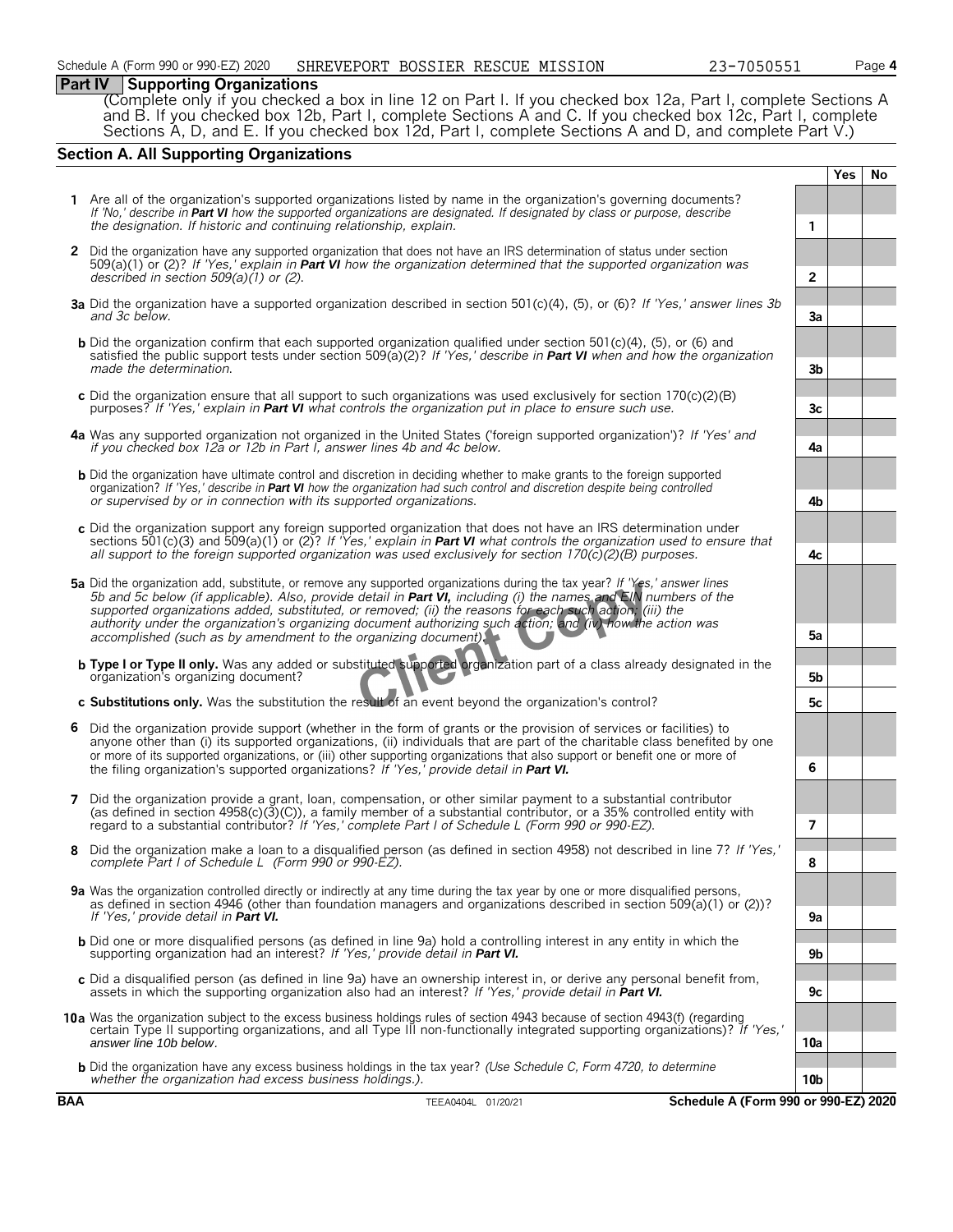# **Part IV Supporting Organizations**

(Complete only if you checked a box in line 12 on Part I. If you checked box 12a, Part I, complete Sections A and B. If you checked box 12b, Part I, complete Sections A and C. If you checked box 12c, Part I, complete Sections A, D, and E. If you checked box 12d, Part I, complete Sections A and D, and complete Part V.)

# **Section A. All Supporting Organizations**

|   |                                                                                                                                                                                                                                                                                                                                                                                                                                                                                                                                              |                 | <b>Yes</b> | No |
|---|----------------------------------------------------------------------------------------------------------------------------------------------------------------------------------------------------------------------------------------------------------------------------------------------------------------------------------------------------------------------------------------------------------------------------------------------------------------------------------------------------------------------------------------------|-----------------|------------|----|
|   | 1 Are all of the organization's supported organizations listed by name in the organization's governing documents?<br>If 'No,' describe in Part VI how the supported organizations are designated. If designated by class or purpose, describe<br>the designation. If historic and continuing relationship, explain.                                                                                                                                                                                                                          | 1               |            |    |
|   | 2 Did the organization have any supported organization that does not have an IRS determination of status under section<br>$509(a)(1)$ or (2)? If 'Yes,' explain in <b>Part VI</b> how the organization determined that the supported organization was<br>described in section $509(a)(1)$ or (2).                                                                                                                                                                                                                                            | $\overline{2}$  |            |    |
|   | 3a Did the organization have a supported organization described in section 501(c)(4), (5), or (6)? If 'Yes,' answer lines 3b<br>and 3c below.                                                                                                                                                                                                                                                                                                                                                                                                | 3a              |            |    |
|   | <b>b</b> Did the organization confirm that each supported organization qualified under section $501(c)(4)$ , (5), or (6) and<br>satisfied the public support tests under section 509(a)(2)? If 'Yes,' describe in Part VI when and how the organization<br>made the determination.                                                                                                                                                                                                                                                           | 3 <sub>b</sub>  |            |    |
|   | c Did the organization ensure that all support to such organizations was used exclusively for section $170(c)(2)(B)$<br>purposes? If 'Yes,' explain in Part VI what controls the organization put in place to ensure such use.                                                                                                                                                                                                                                                                                                               | 3c              |            |    |
|   | 4a Was any supported organization not organized in the United States ('foreign supported organization')? If 'Yes' and<br>if you checked box 12a or 12b in Part I, answer lines 4b and 4c below.                                                                                                                                                                                                                                                                                                                                              | 4a              |            |    |
|   | <b>b</b> Did the organization have ultimate control and discretion in deciding whether to make grants to the foreign supported<br>organization? If 'Yes,' describe in Part VI how the organization had such control and discretion despite being controlled<br>or supervised by or in connection with its supported organizations.                                                                                                                                                                                                           | 4b              |            |    |
|   | c Did the organization support any foreign supported organization that does not have an IRS determination under<br>sections 501(c)(3) and 509(a)(1) or (2)? If 'Yes,' explain in <b>Part VI</b> what controls the organization used to ensure that<br>all support to the foreign supported organization was used exclusively for section $170(c)(2)(B)$ purposes.                                                                                                                                                                            | 4с              |            |    |
|   | 5a Did the organization add, substitute, or remove any supported organizations during the tax year? If 'Yes,' answer lines<br>5b and 5c below (if applicable). Also, provide detail in Part VI, including (i) the names and EIN numbers of the<br>supported organizations added, substituted, or removed; (ii) the reasons for each such action; (iii) the<br>authority under the organization's organizing document authorizing such action; and (iv) how the action was<br>accomplished (such as by amendment to the organizing document). | 5a              |            |    |
|   | <b>b Type I or Type II only.</b> Was any added or substituted supported organization part of a class already designated in the<br>organization's organizing document?                                                                                                                                                                                                                                                                                                                                                                        | 5b              |            |    |
|   | c Substitutions only. Was the substitution the result of an event beyond the organization's control?                                                                                                                                                                                                                                                                                                                                                                                                                                         | 5c              |            |    |
|   | 6 Did the organization provide support (whether in the form of grants or the provision of services or facilities) to<br>anyone other than (i) its supported organizations, (ii) individuals that are part of the charitable class benefited by one<br>or more of its supported organizations, or (iii) other supporting organizations that also support or benefit one or more of<br>the filing organization's supported organizations? If 'Yes,' provide detail in Part VI.                                                                 | 6               |            |    |
| 7 | Did the organization provide a grant, loan, compensation, or other similar payment to a substantial contributor<br>(as defined in section $4958(c)(3)(C)$ ), a family member of a substantial contributor, or a 35% controlled entity with<br>regard to a substantial contributor? If 'Yes,' complete Part I of Schedule L (Form 990 or 990-EZ).                                                                                                                                                                                             | 7               |            |    |
|   | 8 Did the organization make a loan to a disqualified person (as defined in section 4958) not described in line 7? If 'Yes,'<br>complete Part I of Schedule L (Form 990 or 990-EZ).                                                                                                                                                                                                                                                                                                                                                           | ୪               |            |    |
|   | 9a Was the organization controlled directly or indirectly at any time during the tax year by one or more disqualified persons,<br>as defined in section 4946 (other than foundation managers and organizations described in section 509(a)(1) or (2))?<br>If 'Yes,' provide detail in Part VI.                                                                                                                                                                                                                                               | 9a              |            |    |
|   | <b>b</b> Did one or more disqualified persons (as defined in line 9a) hold a controlling interest in any entity in which the<br>supporting organization had an interest? If 'Yes,' provide detail in Part VI.                                                                                                                                                                                                                                                                                                                                | 9b              |            |    |
|   | c Did a disqualified person (as defined in line 9a) have an ownership interest in, or derive any personal benefit from,<br>assets in which the supporting organization also had an interest? If 'Yes,' provide detail in <b>Part VI.</b>                                                                                                                                                                                                                                                                                                     | 9c              |            |    |
|   | 10a Was the organization subject to the excess business holdings rules of section 4943 because of section 4943(f) (regarding<br>certain Type II supporting organizations, and all Type III non-functionally integrated supporting organizations)? If 'Yes,'<br>answer line 10b below.                                                                                                                                                                                                                                                        | 10a             |            |    |
|   | <b>b</b> Did the organization have any excess business holdings in the tax year? (Use Schedule C, Form 4720, to determine<br>whether the organization had excess business holdings.).                                                                                                                                                                                                                                                                                                                                                        | 10 <sub>b</sub> |            |    |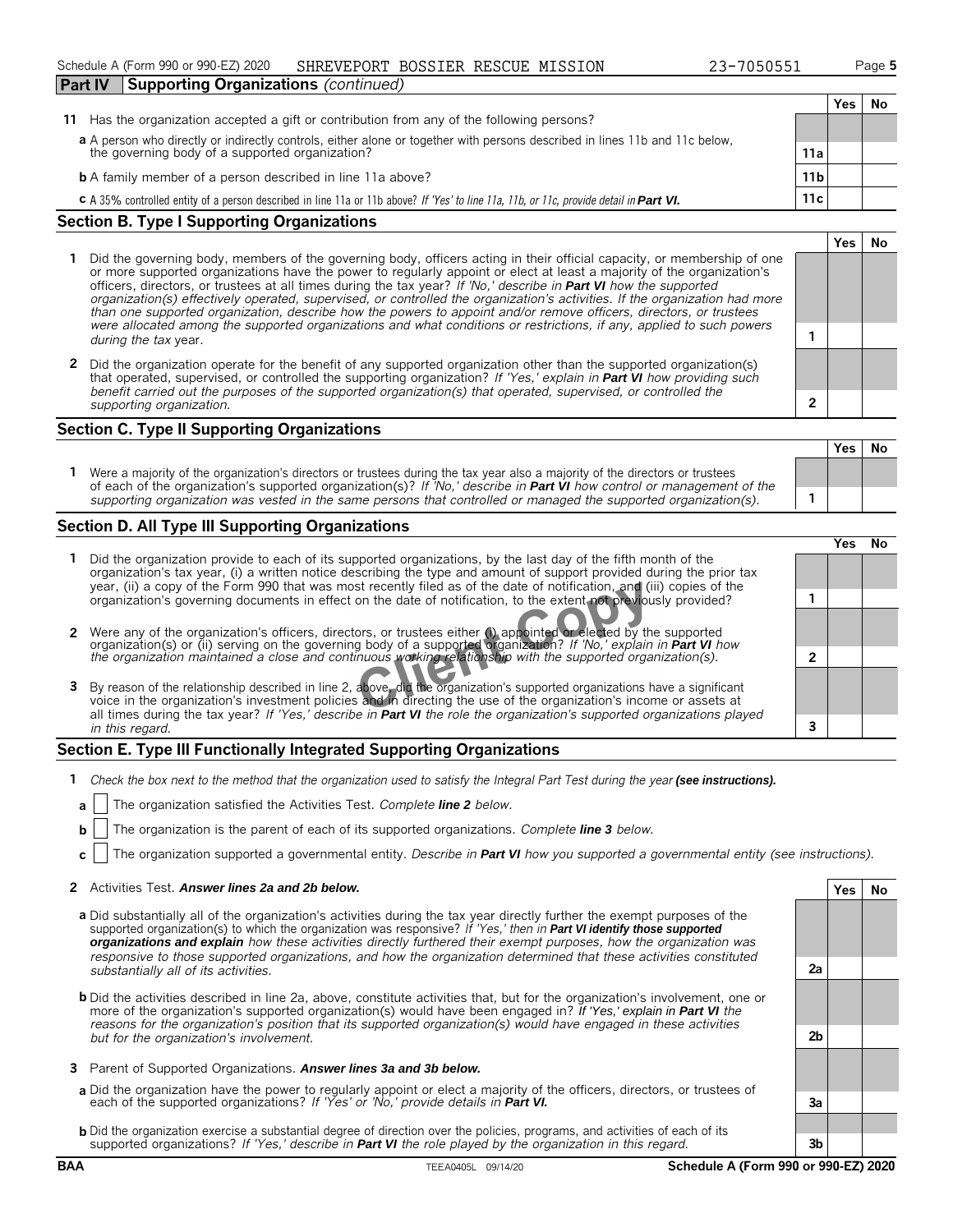**Yes No**

| <b>Part IV</b> | Supporting Organizations (continued)                                                                                                    |                 |     |    |
|----------------|-----------------------------------------------------------------------------------------------------------------------------------------|-----------------|-----|----|
|                |                                                                                                                                         |                 | Yes | No |
| 11             | Has the organization accepted a gift or contribution from any of the following persons?                                                 |                 |     |    |
|                | a A person who directly or indirectly controls, either alone or together with persons described in lines 11b and 11c below,             |                 |     |    |
|                | the governing body of a supported organization?<br>11a                                                                                  |                 |     |    |
|                | <b>b</b> A family member of a person described in line 11a above?                                                                       | 11 <sub>b</sub> |     |    |
|                | C A 35% controlled entity of a person described in line 11a or 11b above? If 'Yes' to line 11a, 11b, or 11c, provide detail in Part VI. | 11c             |     |    |
|                | .                                                                                                                                       |                 |     |    |

### **Section B. Type I Supporting Organizations**

- **1** Did the governing body, members of the governing body, officers acting in their official capacity, or membership of one or more supported organizations have the power to regularly appoint or elect at least a majority of the organization's officers, directors, or trustees at all times during the tax year? *If 'No,' describe in Part VI how the supported organization(s) effectively operated, supervised, or controlled the organization's activities. If the organization had more than one supported organization, describe how the powers to appoint and/or remove officers, directors, or trustees were allocated among the supported organizations and what conditions or restrictions, if any, applied to such powers* **1** *during the tax* year.
- **2** Did the organization operate for the benefit of any supported organization other than the supported organization(s) that operated, supervised, or controlled the supporting organization? *If 'Yes,' explain in Part VI how providing such benefit carried out the purposes of the supported organization(s) that operated, supervised, or controlled the supporting organization.* **2**

# **Section C. Type II Supporting Organizations**

**Yes No 1** Were a majority of the organization's directors or trustees during the tax year also a majority of the directors or trustees of each of the organization's supported organization(s)? *If 'No,' describe in Part VI how control or management of the supporting organization was vested in the same persons that controlled or managed the supported organization(s).* **1**

# **Section D. All Type III Supporting Organizations**

|   |                                                                                                                                                                                                                                                                                                                                                                                     | (e⊂ |  |
|---|-------------------------------------------------------------------------------------------------------------------------------------------------------------------------------------------------------------------------------------------------------------------------------------------------------------------------------------------------------------------------------------|-----|--|
|   | Did the organization provide to each of its supported organizations, by the last day of the fifth month of the<br>organization's tax year, (i) a written notice describing the type and amount of support provided during the prior tax<br>year, (ii) a copy of the Form 990 that was most recently filed as of the date of notification, and (iii) copies of the                   |     |  |
|   | organization's governing documents in effect on the date of notification, to the extent not previously provided?                                                                                                                                                                                                                                                                    |     |  |
|   | Were any of the organization's officers, directors, or trustees either (i) appointed or elected by the supported                                                                                                                                                                                                                                                                    |     |  |
|   | organization(s) or (ii) serving on the governing body of a supported organization? If No, explain in <b>Part VI</b> how<br>the organization maintained a close and continuous working relationship with the supported organization(s).                                                                                                                                              |     |  |
| 3 | By reason of the relationship described in line 2, above, did the organization's supported organizations have a significant<br>voice in the organization's investment policies and in directing the use of the organization's income or assets at<br>all times during the tax year? If 'Yes,' describe in <b>Part VI</b> the role the organization's supported organizations played |     |  |
|   | in this regard.                                                                                                                                                                                                                                                                                                                                                                     |     |  |

### **Section E. Type III Functionally Integrated Supporting Organizations**

- **1** *Check the box next to the method that the organization used to satisfy the Integral Part Test during the year (see instructions).* 
	- **a** The organization satisfied the Activities Test. *Complete line 2 below.*
	- **b** The organization is the parent of each of its supported organizations. *Complete line 3 below.*
	- **c** The organization supported a governmental entity. *Describe in Part VI how you supported a governmental entity (see instructions).*

#### **2** Activities Test. *Answer lines 2a and 2b below.* **Yes No**

- **a** Did substantially all of the organization's activities during the tax year directly further the exempt purposes of the supported organization(s) to which the organization was responsive? *If 'Yes,' then in Part VI identify those supported organizations and explain how these activities directly furthered their exempt purposes, how the organization was responsive to those supported organizations, and how the organization determined that these activities constituted substantially all of its activities.* **2a**
- **b** Did the activities described in line 2a, above, constitute activities that, but for the organization's involvement, one or more of the organization's supported organization(s) would have been engaged in? *If 'Yes,' explain in Part VI the reasons for the organization's position that its supported organization(s) would have engaged in these activities but for the organization's involvement.* **2b**
- **3** Parent of Supported Organizations. *Answer lines 3a and 3b below.*
- **a** Did the organization have the power to regularly appoint or elect a majority of the officers, directors, or trustees of each of the supported organizations? *If 'Yes' or 'No,' provide details in Part VI.* **3a**
- **b** Did the organization exercise a substantial degree of direction over the policies, programs, and activities of each of its supported organizations? *If 'Yes,' describe in Part VI the role played by the organization in this regard.* **3b**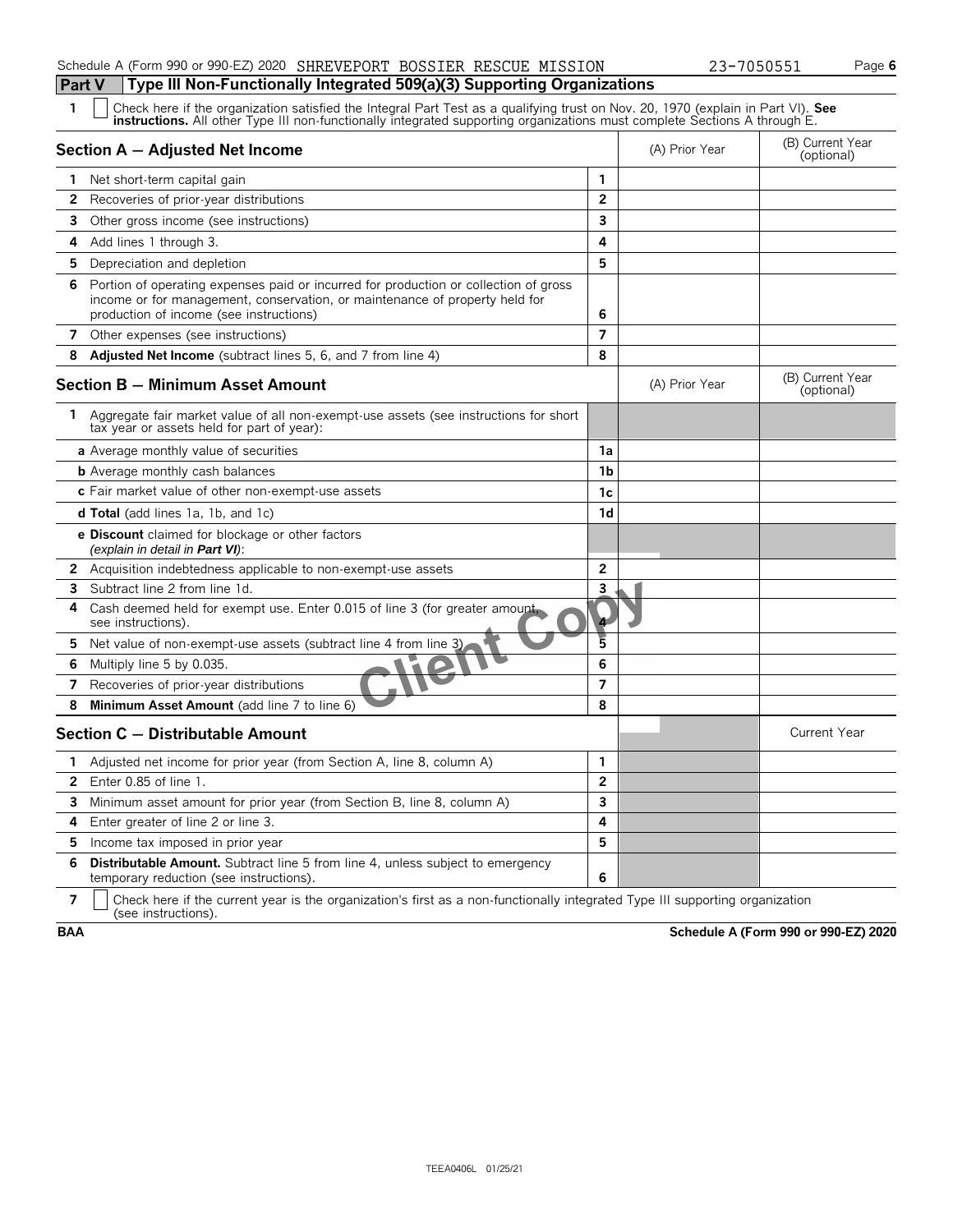### Schedule A (Form 990 or 990-EZ) 2020 SHREVEPORT BOSSIER RESCUE MISSION 23-7050551 Page 6 **Part V Type III Non-Functionally Integrated 509(a)(3) Supporting Organizations**

| 1                     | Check here if the organization satisfied the Integral Part Test as a qualifying trust on Nov. 20, 1970 (explain in Part VI). See<br><b>instructions.</b> All other Type III non-functionally integrated supporting organizations must complete Sections A through E. |                  |                                |                                |
|-----------------------|----------------------------------------------------------------------------------------------------------------------------------------------------------------------------------------------------------------------------------------------------------------------|------------------|--------------------------------|--------------------------------|
|                       | Section A - Adjusted Net Income                                                                                                                                                                                                                                      | (A) Prior Year   | (B) Current Year<br>(optional) |                                |
|                       | 1 Net short-term capital gain                                                                                                                                                                                                                                        | 1                |                                |                                |
| 2                     | Recoveries of prior-year distributions                                                                                                                                                                                                                               | $\overline{2}$   |                                |                                |
| 3                     | Other gross income (see instructions)                                                                                                                                                                                                                                | 3                |                                |                                |
| 4                     | Add lines 1 through 3.                                                                                                                                                                                                                                               | 4                |                                |                                |
| 5.                    | Depreciation and depletion                                                                                                                                                                                                                                           | 5                |                                |                                |
| 6                     | Portion of operating expenses paid or incurred for production or collection of gross<br>income or for management, conservation, or maintenance of property held for<br>production of income (see instructions)                                                       | 6                |                                |                                |
|                       | 7 Other expenses (see instructions)                                                                                                                                                                                                                                  | $\overline{7}$   |                                |                                |
| 8                     | Adjusted Net Income (subtract lines 5, 6, and 7 from line 4)                                                                                                                                                                                                         | 8                |                                |                                |
|                       | <b>Section B - Minimum Asset Amount</b>                                                                                                                                                                                                                              |                  | (A) Prior Year                 | (B) Current Year<br>(optional) |
|                       | 1 Aggregate fair market value of all non-exempt-use assets (see instructions for short<br>tax year or assets held for part of year):                                                                                                                                 |                  |                                |                                |
|                       | a Average monthly value of securities                                                                                                                                                                                                                                | 1a               |                                |                                |
|                       | <b>b</b> Average monthly cash balances                                                                                                                                                                                                                               | 1 <sub>b</sub>   |                                |                                |
|                       | c Fair market value of other non-exempt-use assets                                                                                                                                                                                                                   | 1c               |                                |                                |
|                       | <b>d Total</b> (add lines 1a, 1b, and 1c)                                                                                                                                                                                                                            | 1 <sub>d</sub>   |                                |                                |
|                       | <b>e Discount</b> claimed for blockage or other factors<br>(explain in detail in Part VI):                                                                                                                                                                           |                  |                                |                                |
| $\mathbf{2}^{\prime}$ | Acquisition indebtedness applicable to non-exempt-use assets                                                                                                                                                                                                         | $\overline{2}$   |                                |                                |
| 3                     | Subtract line 2 from line 1d.                                                                                                                                                                                                                                        | 3                |                                |                                |
| 4                     | Cash deemed held for exempt use. Enter 0.015 of line 3 (for greater amount,<br>see instructions).                                                                                                                                                                    | $\blacktriangle$ |                                |                                |
| 5.                    | Net value of non-exempt-use assets (subtract line 4 from line 3)                                                                                                                                                                                                     | 5                |                                |                                |
| 6                     | Multiply line 5 by 0.035.                                                                                                                                                                                                                                            | 6                |                                |                                |
| 7                     | Recoveries of prior-year distributions                                                                                                                                                                                                                               | $\overline{7}$   |                                |                                |
| 8                     | Minimum Asset Amount (add line 7 to line 6)                                                                                                                                                                                                                          | 8                |                                |                                |
|                       | Section C - Distributable Amount                                                                                                                                                                                                                                     |                  |                                | <b>Current Year</b>            |
| 1                     | Adjusted net income for prior year (from Section A, line 8, column A)                                                                                                                                                                                                | 1                |                                |                                |
| $\overline{2}$        | Enter 0.85 of line 1.                                                                                                                                                                                                                                                | $\overline{2}$   |                                |                                |
| 3                     | Minimum asset amount for prior year (from Section B, line 8, column A)                                                                                                                                                                                               | 3                |                                |                                |
| 4                     | Enter greater of line 2 or line 3.                                                                                                                                                                                                                                   | 4                |                                |                                |
| 5                     | Income tax imposed in prior year                                                                                                                                                                                                                                     | 5                |                                |                                |
| 6                     | <b>Distributable Amount.</b> Subtract line 5 from line 4, unless subject to emergency<br>temporary reduction (see instructions).                                                                                                                                     | 6                |                                |                                |

**7**  $\mid$  Check here if the current year is the organization's first as a non-functionally integrated Type III supporting organization (see instructions).

**BAA Schedule A (Form 990 or 990-EZ) 2020**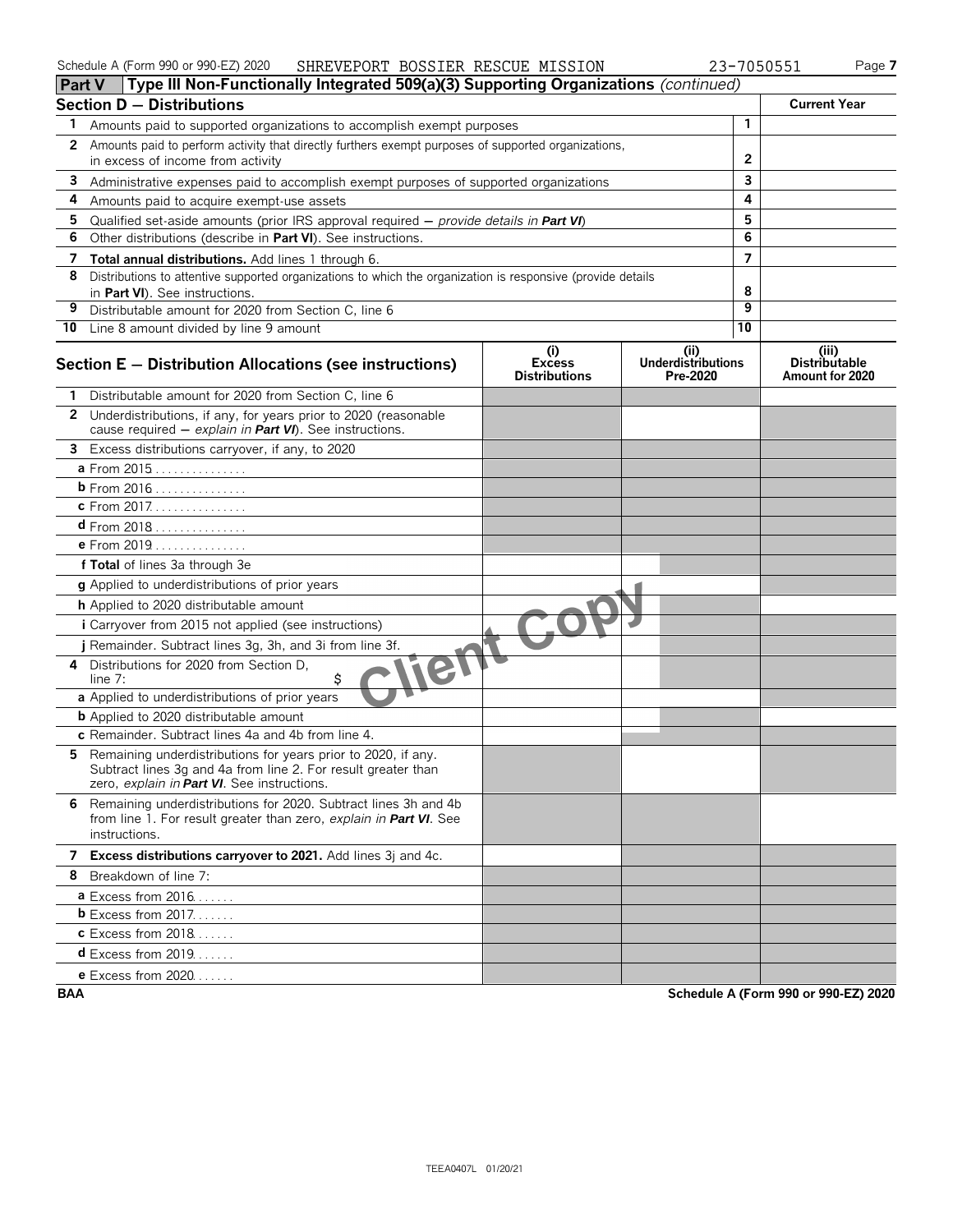| Schedule A (Form 990 or 990-EZ) 2020 | SHREVEPORT BOSSIER RESCUE MISSION |  | 3-7050551<br>ر ے | Page |
|--------------------------------------|-----------------------------------|--|------------------|------|
|--------------------------------------|-----------------------------------|--|------------------|------|

|              | Type III Non-Functionally Integrated 509(a)(3) Supporting Organizations (continued)<br><b>Part V</b>                                                                          |                                              |                                               |              |                                                  |
|--------------|-------------------------------------------------------------------------------------------------------------------------------------------------------------------------------|----------------------------------------------|-----------------------------------------------|--------------|--------------------------------------------------|
|              | Section D - Distributions                                                                                                                                                     |                                              |                                               |              | <b>Current Year</b>                              |
| 1            | Amounts paid to supported organizations to accomplish exempt purposes                                                                                                         |                                              |                                               | 1            |                                                  |
| $\mathbf{2}$ | Amounts paid to perform activity that directly furthers exempt purposes of supported organizations,<br>in excess of income from activity                                      |                                              |                                               | $\mathbf{2}$ |                                                  |
| 3            | Administrative expenses paid to accomplish exempt purposes of supported organizations                                                                                         |                                              | 3                                             |              |                                                  |
| 4            | Amounts paid to acquire exempt-use assets                                                                                                                                     |                                              |                                               | 4            |                                                  |
| 5            | Qualified set-aside amounts (prior IRS approval required $-$ provide details in Part VI)                                                                                      |                                              |                                               | 5            |                                                  |
| 6            | Other distributions (describe in Part VI). See instructions.                                                                                                                  |                                              |                                               | 6            |                                                  |
| 7            | Total annual distributions. Add lines 1 through 6.                                                                                                                            |                                              |                                               | 7            |                                                  |
| 8            | Distributions to attentive supported organizations to which the organization is responsive (provide details<br>in Part VI). See instructions.                                 |                                              |                                               | 8            |                                                  |
| 9            | Distributable amount for 2020 from Section C, line 6                                                                                                                          |                                              |                                               | 9            |                                                  |
|              | 10 Line 8 amount divided by line 9 amount                                                                                                                                     |                                              |                                               | 10           |                                                  |
|              | Section E - Distribution Allocations (see instructions)                                                                                                                       | (i)<br><b>Excess</b><br><b>Distributions</b> | (ii)<br><b>Underdistributions</b><br>Pre-2020 |              | (iii)<br><b>Distributable</b><br>Amount for 2020 |
|              | Distributable amount for 2020 from Section C, line 6                                                                                                                          |                                              |                                               |              |                                                  |
|              | 2 Underdistributions, if any, for years prior to 2020 (reasonable<br>cause required - explain in Part VI). See instructions.                                                  |                                              |                                               |              |                                                  |
| 3            | Excess distributions carryover, if any, to 2020                                                                                                                               |                                              |                                               |              |                                                  |
|              | a From 2015                                                                                                                                                                   |                                              |                                               |              |                                                  |
|              | <b>b</b> From 2016                                                                                                                                                            |                                              |                                               |              |                                                  |
|              | c From 2017.                                                                                                                                                                  |                                              |                                               |              |                                                  |
|              | $d$ From 2018                                                                                                                                                                 |                                              |                                               |              |                                                  |
|              | e From 2019                                                                                                                                                                   |                                              |                                               |              |                                                  |
|              | f Total of lines 3a through 3e                                                                                                                                                |                                              |                                               |              |                                                  |
|              | g Applied to underdistributions of prior years                                                                                                                                |                                              |                                               |              |                                                  |
|              | h Applied to 2020 distributable amount                                                                                                                                        |                                              |                                               |              |                                                  |
|              | <i>i</i> Carryover from 2015 not applied (see instructions)                                                                                                                   |                                              |                                               |              |                                                  |
|              | j Remainder. Subtract lines 3g, 3h, and 3i from line 3f.                                                                                                                      |                                              |                                               |              |                                                  |
| 4            | Distributions for 2020 from Section D,<br>line 7:<br>Ş                                                                                                                        |                                              |                                               |              |                                                  |
|              | a Applied to underdistributions of prior years                                                                                                                                |                                              |                                               |              |                                                  |
|              | <b>b</b> Applied to 2020 distributable amount                                                                                                                                 |                                              |                                               |              |                                                  |
|              | c Remainder. Subtract lines 4a and 4b from line 4.                                                                                                                            |                                              |                                               |              |                                                  |
| 5.           | Remaining underdistributions for years prior to 2020, if any.<br>Subtract lines 3g and 4a from line 2. For result greater than<br>zero, explain in Part VI. See instructions. |                                              |                                               |              |                                                  |
|              | 6 Remaining underdistributions for 2020. Subtract lines 3h and 4b<br>from line 1. For result greater than zero, explain in Part VI. See<br>instructions.                      |                                              |                                               |              |                                                  |
|              | 7 Excess distributions carryover to 2021. Add lines 3j and 4c.                                                                                                                |                                              |                                               |              |                                                  |
|              | 8 Breakdown of line 7:                                                                                                                                                        |                                              |                                               |              |                                                  |
|              | <b>a</b> Excess from $2016$                                                                                                                                                   |                                              |                                               |              |                                                  |
|              | <b>b</b> Excess from 2017.                                                                                                                                                    |                                              |                                               |              |                                                  |
|              | <b>c</b> Excess from 2018                                                                                                                                                     |                                              |                                               |              |                                                  |
|              | <b>d</b> Excess from 2019                                                                                                                                                     |                                              |                                               |              |                                                  |
|              | <b>e</b> Excess from 2020                                                                                                                                                     |                                              |                                               |              |                                                  |

**BAA Schedule A (Form 990 or 990-EZ) 2020**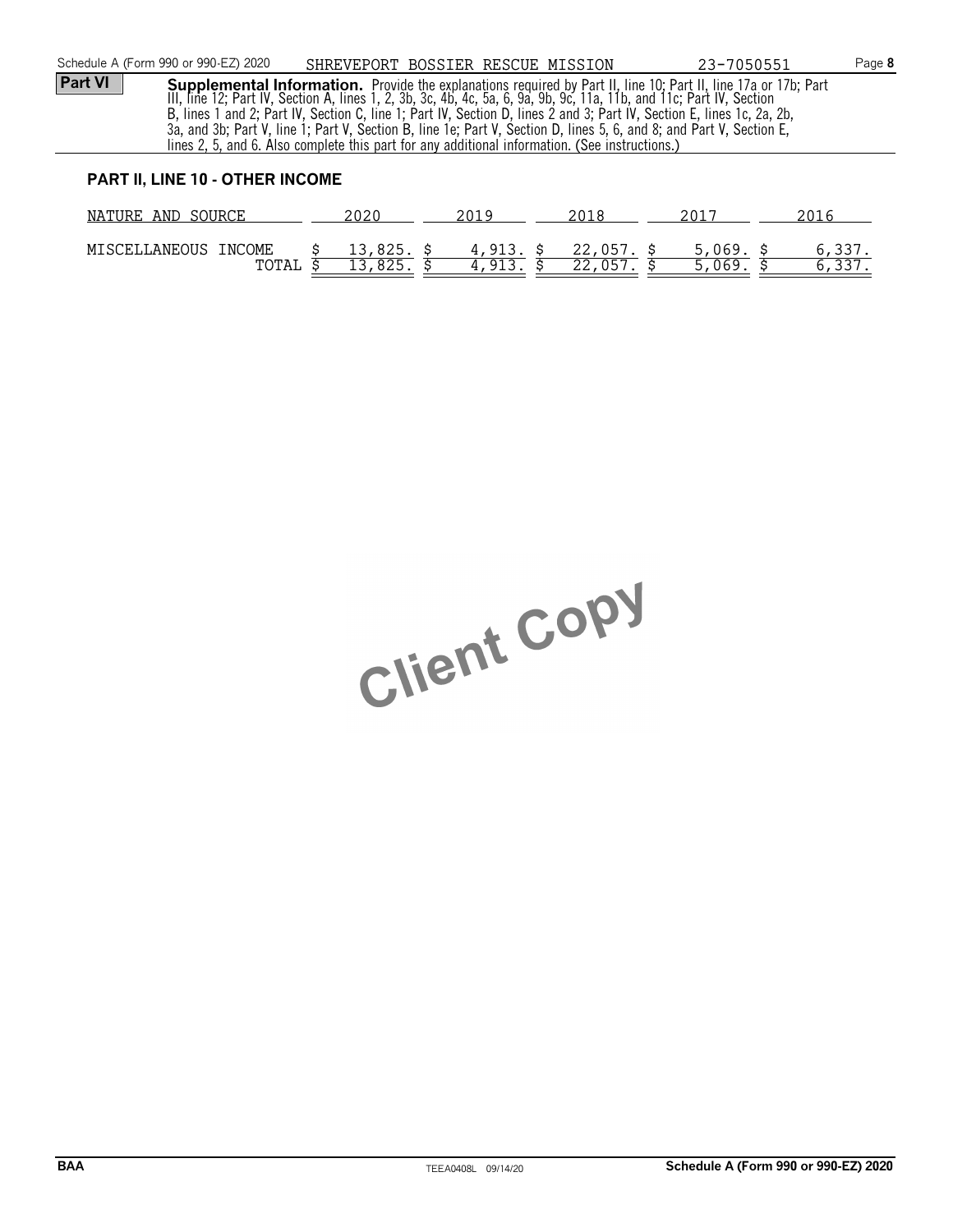| Schedule A (Form 990 or 990-EZ) 2020 | SHREVEPORT BOSSIER RESCUE MISSION                                                              |  | 23-7050551                                                                                                                                                                                                                                                                                                                                                                                                                                                                               | Page 8 |
|--------------------------------------|------------------------------------------------------------------------------------------------|--|------------------------------------------------------------------------------------------------------------------------------------------------------------------------------------------------------------------------------------------------------------------------------------------------------------------------------------------------------------------------------------------------------------------------------------------------------------------------------------------|--------|
| Part VI                              | lines 2, 5, and 6. Also complete this part for any additional information. (See instructions.) |  | <b>Supplemental Information.</b> Provide the explanations required by Part II, line 10; Part II, line 17a or 17b; Part<br>III, line 12; Part IV, Section A, lines 1, 2, 3b, 3c, 4b, 4c, 5a, 6, 9a, 9b, 9c, 11a, 11b, and 11c; Part IV,<br>B, lines 1 and 2; Part IV, Section C, line 1; Part IV, Section D, lines 2 and 3; Part IV, Section E, lines 1c, 2a, 2b,<br>3a, and 3b; Part V, line 1; Part V, Section B, line 1e; Part V, Section D, lines 5, 6, and 8; and Part V, Section E, |        |
|                                      |                                                                                                |  |                                                                                                                                                                                                                                                                                                                                                                                                                                                                                          |        |

# **PART II, LINE 10 - OTHER INCOME**

| AND<br>SOURCF<br>NATURE               |             |                           |              |  |                                                          |
|---------------------------------------|-------------|---------------------------|--------------|--|----------------------------------------------------------|
| MISCELLANEOUS INCOME<br>ጥ∩ጥ⊼<br>TATAT | ozj.<br>ດລະ | 01<br>$\Omega$ 1<br>. ب - | . 057<br>∩ҕ¬ |  | ,,,,,,<br>$\overline{\phantom{a}}$<br><u>, , , , , ,</u> |

Client Copy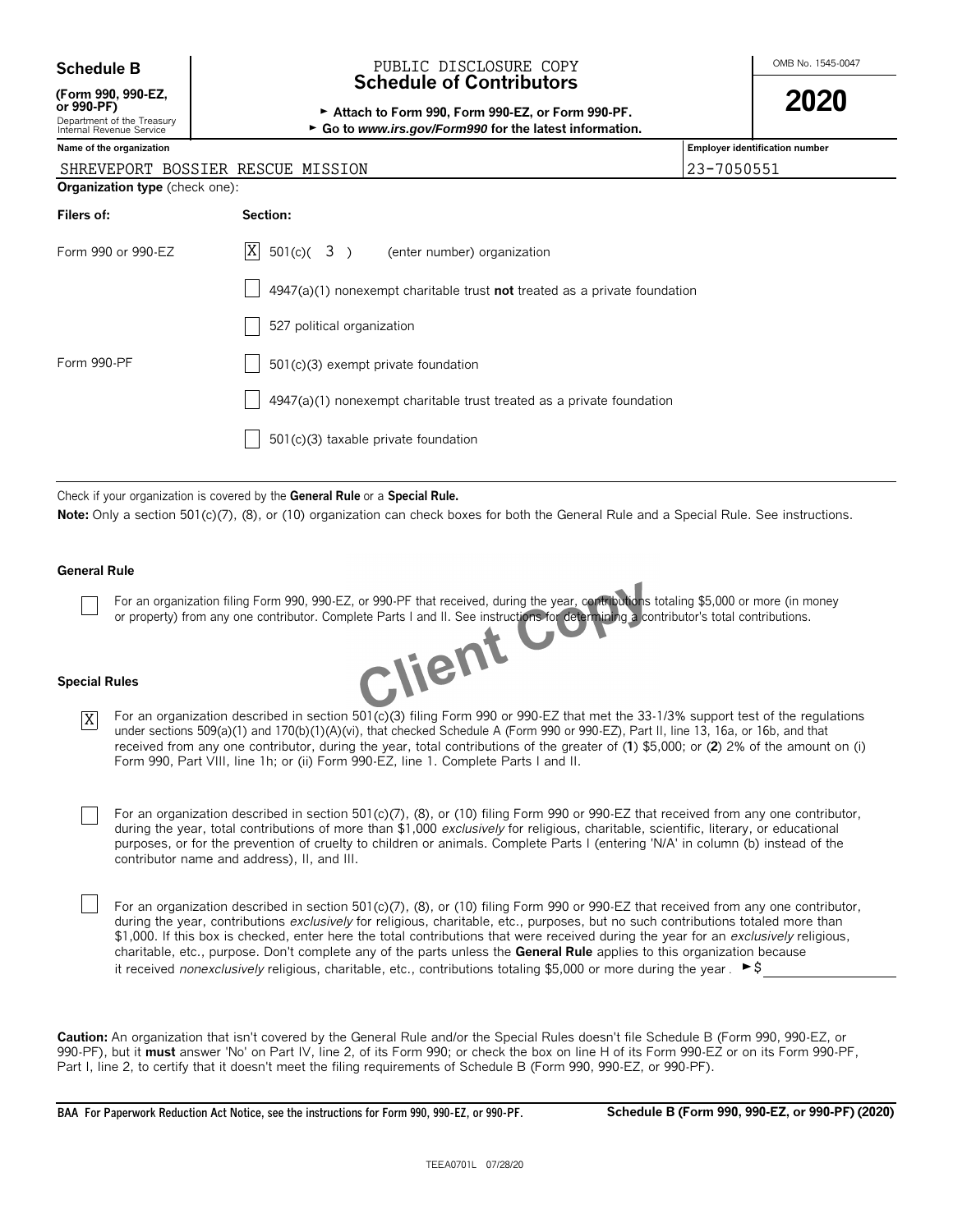| <b>Schedule B</b>                                                                          | PUBLIC DISCLOSURE COPY                                                             | OMB No. 1545-0047                                                                                                                              |                                       |  |  |  |
|--------------------------------------------------------------------------------------------|------------------------------------------------------------------------------------|------------------------------------------------------------------------------------------------------------------------------------------------|---------------------------------------|--|--|--|
| (Form 990, 990-EZ,<br>or 990-PF)<br>Department of the Treasury<br>Internal Revenue Service |                                                                                    | <b>Schedule of Contributors</b><br>Attach to Form 990, Form 990-EZ, or Form 990-PF.<br>► Go to www.irs.gov/Form990 for the latest information. |                                       |  |  |  |
| Name of the organization                                                                   |                                                                                    |                                                                                                                                                | <b>Employer identification number</b> |  |  |  |
|                                                                                            | SHREVEPORT BOSSIER RESCUE MISSION                                                  | 23-7050551                                                                                                                                     |                                       |  |  |  |
| <b>Organization type</b> (check one):                                                      |                                                                                    |                                                                                                                                                |                                       |  |  |  |
| Filers of:                                                                                 | Section:                                                                           |                                                                                                                                                |                                       |  |  |  |
| Form 990 or 990-EZ                                                                         | $ X $ 501(c)( 3)<br>(enter number) organization                                    |                                                                                                                                                |                                       |  |  |  |
|                                                                                            | $4947(a)(1)$ nonexempt charitable trust <b>not</b> treated as a private foundation |                                                                                                                                                |                                       |  |  |  |
|                                                                                            | 527 political organization                                                         |                                                                                                                                                |                                       |  |  |  |
| Form 990-PF                                                                                | 501(c)(3) exempt private foundation                                                |                                                                                                                                                |                                       |  |  |  |
|                                                                                            | $4947(a)(1)$ nonexempt charitable trust treated as a private foundation            |                                                                                                                                                |                                       |  |  |  |
|                                                                                            | $501(c)(3)$ taxable private foundation                                             |                                                                                                                                                |                                       |  |  |  |

Check if your organization is covered by the **General Rule** or a **Special Rule.**

Note: Only a section 501(c)(7), (8), or (10) organization can check boxes for both the General Rule and a Special Rule. See instructions.

client

#### **General Rule**

For an organization filing Form 990, 990-EZ, or 990-PF that received, during the year, contributions totaling \$5,000 or more (in money or property) from any one contributor. Complete Parts I and II. See instructions for determining a contributor's total contributions.

#### **Special Rules**

For an organization described in section 501(c)(3) filing Form 990 or 990-EZ that met the 33-1/3% support test of the regulations under sections 509(a)(1) and 170(b)(1)(A)(vi), that checked Schedule A (Form 990 or 990-EZ), Part II, line 13, 16a, or 16b, and that received from any one contributor, during the year, total contributions of the greater of (**1**) \$5,000; or (**2**) 2% of the amount on (i) Form 990, Part VIII, line 1h; or (ii) Form 990-EZ, line 1. Complete Parts I and II. X

For an organization described in section 501(c)(7), (8), or (10) filing Form 990 or 990-EZ that received from any one contributor, during the year, total contributions of more than \$1,000 *exclusively* for religious, charitable, scientific, literary, or educational purposes, or for the prevention of cruelty to children or animals. Complete Parts I (entering 'N/A' in column (b) instead of the contributor name and address), II, and III.

For an organization described in section 501(c)(7), (8), or (10) filing Form 990 or 990-EZ that received from any one contributor, during the year, contributions *exclusively* for religious, charitable, etc., purposes, but no such contributions totaled more than \$1,000. If this box is checked, enter here the total contributions that were received during the year for an *exclusively* religious, charitable, etc., purpose. Don't complete any of the parts unless the **General Rule** applies to this organization because it received *nonexclusively* religious, charitable, etc., contributions totaling \$5,000 or more during the year .  $\blacktriangleright$ \$

**Caution:** An organization that isn't covered by the General Rule and/or the Special Rules doesn't file Schedule B (Form 990, 990-EZ, or 990-PF), but it **must** answer 'No' on Part IV, line 2, of its Form 990; or check the box on line H of its Form 990-EZ or on its Form 990-PF, Part I, line 2, to certify that it doesn't meet the filing requirements of Schedule B (Form 990, 990-EZ, or 990-PF).

**BAA For Paperwork Reduction Act Notice, see the instructions for Form 990, 990-EZ, or 990-PF. Schedule B (Form 990, 990-EZ, or 990-PF) (2020)**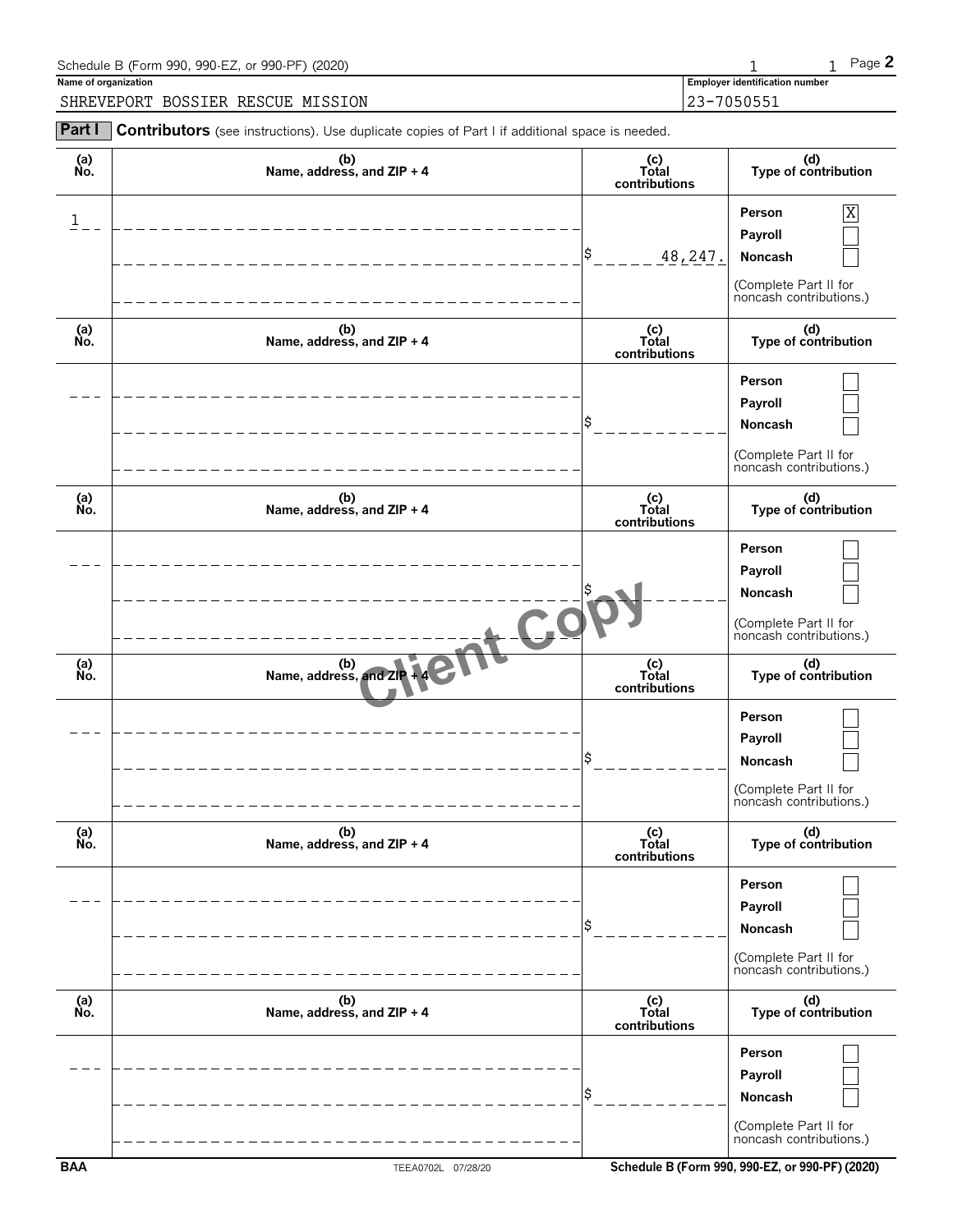| Schedule B (Form 990, 990-EZ, or 990-PF) (2020)                                                              |                                       | Page 2 |
|--------------------------------------------------------------------------------------------------------------|---------------------------------------|--------|
| Name of organization                                                                                         | <b>Employer identification number</b> |        |
| SHREVEPORT BOSSIER RESCUE MISSION                                                                            | 123-7050551                           |        |
| <b>Part I</b> Contributors (see instructions). Use duplicate copies of Part I if additional space is needed. |                                       |        |

| (a)<br>No. | (b)<br>Name, address, and ZIP + 4 | (c)<br>Total<br>contributions | (d)<br>Type of contribution                                                      |
|------------|-----------------------------------|-------------------------------|----------------------------------------------------------------------------------|
| 1          |                                   | \$<br>48,247.                 | Person<br>Payroll<br>Noncash<br>(Complete Part II for<br>noncash contributions.) |
| (a)<br>No. | (b)<br>Name, address, and ZIP + 4 | (c)<br>Total<br>contributions | (d)<br>Type of contribution                                                      |
|            |                                   |                               | Person<br>Payroll<br>Noncash<br>(Complete Part II for<br>noncash contributions.) |
| (a)<br>No. | (b)<br>Name, address, and ZIP + 4 | (c)<br>Total<br>contributions | (d)<br>Type of contribution                                                      |
|            | <u>CC</u>                         |                               | Person<br>Payroll<br>Noncash<br>(Complete Part II for<br>noncash contributions.) |
| (a)<br>No. | (b)<br>Name, address, and ZIP + 4 | (c)<br>Total<br>contributions | (d)<br>Type of contribution                                                      |
|            |                                   | \$                            | Person<br>Payroll<br>Noncash<br>(Complete Part II for<br>noncash contributions.) |
| (a)<br>Ńó. | (b)<br>Name, address, and ZIP + 4 | (c)<br>Total<br>contributions | (d)<br>Type of contribution                                                      |
|            |                                   | \$                            | Person<br>Payroll<br>Noncash<br>(Complete Part II for<br>noncash contributions.) |
| (a)<br>No. | (b)<br>Name, address, and ZIP + 4 | (c)<br>Total<br>contributions | (d)<br>Type of contribution                                                      |
|            |                                   | \$                            | Person<br>Payroll<br>Noncash<br>(Complete Part II for<br>noncash contributions.) |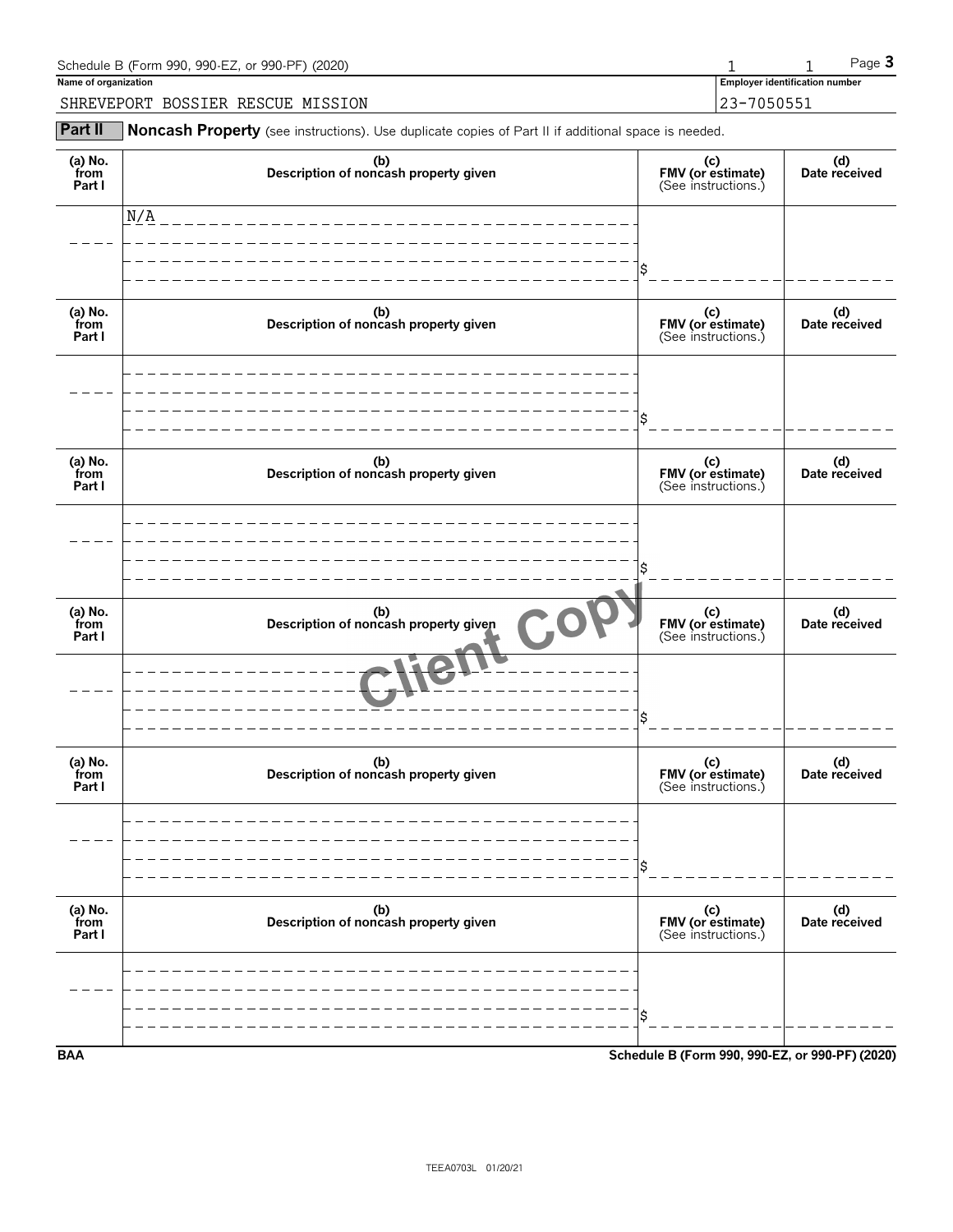| Schedule B (Form 990, 990-EZ, or 990-PF) (2020) |                                       |  | Page $\mathbf 3$ |  |
|-------------------------------------------------|---------------------------------------|--|------------------|--|
| Name of organization                            | <b>Employer identification number</b> |  |                  |  |
| SHREVEPORT BOSSIER RESCUE MISSION               | 23-7050551                            |  |                  |  |

**Part II** Noncash Property (see instructions). Use duplicate copies of Part II if additional space is needed.

| (a) No.<br>from<br>Part I | (b)<br>Description of noncash property given | (c)<br>FMV (or estimate)<br>(See instructions.) | (d)<br>Date received |
|---------------------------|----------------------------------------------|-------------------------------------------------|----------------------|
|                           | N/A                                          |                                                 |                      |
| (a) No.<br>from<br>Part I | (b)<br>Description of noncash property given | (c)<br>FMV (or estimate)<br>(See instructions.) | (d)<br>Date received |
|                           |                                              |                                                 |                      |
| (a) No.<br>from<br>Part I | (b)<br>Description of noncash property given | (c)<br>FMV (or estimate)<br>(See instructions.) | (d)<br>Date received |
|                           |                                              |                                                 |                      |
| (a) No.<br>from<br>Part I | (b)<br>Description of noncash property given | (c)<br>FMV (or estimate)<br>(See instructions.) | (d)<br>Date received |
|                           |                                              |                                                 |                      |
| (a) $No.$ from<br>Part I  | (b)<br>Description of noncash property given | (c)<br>FMV (or estimate)<br>(See instructions.) | (d)<br>Date received |
|                           |                                              | \$                                              |                      |
| (a) No.<br>from<br>Part I | (b)<br>Description of noncash property given | (c)<br>FMV (or estimate)<br>(See instructions.) | (d)<br>Date received |
|                           |                                              |                                                 |                      |
| <b>BAA</b>                |                                              | Schedule B (Form 990, 990-EZ, or 990-PF) (2020) |                      |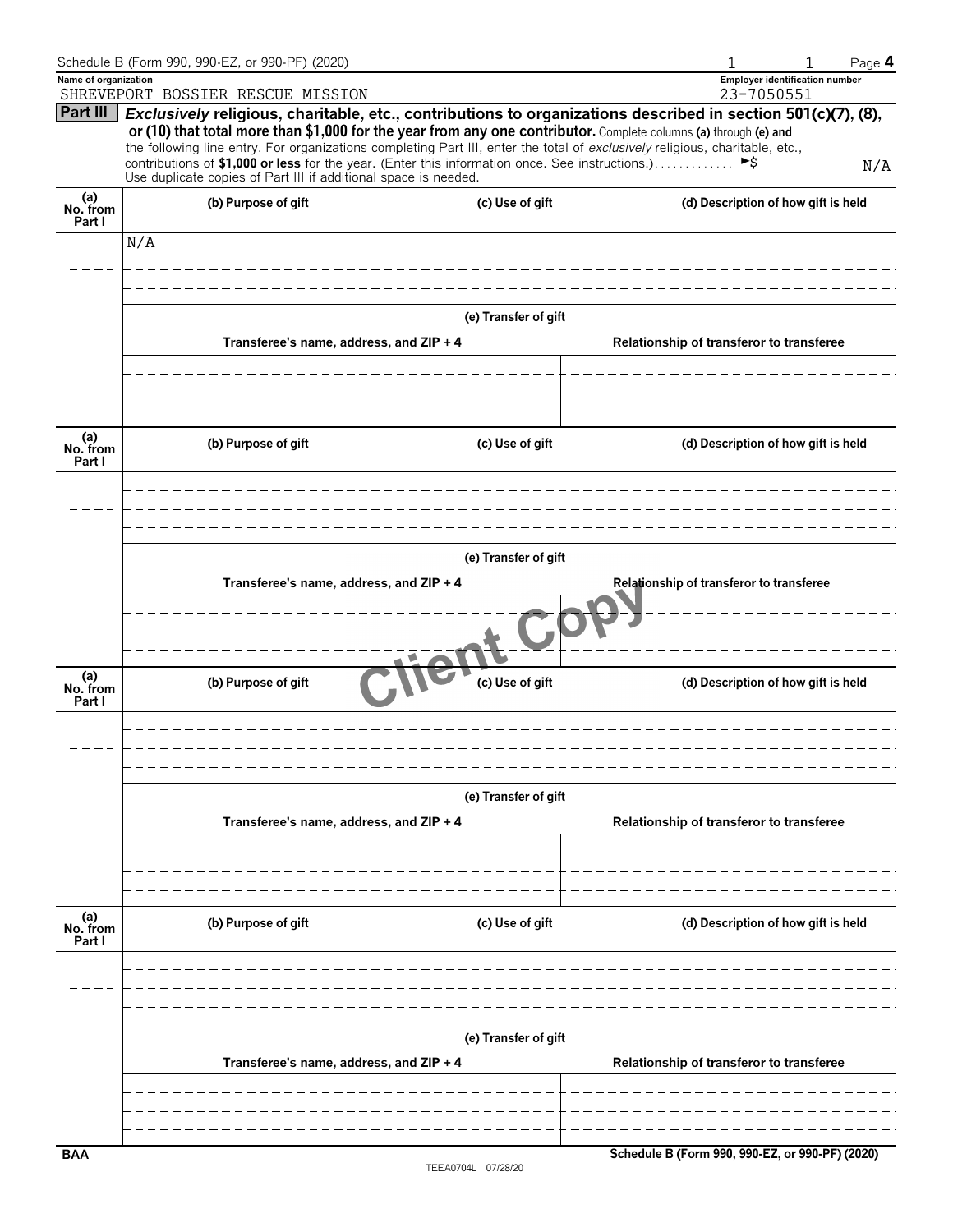|                           | Schedule B (Form 990, 990-EZ, or 990-PF) (2020)                                                                                                                                                                                                                                                                                                                                                                                                                                                                                                      |                      |  | 1                                                   | Page 4 |  |  |
|---------------------------|------------------------------------------------------------------------------------------------------------------------------------------------------------------------------------------------------------------------------------------------------------------------------------------------------------------------------------------------------------------------------------------------------------------------------------------------------------------------------------------------------------------------------------------------------|----------------------|--|-----------------------------------------------------|--------|--|--|
| Name of organization      | SHREVEPORT BOSSIER RESCUE MISSION                                                                                                                                                                                                                                                                                                                                                                                                                                                                                                                    |                      |  | <b>Employer identification number</b><br>23-7050551 |        |  |  |
|                           | Part III Exclusively religious, charitable, etc., contributions to organizations described in section 501(c)(7), (8),<br>or (10) that total more than \$1,000 for the year from any one contributor. Complete columns (a) through (e) and<br>the following line entry. For organizations completing Part III, enter the total of exclusively religious, charitable, etc.,<br>contributions of \$1,000 or less for the year. (Enter this information once. See instructions.). ►\$<br>Use duplicate copies of Part III if additional space is needed. |                      |  |                                                     | N/A    |  |  |
| (a)<br>No. from<br>Part I | (b) Purpose of gift                                                                                                                                                                                                                                                                                                                                                                                                                                                                                                                                  | (c) Use of gift      |  | (d) Description of how gift is held                 |        |  |  |
|                           | N/A                                                                                                                                                                                                                                                                                                                                                                                                                                                                                                                                                  | ____________________ |  |                                                     |        |  |  |
|                           |                                                                                                                                                                                                                                                                                                                                                                                                                                                                                                                                                      |                      |  |                                                     |        |  |  |
|                           |                                                                                                                                                                                                                                                                                                                                                                                                                                                                                                                                                      | (e) Transfer of gift |  |                                                     |        |  |  |
|                           | Transferee's name, address, and ZIP + 4                                                                                                                                                                                                                                                                                                                                                                                                                                                                                                              |                      |  | Relationship of transferor to transferee            |        |  |  |
|                           |                                                                                                                                                                                                                                                                                                                                                                                                                                                                                                                                                      |                      |  |                                                     |        |  |  |
|                           |                                                                                                                                                                                                                                                                                                                                                                                                                                                                                                                                                      |                      |  |                                                     |        |  |  |
| (a)<br>No. from<br>Part I | (b) Purpose of gift                                                                                                                                                                                                                                                                                                                                                                                                                                                                                                                                  | (c) Use of gift      |  | (d) Description of how gift is held                 |        |  |  |
|                           |                                                                                                                                                                                                                                                                                                                                                                                                                                                                                                                                                      |                      |  |                                                     |        |  |  |
|                           |                                                                                                                                                                                                                                                                                                                                                                                                                                                                                                                                                      |                      |  |                                                     |        |  |  |
|                           |                                                                                                                                                                                                                                                                                                                                                                                                                                                                                                                                                      | (e) Transfer of gift |  |                                                     |        |  |  |
|                           | Transferee's name, address, and ZIP + 4                                                                                                                                                                                                                                                                                                                                                                                                                                                                                                              |                      |  | Relationship of transferor to transferee            |        |  |  |
|                           |                                                                                                                                                                                                                                                                                                                                                                                                                                                                                                                                                      |                      |  |                                                     |        |  |  |
|                           |                                                                                                                                                                                                                                                                                                                                                                                                                                                                                                                                                      |                      |  |                                                     |        |  |  |
| (a)<br>No. from<br>Part I | (b) Purpose of gift                                                                                                                                                                                                                                                                                                                                                                                                                                                                                                                                  | (c) Use of gift      |  | (d) Description of how gift is held                 |        |  |  |
|                           |                                                                                                                                                                                                                                                                                                                                                                                                                                                                                                                                                      |                      |  |                                                     |        |  |  |
|                           |                                                                                                                                                                                                                                                                                                                                                                                                                                                                                                                                                      |                      |  |                                                     |        |  |  |
|                           | (e) Transfer of gift                                                                                                                                                                                                                                                                                                                                                                                                                                                                                                                                 |                      |  |                                                     |        |  |  |
|                           | Transferee's name, address, and ZIP + 4                                                                                                                                                                                                                                                                                                                                                                                                                                                                                                              |                      |  | Relationship of transferor to transferee            |        |  |  |
|                           |                                                                                                                                                                                                                                                                                                                                                                                                                                                                                                                                                      |                      |  |                                                     |        |  |  |
|                           |                                                                                                                                                                                                                                                                                                                                                                                                                                                                                                                                                      |                      |  |                                                     |        |  |  |
| (a)<br>No. from<br>Part I | (b) Purpose of gift                                                                                                                                                                                                                                                                                                                                                                                                                                                                                                                                  | (c) Use of gift      |  | (d) Description of how gift is held                 |        |  |  |
|                           |                                                                                                                                                                                                                                                                                                                                                                                                                                                                                                                                                      |                      |  |                                                     |        |  |  |
|                           |                                                                                                                                                                                                                                                                                                                                                                                                                                                                                                                                                      |                      |  |                                                     |        |  |  |
|                           |                                                                                                                                                                                                                                                                                                                                                                                                                                                                                                                                                      | (e) Transfer of gift |  |                                                     |        |  |  |
|                           | Transferee's name, address, and ZIP + 4                                                                                                                                                                                                                                                                                                                                                                                                                                                                                                              |                      |  | Relationship of transferor to transferee            |        |  |  |
|                           |                                                                                                                                                                                                                                                                                                                                                                                                                                                                                                                                                      |                      |  |                                                     |        |  |  |
| <b>BAA</b>                |                                                                                                                                                                                                                                                                                                                                                                                                                                                                                                                                                      |                      |  | Schedule B (Form 990, 990-EZ, or 990-PF) (2020)     |        |  |  |
|                           |                                                                                                                                                                                                                                                                                                                                                                                                                                                                                                                                                      |                      |  |                                                     |        |  |  |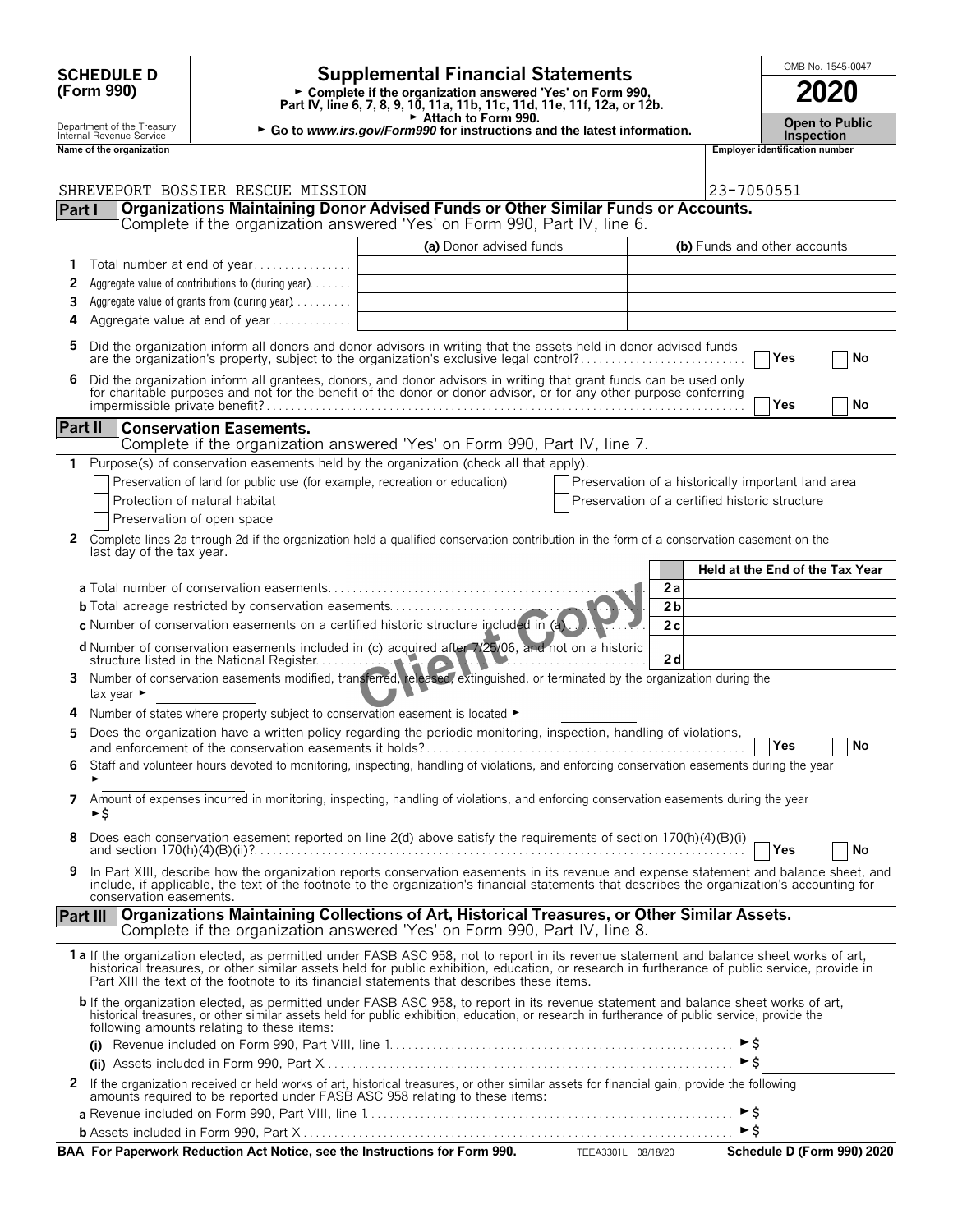| <b>SCHEDULE D</b> |  |
|-------------------|--|
| (Form 990)        |  |

# **SCHEDULE D Supplemental Financial Statements Fig. 1545-0047**

**Part IV, line 6, 7, 8, 9, 10, 11a, 11b, 11c, 11d, 11e, 11f, 12a, or 12b.**<br>
Part IV, line 6, 7, 8, 9, 10, 11a, 11b, 11c, 11d, 11e, 11f, 12a, or 12b.

Attach to Form 990.

Department of the Treasury ★ Go to *www.irs.gov/Form990* for instructions and the latest information. **Inspection**<br>Internal Revenue Service ★ Go to *www.irs.gov/Form990* for instructions and the latest information. Inspec

|                 | Name of the organization                                                                                                                                                                                                                                                                                                                                                                |                         |                                                | <b>Employer identification number</b>              |
|-----------------|-----------------------------------------------------------------------------------------------------------------------------------------------------------------------------------------------------------------------------------------------------------------------------------------------------------------------------------------------------------------------------------------|-------------------------|------------------------------------------------|----------------------------------------------------|
|                 |                                                                                                                                                                                                                                                                                                                                                                                         |                         |                                                |                                                    |
|                 | SHREVEPORT BOSSIER RESCUE MISSION                                                                                                                                                                                                                                                                                                                                                       |                         |                                                | 23-7050551                                         |
| Part I          | Organizations Maintaining Donor Advised Funds or Other Similar Funds or Accounts.<br>Complete if the organization answered 'Yes' on Form 990, Part IV, line 6.                                                                                                                                                                                                                          |                         |                                                |                                                    |
|                 |                                                                                                                                                                                                                                                                                                                                                                                         | (a) Donor advised funds |                                                | (b) Funds and other accounts                       |
| 1               | Total number at end of year                                                                                                                                                                                                                                                                                                                                                             |                         |                                                |                                                    |
| 2               | Aggregate value of contributions to (during year).                                                                                                                                                                                                                                                                                                                                      |                         |                                                |                                                    |
| 3               | Aggregate value of grants from (during year)                                                                                                                                                                                                                                                                                                                                            |                         |                                                |                                                    |
| 4               | Aggregate value at end of year                                                                                                                                                                                                                                                                                                                                                          |                         |                                                |                                                    |
|                 |                                                                                                                                                                                                                                                                                                                                                                                         |                         |                                                |                                                    |
| 5               | Did the organization inform all donors and donor advisors in writing that the assets held in donor advised funds<br>are the organization's property, subject to the organization's exclusive legal control?                                                                                                                                                                             |                         |                                                | Yes<br>No                                          |
| 6               | Did the organization inform all grantees, donors, and donor advisors in writing that grant funds can be used only for charitable purposes and not for the benefit of the donor or donor advisor, or for any other purpose conf                                                                                                                                                          |                         |                                                | Yes<br>No                                          |
| Part II         | <b>Conservation Easements.</b>                                                                                                                                                                                                                                                                                                                                                          |                         |                                                |                                                    |
|                 | Complete if the organization answered 'Yes' on Form 990, Part IV, line 7.                                                                                                                                                                                                                                                                                                               |                         |                                                |                                                    |
|                 | Purpose(s) of conservation easements held by the organization (check all that apply).                                                                                                                                                                                                                                                                                                   |                         |                                                |                                                    |
|                 | Preservation of land for public use (for example, recreation or education)                                                                                                                                                                                                                                                                                                              |                         |                                                | Preservation of a historically important land area |
|                 | Protection of natural habitat                                                                                                                                                                                                                                                                                                                                                           |                         | Preservation of a certified historic structure |                                                    |
|                 | Preservation of open space                                                                                                                                                                                                                                                                                                                                                              |                         |                                                |                                                    |
| 2               | Complete lines 2a through 2d if the organization held a qualified conservation contribution in the form of a conservation easement on the                                                                                                                                                                                                                                               |                         |                                                |                                                    |
|                 | last day of the tax year.                                                                                                                                                                                                                                                                                                                                                               |                         |                                                |                                                    |
|                 |                                                                                                                                                                                                                                                                                                                                                                                         |                         |                                                | Held at the End of the Tax Year                    |
|                 |                                                                                                                                                                                                                                                                                                                                                                                         |                         | 2a                                             |                                                    |
|                 | <b>b</b> Total acreage restricted by conservation easements                                                                                                                                                                                                                                                                                                                             |                         | 2 <sub>b</sub>                                 |                                                    |
|                 | c Number of conservation easements on a certified historic structure included in (a)                                                                                                                                                                                                                                                                                                    |                         | 2c                                             |                                                    |
|                 | d Number of conservation easements included in (c) acquired after 7/25/06, and not on a historic                                                                                                                                                                                                                                                                                        |                         |                                                |                                                    |
|                 | structure listed in the National Register.                                                                                                                                                                                                                                                                                                                                              |                         | 2d                                             |                                                    |
| 3               | Number of conservation easements modified, transferred, released, extinguished, or terminated by the organization during the<br>tax year $\blacktriangleright$                                                                                                                                                                                                                          |                         |                                                |                                                    |
| 4               | Number of states where property subject to conservation easement is located ►                                                                                                                                                                                                                                                                                                           |                         |                                                |                                                    |
| 5               | Does the organization have a written policy regarding the periodic monitoring, inspection, handling of violations,                                                                                                                                                                                                                                                                      |                         |                                                |                                                    |
|                 |                                                                                                                                                                                                                                                                                                                                                                                         |                         |                                                | No<br>Yes                                          |
| 6               | Staff and volunteer hours devoted to monitoring, inspecting, handling of violations, and enforcing conservation easements during the year                                                                                                                                                                                                                                               |                         |                                                |                                                    |
| 7               | Amount of expenses incurred in monitoring, inspecting, handling of violations, and enforcing conservation easements during the year<br>►\$                                                                                                                                                                                                                                              |                         |                                                |                                                    |
|                 | Does each conservation easement reported on line 2(d) above satisfy the requirements of section 170(h)(4)(B)(i)                                                                                                                                                                                                                                                                         |                         |                                                |                                                    |
|                 |                                                                                                                                                                                                                                                                                                                                                                                         |                         |                                                | No<br>Yes                                          |
| 9               | In Part XIII, describe how the organization reports conservation easements in its revenue and expense statement and balance sheet, and<br>include, if applicable, the text of the footnote to the organization's financial statements that describes the organization's accounting for<br>conservation easements.                                                                       |                         |                                                |                                                    |
| <b>Part III</b> | Organizations Maintaining Collections of Art, Historical Treasures, or Other Similar Assets.<br>Complete if the organization answered 'Yes' on Form 990, Part IV, line 8.                                                                                                                                                                                                               |                         |                                                |                                                    |
|                 | 1 a If the organization elected, as permitted under FASB ASC 958, not to report in its revenue statement and balance sheet works of art,<br>historical treasures, or other similar assets held for public exhibition, education, or research in furtherance of public service, provide in<br>Part XIII the text of the footnote to its financial statements that describes these items. |                         |                                                |                                                    |
|                 | b If the organization elected, as permitted under FASB ASC 958, to report in its revenue statement and balance sheet works of art,<br>historical treasures, or other similar assets held for public exhibition, education, or research in furtherance of public service, provide the<br>following amounts relating to these items:                                                      |                         |                                                |                                                    |
|                 |                                                                                                                                                                                                                                                                                                                                                                                         |                         |                                                | ►Ŝ                                                 |
|                 |                                                                                                                                                                                                                                                                                                                                                                                         |                         |                                                | $\triangleright$ \$                                |
| 2               | If the organization received or held works of art, historical treasures, or other similar assets for financial gain, provide the following<br>amounts required to be reported under FASB ASC 958 relating to these items:                                                                                                                                                               |                         |                                                |                                                    |
|                 |                                                                                                                                                                                                                                                                                                                                                                                         |                         |                                                | $\triangleright$ \$                                |
|                 |                                                                                                                                                                                                                                                                                                                                                                                         |                         |                                                | $\triangleright$ \$                                |
|                 | BAA For Paperwork Reduction Act Notice, see the Instructions for Form 990. TEEA3301L 08/18/20                                                                                                                                                                                                                                                                                           |                         |                                                | Schedule D (Form 990) 2020                         |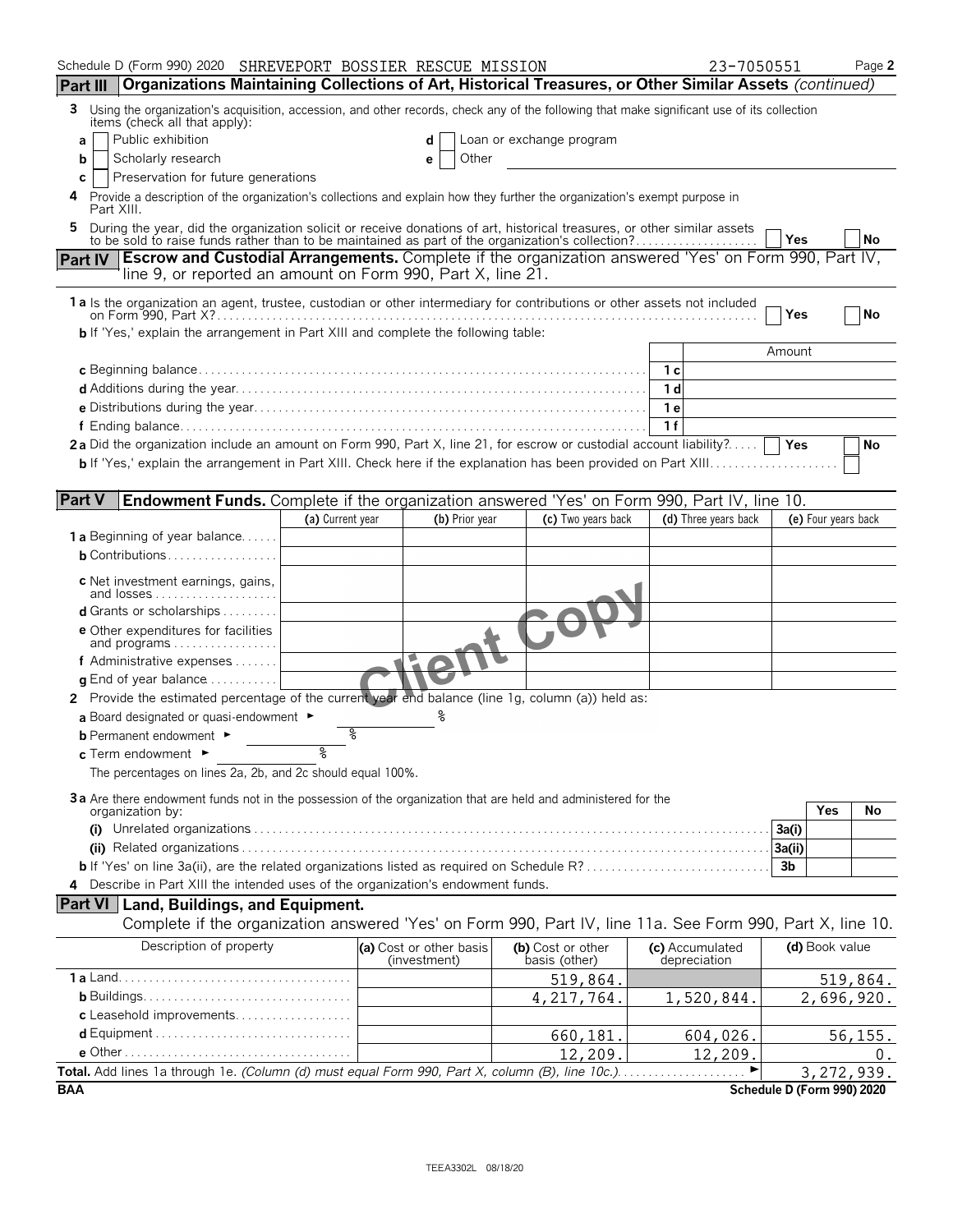| Schedule D (Form 990) 2020 SHREVEPORT BOSSIER RESCUE MISSION                                                                                                                                                              |                  |                                         |                                    | 23-7050551                      |                            | Page 2   |
|---------------------------------------------------------------------------------------------------------------------------------------------------------------------------------------------------------------------------|------------------|-----------------------------------------|------------------------------------|---------------------------------|----------------------------|----------|
| Organizations Maintaining Collections of Art, Historical Treasures, or Other Similar Assets (continued)<br>Part III                                                                                                       |                  |                                         |                                    |                                 |                            |          |
| 3<br>Using the organization's acquisition, accession, and other records, check any of the following that make significant use of its collection                                                                           |                  |                                         |                                    |                                 |                            |          |
| items (check all that apply):<br>Public exhibition<br>a                                                                                                                                                                   |                  | d                                       | Loan or exchange program           |                                 |                            |          |
| Scholarly research<br>b                                                                                                                                                                                                   |                  | Other<br>е                              |                                    |                                 |                            |          |
| Preservation for future generations<br>С                                                                                                                                                                                  |                  |                                         |                                    |                                 |                            |          |
| Provide a description of the organization's collections and explain how they further the organization's exempt purpose in<br>4                                                                                            |                  |                                         |                                    |                                 |                            |          |
| Part XIII.                                                                                                                                                                                                                |                  |                                         |                                    |                                 |                            |          |
| During the year, did the organization solicit or receive donations of art, historical treasures, or other similar assets to be sold to raise funds rather than to be maintained as part of the organization's collection? |                  |                                         |                                    |                                 | <b>Yes</b>                 | No       |
| <b>Escrow and Custodial Arrangements.</b> Complete if the organization answered 'Yes' on Form 990, Part IV,<br><b>Part IV</b>                                                                                             |                  |                                         |                                    |                                 |                            |          |
| line 9, or reported an amount on Form 990, Part X, line 21.                                                                                                                                                               |                  |                                         |                                    |                                 |                            |          |
| 1 a Is the organization an agent, trustee, custodian or other intermediary for contributions or other assets not included                                                                                                 |                  |                                         |                                    |                                 |                            |          |
|                                                                                                                                                                                                                           |                  |                                         |                                    |                                 | Yes                        | No       |
| <b>b</b> If 'Yes,' explain the arrangement in Part XIII and complete the following table:                                                                                                                                 |                  |                                         |                                    |                                 |                            |          |
|                                                                                                                                                                                                                           |                  |                                         |                                    |                                 | Amount                     |          |
|                                                                                                                                                                                                                           |                  |                                         |                                    | 1 с                             |                            |          |
|                                                                                                                                                                                                                           |                  |                                         |                                    | 1 d<br>1 e                      |                            |          |
|                                                                                                                                                                                                                           |                  |                                         |                                    | 1f                              |                            |          |
| 2a Did the organization include an amount on Form 990, Part X, line 21, for escrow or custodial account liability?                                                                                                        |                  |                                         |                                    |                                 |                            | No       |
|                                                                                                                                                                                                                           |                  |                                         |                                    |                                 |                            |          |
|                                                                                                                                                                                                                           |                  |                                         |                                    |                                 |                            |          |
| <b>Part V</b><br><b>Endowment Funds.</b> Complete if the organization answered 'Yes' on Form 990, Part IV, line 10.                                                                                                       |                  |                                         |                                    |                                 |                            |          |
|                                                                                                                                                                                                                           | (a) Current year | (b) Prior year                          | (c) Two years back                 | (d) Three years back            | (e) Four years back        |          |
| <b>1a</b> Beginning of year balance                                                                                                                                                                                       |                  |                                         |                                    |                                 |                            |          |
| <b>b</b> Contributions                                                                                                                                                                                                    |                  |                                         |                                    |                                 |                            |          |
| c Net investment earnings, gains,                                                                                                                                                                                         |                  |                                         |                                    |                                 |                            |          |
| d Grants or scholarships                                                                                                                                                                                                  |                  |                                         |                                    |                                 |                            |          |
| e Other expenditures for facilities                                                                                                                                                                                       |                  |                                         |                                    |                                 |                            |          |
| and programs<br>f Administrative expenses                                                                                                                                                                                 |                  |                                         |                                    |                                 |                            |          |
| <b>g</b> End of year balance $\dots\dots\dots\dots$                                                                                                                                                                       |                  |                                         |                                    |                                 |                            |          |
| 2 Provide the estimated percentage of the current year end balance (line 1g, column (a)) held as:                                                                                                                         |                  |                                         |                                    |                                 |                            |          |
| a Board designated or quasi-endowment $\blacktriangleright$                                                                                                                                                               |                  |                                         |                                    |                                 |                            |          |
| <b>b</b> Permanent endowment ►                                                                                                                                                                                            |                  |                                         |                                    |                                 |                            |          |
| $c$ Term endowment $\blacktriangleright$                                                                                                                                                                                  | ٥                |                                         |                                    |                                 |                            |          |
| The percentages on lines 2a, 2b, and 2c should equal 100%.                                                                                                                                                                |                  |                                         |                                    |                                 |                            |          |
| 3a Are there endowment funds not in the possession of the organization that are held and administered for the                                                                                                             |                  |                                         |                                    |                                 |                            |          |
| organization by:                                                                                                                                                                                                          |                  |                                         |                                    |                                 | <b>Yes</b>                 | No       |
|                                                                                                                                                                                                                           |                  |                                         |                                    |                                 | 3a(i)                      |          |
|                                                                                                                                                                                                                           |                  |                                         |                                    |                                 | 3a(ii)<br>3 <sub>b</sub>   |          |
| 4 Describe in Part XIII the intended uses of the organization's endowment funds.                                                                                                                                          |                  |                                         |                                    |                                 |                            |          |
| Part VI Land, Buildings, and Equipment.                                                                                                                                                                                   |                  |                                         |                                    |                                 |                            |          |
| Complete if the organization answered 'Yes' on Form 990, Part IV, line 11a. See Form 990, Part X, line 10.                                                                                                                |                  |                                         |                                    |                                 |                            |          |
| Description of property                                                                                                                                                                                                   |                  | (a) Cost or other basis<br>(investment) | (b) Cost or other<br>basis (other) | (c) Accumulated<br>depreciation | (d) Book value             |          |
|                                                                                                                                                                                                                           |                  |                                         | 519,864.                           |                                 |                            | 519,864. |
|                                                                                                                                                                                                                           |                  |                                         | 4, 217, 764.                       | 1,520,844                       | 2,696,920.                 |          |
| c Leasehold improvements                                                                                                                                                                                                  |                  |                                         |                                    |                                 |                            |          |
|                                                                                                                                                                                                                           |                  |                                         | 660,181.                           | 604,026.                        |                            | 56,155.  |
|                                                                                                                                                                                                                           |                  |                                         | 12,209.                            | 12,209.                         |                            | 0.       |
|                                                                                                                                                                                                                           |                  |                                         |                                    |                                 | 3,272,939.                 |          |
| <b>BAA</b>                                                                                                                                                                                                                |                  |                                         |                                    |                                 | Schedule D (Form 990) 2020 |          |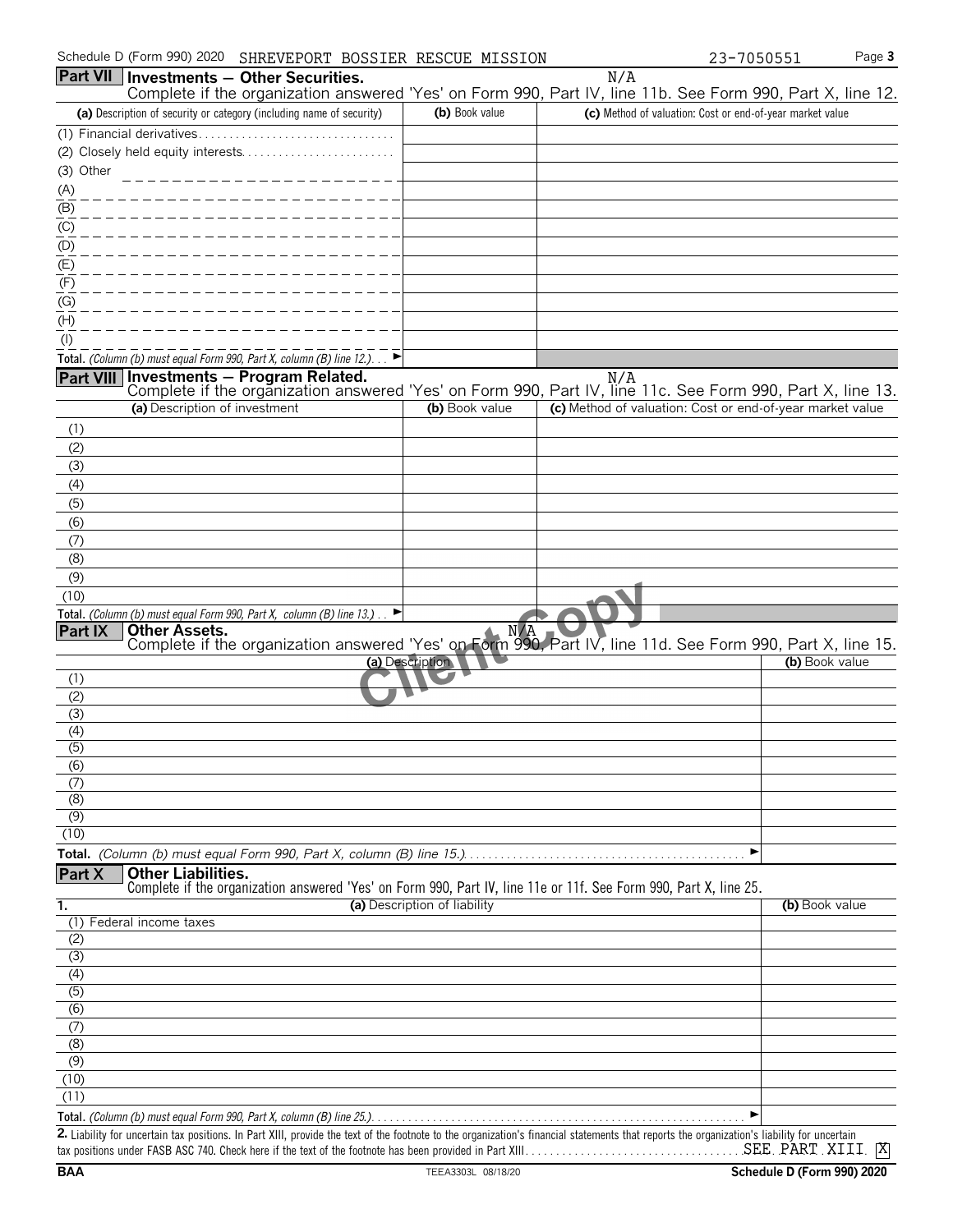|                         | Part VII   Investments - Other Securities.                                                                                         |                              | N/A                                                       |                |
|-------------------------|------------------------------------------------------------------------------------------------------------------------------------|------------------------------|-----------------------------------------------------------|----------------|
|                         | Complete if the organization answered 'Yes' on Form 990, Part IV, line 11b. See Form 990, Part X, line 12.                         |                              |                                                           |                |
|                         | (a) Description of security or category (including name of security)                                                               | (b) Book value               | (c) Method of valuation: Cost or end-of-year market value |                |
|                         |                                                                                                                                    |                              |                                                           |                |
|                         |                                                                                                                                    |                              |                                                           |                |
| (3) Other               |                                                                                                                                    |                              |                                                           |                |
| (A)                     |                                                                                                                                    |                              |                                                           |                |
| (B)                     |                                                                                                                                    |                              |                                                           |                |
| (C)<br>(D)              |                                                                                                                                    |                              |                                                           |                |
| (E)                     |                                                                                                                                    |                              |                                                           |                |
| (F)                     |                                                                                                                                    |                              |                                                           |                |
| (G)                     |                                                                                                                                    |                              |                                                           |                |
| (H)                     |                                                                                                                                    |                              |                                                           |                |
| $($ l $)$               |                                                                                                                                    |                              |                                                           |                |
|                         | Total. (Column (b) must equal Form 990, Part X, column (B) line 12.). $\Box$                                                       |                              |                                                           |                |
|                         | Part VIII Investments - Program Related.                                                                                           |                              | N/A                                                       |                |
|                         | Complete if the organization answered 'Yes' on Form 990, Part IV, line 11c. See Form 990, Part X, line 13.                         |                              |                                                           |                |
|                         | (a) Description of investment                                                                                                      | (b) Book value               | (c) Method of valuation: Cost or end-of-year market value |                |
| (1)                     |                                                                                                                                    |                              |                                                           |                |
| (2)                     |                                                                                                                                    |                              |                                                           |                |
| (3)<br>(4)              |                                                                                                                                    |                              |                                                           |                |
| (5)                     |                                                                                                                                    |                              |                                                           |                |
| (6)                     |                                                                                                                                    |                              |                                                           |                |
| (7)                     |                                                                                                                                    |                              |                                                           |                |
| (8)                     |                                                                                                                                    |                              |                                                           |                |
| (9)                     |                                                                                                                                    |                              |                                                           |                |
| (10)                    |                                                                                                                                    |                              |                                                           |                |
|                         | Total. (Column (b) must equal Form 990, Part X, column (B) line 13.).                                                              |                              |                                                           |                |
| Part IX                 | <b>Other Assets.</b><br>Complete if the organization answered 'Yes' on Form 990, Part IV, line 11d. See Form 990, Part X, line 15. | N/A                          |                                                           |                |
|                         |                                                                                                                                    | (a) Description              |                                                           | (b) Book value |
| (1)                     |                                                                                                                                    |                              |                                                           |                |
| (2)                     |                                                                                                                                    |                              |                                                           |                |
| (3)                     |                                                                                                                                    |                              |                                                           |                |
| (4)<br>$\overline{(5)}$ |                                                                                                                                    |                              |                                                           |                |
| (6)                     |                                                                                                                                    |                              |                                                           |                |
| (7)                     |                                                                                                                                    |                              |                                                           |                |
| (8)                     |                                                                                                                                    |                              |                                                           |                |
| (9)                     |                                                                                                                                    |                              |                                                           |                |
| (10)                    |                                                                                                                                    |                              |                                                           |                |
|                         |                                                                                                                                    |                              |                                                           |                |
| Part X                  | <b>Other Liabilities.</b>                                                                                                          |                              |                                                           |                |
| 1.                      | Complete if the organization answered 'Yes' on Form 990, Part IV, line 11e or 11f. See Form 990, Part X, line 25.                  | (a) Description of liability |                                                           | (b) Book value |
| (1)                     | Federal income taxes                                                                                                               |                              |                                                           |                |
| (2)                     |                                                                                                                                    |                              |                                                           |                |
| (3)                     |                                                                                                                                    |                              |                                                           |                |
| (4)                     |                                                                                                                                    |                              |                                                           |                |
| (5)                     |                                                                                                                                    |                              |                                                           |                |
| (6)<br>(7)              |                                                                                                                                    |                              |                                                           |                |
| (8)                     |                                                                                                                                    |                              |                                                           |                |
| (9)                     |                                                                                                                                    |                              |                                                           |                |
| (10)                    |                                                                                                                                    |                              |                                                           |                |
| (11)                    |                                                                                                                                    |                              |                                                           |                |
|                         |                                                                                                                                    |                              |                                                           |                |

**2.** Liability for uncertain tax positions. In Part XIII, provide the text of the footnote to the organization's financial statements that reports the organization's liability for uncertain

tax positions under FASB ASC 740. Check here if the text of the footnote has been provided in Part XIII. . . . . . . . . . . . . . . . . . . . . . . . . . . . . . . . . . . . . . . . . . . . . . . . . . . . . . . . SEE PART XIII X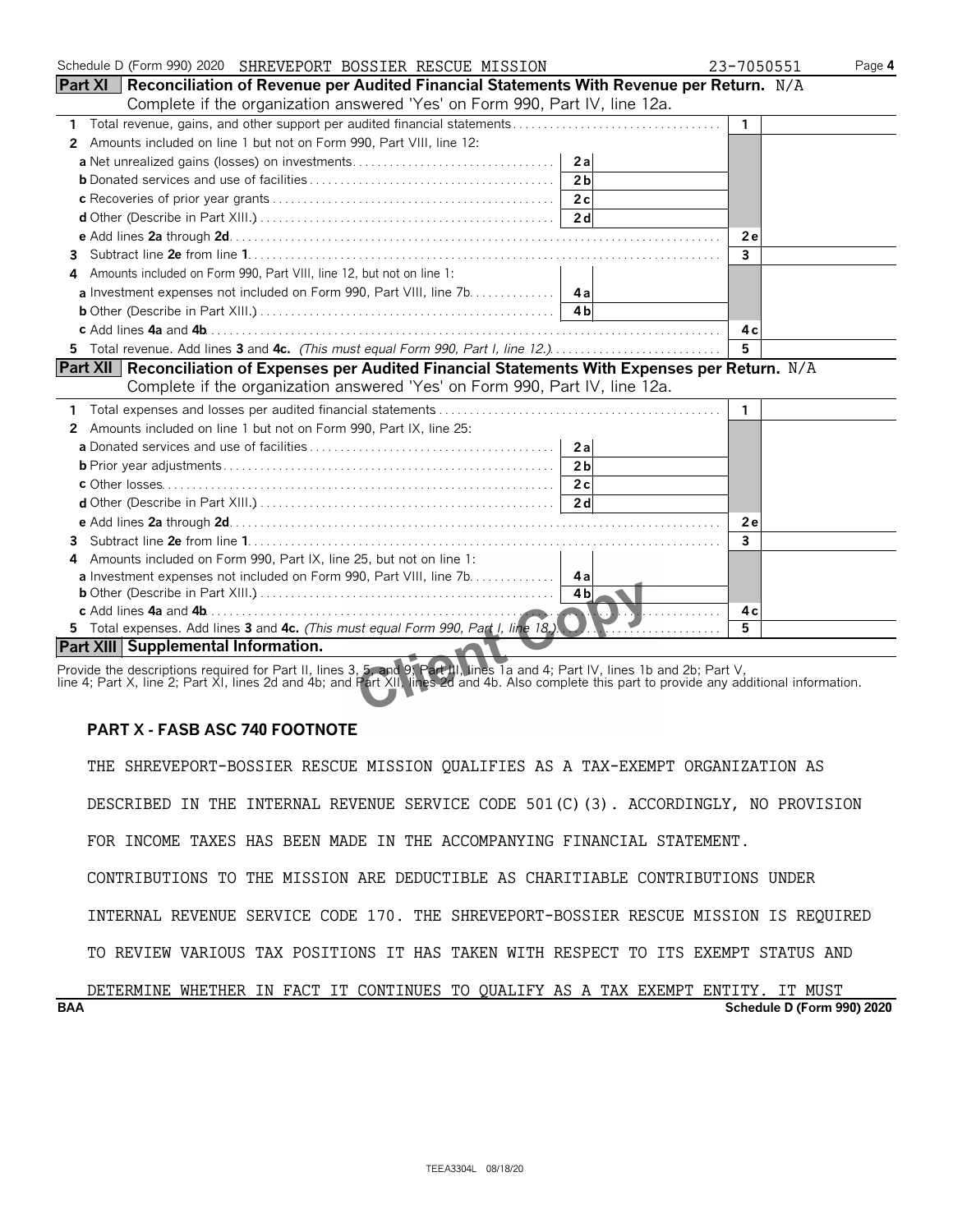| Schedule D (Form 990) 2020 SHREVEPORT BOSSIER RESCUE MISSION                                             |                | 23-7050551   | Page 4 |
|----------------------------------------------------------------------------------------------------------|----------------|--------------|--------|
| <b>Part XI</b> Reconciliation of Revenue per Audited Financial Statements With Revenue per Return. $N/A$ |                |              |        |
| Complete if the organization answered 'Yes' on Form 990, Part IV, line 12a.                              |                |              |        |
| 1.                                                                                                       |                | $\mathbf{1}$ |        |
| Amounts included on line 1 but not on Form 990, Part VIII, line 12:<br>2                                 |                |              |        |
|                                                                                                          | 2al            |              |        |
|                                                                                                          | 2 <sub>h</sub> |              |        |
|                                                                                                          |                |              |        |
|                                                                                                          |                |              |        |
|                                                                                                          |                | 2e           |        |
| 3                                                                                                        |                | $\mathbf{3}$ |        |
| Amounts included on Form 990, Part VIII, line 12, but not on line 1:<br>4                                |                |              |        |
|                                                                                                          |                |              |        |
|                                                                                                          |                |              |        |
|                                                                                                          |                | 4 c          |        |
| 5 Total revenue. Add lines 3 and 4c. (This must equal Form 990, Part I, line 12.)                        |                | 5            |        |
| Part XII   Reconciliation of Expenses per Audited Financial Statements With Expenses per Return. N/A     |                |              |        |
| Complete if the organization answered 'Yes' on Form 990, Part IV, line 12a.                              |                |              |        |
|                                                                                                          |                | -1           |        |
| Amounts included on line 1 but not on Form 990, Part IX, line 25:<br>2                                   |                |              |        |
|                                                                                                          | 2a             |              |        |
|                                                                                                          | 2 <sub>b</sub> |              |        |
|                                                                                                          |                |              |        |
|                                                                                                          | 2d             |              |        |
|                                                                                                          |                | 2e           |        |
| 3                                                                                                        |                | 3            |        |
| Amounts included on Form 990, Part IX, line 25, but not on line 1:<br>4                                  |                |              |        |
| a Investment expenses not included on Form 990, Part VIII, line 7b.                                      | -4 al          |              |        |
|                                                                                                          | 4bl            |              |        |
|                                                                                                          |                | 4 с          |        |
| 5 Total expenses. Add lines 3 and 4c. (This must equal Form 990, Part I, line 18.).                      |                | 5.           |        |
| Part XIII Supplemental Information.                                                                      |                |              |        |

Provide the descriptions required for Part II, lines 3, 5, and 9; Part III, lines 1a and 4; Part IV, lines 1b and 2b; Part V, line 4; Part X, line 2; Part XI, lines 2d and 4b; and Part XII, lines 2d and 4b. Also complete this part to provide any additional information.

# **PART X - FASB ASC 740 FOOTNOTE**

THE SHREVEPORT-BOSSIER RESCUE MISSION QUALIFIES AS A TAX-EXEMPT ORGANIZATION AS

DESCRIBED IN THE INTERNAL REVENUE SERVICE CODE 501(C)(3). ACCORDINGLY, NO PROVISION

FOR INCOME TAXES HAS BEEN MADE IN THE ACCOMPANYING FINANCIAL STATEMENT.

CONTRIBUTIONS TO THE MISSION ARE DEDUCTIBLE AS CHARITIABLE CONTRIBUTIONS UNDER

INTERNAL REVENUE SERVICE CODE 170. THE SHREVEPORT-BOSSIER RESCUE MISSION IS REQUIRED

TO REVIEW VARIOUS TAX POSITIONS IT HAS TAKEN WITH RESPECT TO ITS EXEMPT STATUS AND

**BAA Schedule D (Form 990) 2020** DETERMINE WHETHER IN FACT IT CONTINUES TO QUALIFY AS A TAX EXEMPT ENTITY. IT MUST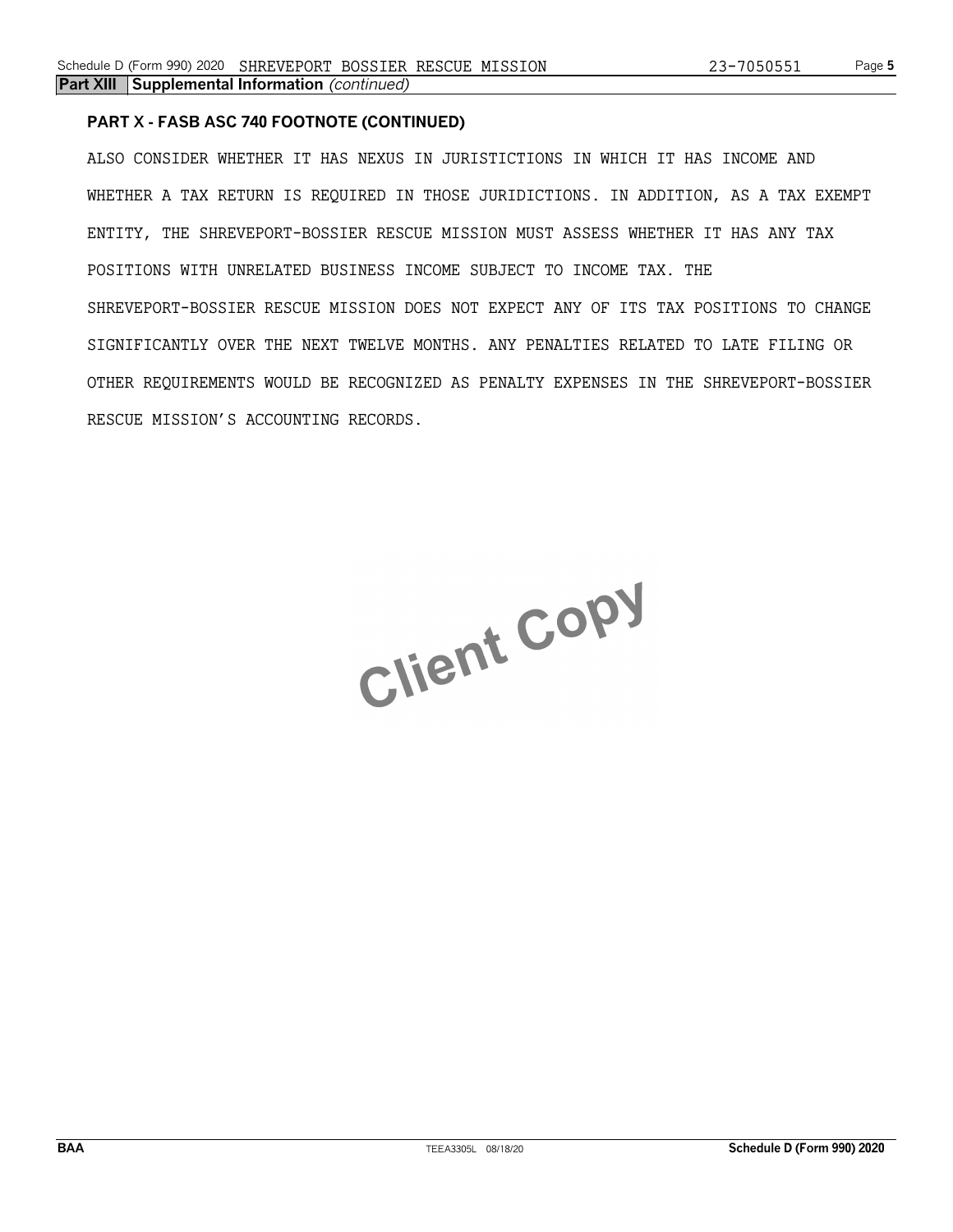# **PART X - FASB ASC 740 FOOTNOTE (CONTINUED)**

ALSO CONSIDER WHETHER IT HAS NEXUS IN JURISTICTIONS IN WHICH IT HAS INCOME AND WHETHER A TAX RETURN IS REQUIRED IN THOSE JURIDICTIONS. IN ADDITION, AS A TAX EXEMPT ENTITY, THE SHREVEPORT-BOSSIER RESCUE MISSION MUST ASSESS WHETHER IT HAS ANY TAX POSITIONS WITH UNRELATED BUSINESS INCOME SUBJECT TO INCOME TAX. THE SHREVEPORT-BOSSIER RESCUE MISSION DOES NOT EXPECT ANY OF ITS TAX POSITIONS TO CHANGE SIGNIFICANTLY OVER THE NEXT TWELVE MONTHS. ANY PENALTIES RELATED TO LATE FILING OR OTHER REQUIREMENTS WOULD BE RECOGNIZED AS PENALTY EXPENSES IN THE SHREVEPORT-BOSSIER RESCUE MISSION'S ACCOUNTING RECORDS.

Client Copy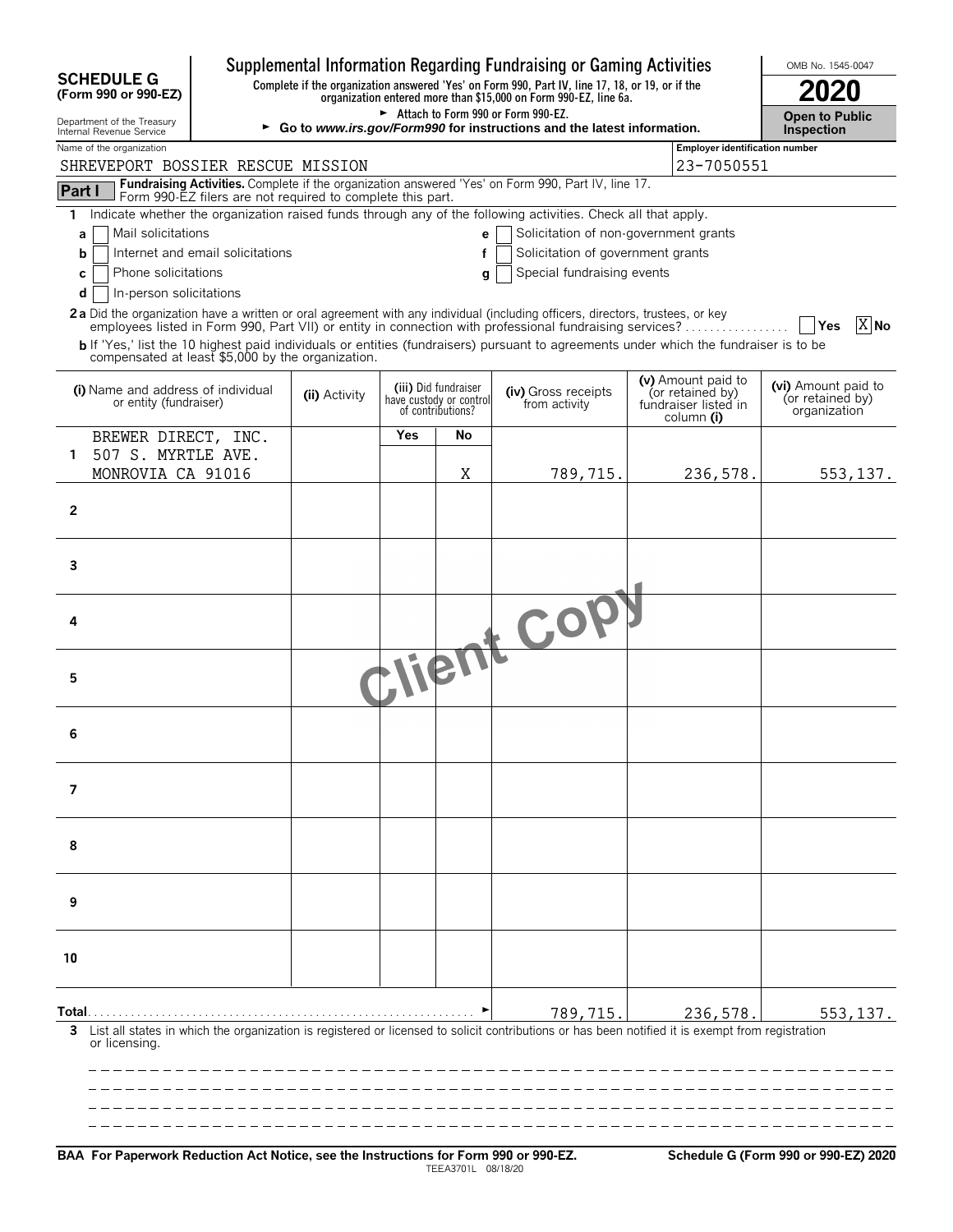|                                                              |                                                            |                                                                                                                |     |                                                                      | Supplemental Information Regarding Fundraising or Gaming Activities                                                                                                 |                                                                              | OMB No. 1545-0047                                       |
|--------------------------------------------------------------|------------------------------------------------------------|----------------------------------------------------------------------------------------------------------------|-----|----------------------------------------------------------------------|---------------------------------------------------------------------------------------------------------------------------------------------------------------------|------------------------------------------------------------------------------|---------------------------------------------------------|
| <b>SCHEDULE G</b><br>(Form 990 or 990-EZ)                    |                                                            |                                                                                                                |     |                                                                      | Complete if the organization answered 'Yes' on Form 990, Part IV, line 17, 18, or 19, or if the<br>organization entered more than \$15,000 on Form 990-EZ, line 6a. |                                                                              |                                                         |
| Department of the Treasury                                   |                                                            | Attach to Form 990 or Form 990-EZ.<br>► Go to www.irs.gov/Form990 for instructions and the latest information. |     |                                                                      |                                                                                                                                                                     |                                                                              | <b>Open to Public</b><br><b>Inspection</b>              |
| Internal Revenue Service<br>Name of the organization         |                                                            |                                                                                                                |     |                                                                      |                                                                                                                                                                     | Employer identification number                                               |                                                         |
| SHREVEPORT BOSSIER RESCUE MISSION                            |                                                            |                                                                                                                |     |                                                                      |                                                                                                                                                                     | 23-7050551                                                                   |                                                         |
| <b>Part I</b>                                                | Form 990-EZ filers are not required to complete this part. |                                                                                                                |     |                                                                      | Fundraising Activities. Complete if the organization answered 'Yes' on Form 990, Part IV, line 17.                                                                  |                                                                              |                                                         |
| $\mathbf{1}$                                                 |                                                            |                                                                                                                |     |                                                                      | Indicate whether the organization raised funds through any of the following activities. Check all that apply.                                                       |                                                                              |                                                         |
| Mail solicitations<br>a                                      |                                                            |                                                                                                                |     | e                                                                    | Solicitation of non-government grants                                                                                                                               |                                                                              |                                                         |
| b                                                            | Internet and email solicitations                           |                                                                                                                |     | f                                                                    | Solicitation of government grants                                                                                                                                   |                                                                              |                                                         |
| Phone solicitations<br>C                                     |                                                            |                                                                                                                |     | g                                                                    | Special fundraising events                                                                                                                                          |                                                                              |                                                         |
| In-person solicitations<br>d                                 |                                                            |                                                                                                                |     |                                                                      | 2a Did the organization have a written or oral agreement with any individual (including officers, directors, trustees, or key                                       |                                                                              |                                                         |
|                                                              |                                                            |                                                                                                                |     |                                                                      | employees listed in Form 990, Part VII) or entity in connection with professional fundraising services?                                                             |                                                                              | X No<br><b>Yes</b>                                      |
| compensated at least \$5,000 by the organization.            |                                                            |                                                                                                                |     |                                                                      | b If 'Yes,' list the 10 highest paid individuals or entities (fundraisers) pursuant to agreements under which the fundraiser is to be                               |                                                                              |                                                         |
| (i) Name and address of individual<br>or entity (fundraiser) |                                                            | (ii) Activity                                                                                                  |     | (iii) Did fundraiser<br>have custody or control<br>of contributions? | (iv) Gross receipts<br>from activity                                                                                                                                | (v) Amount paid to<br>(or retained by)<br>fundraiser listed in<br>column (i) | (vi) Amount paid to<br>(or retained by)<br>organization |
| BREWER DIRECT, INC.                                          |                                                            |                                                                                                                | Yes | Νo                                                                   |                                                                                                                                                                     |                                                                              |                                                         |
| 507 S. MYRTLE AVE.<br>1.                                     |                                                            |                                                                                                                |     | Χ                                                                    |                                                                                                                                                                     |                                                                              |                                                         |
| MONROVIA CA 91016                                            |                                                            |                                                                                                                |     |                                                                      | 789,715.                                                                                                                                                            | 236,578.                                                                     | 553,137.                                                |
| $\mathbf{2}$                                                 |                                                            |                                                                                                                |     |                                                                      |                                                                                                                                                                     |                                                                              |                                                         |
| 3                                                            |                                                            |                                                                                                                |     |                                                                      |                                                                                                                                                                     |                                                                              |                                                         |
|                                                              |                                                            |                                                                                                                |     |                                                                      |                                                                                                                                                                     |                                                                              |                                                         |
| 4                                                            |                                                            |                                                                                                                |     |                                                                      | Client Cop                                                                                                                                                          |                                                                              |                                                         |
|                                                              |                                                            |                                                                                                                |     |                                                                      |                                                                                                                                                                     |                                                                              |                                                         |
| 5                                                            |                                                            |                                                                                                                |     |                                                                      |                                                                                                                                                                     |                                                                              |                                                         |
| 6                                                            |                                                            |                                                                                                                |     |                                                                      |                                                                                                                                                                     |                                                                              |                                                         |
| 7                                                            |                                                            |                                                                                                                |     |                                                                      |                                                                                                                                                                     |                                                                              |                                                         |
| 8                                                            |                                                            |                                                                                                                |     |                                                                      |                                                                                                                                                                     |                                                                              |                                                         |
| 9                                                            |                                                            |                                                                                                                |     |                                                                      |                                                                                                                                                                     |                                                                              |                                                         |
| 10                                                           |                                                            |                                                                                                                |     |                                                                      |                                                                                                                                                                     |                                                                              |                                                         |
|                                                              |                                                            |                                                                                                                |     |                                                                      | 789,715.                                                                                                                                                            | 236,578.                                                                     | 553,137.                                                |
| 3<br>or licensing.                                           |                                                            |                                                                                                                |     |                                                                      | List all states in which the organization is registered or licensed to solicit contributions or has been notified it is exempt from registration                    |                                                                              |                                                         |
|                                                              |                                                            |                                                                                                                |     |                                                                      |                                                                                                                                                                     |                                                                              |                                                         |
|                                                              |                                                            |                                                                                                                |     |                                                                      |                                                                                                                                                                     |                                                                              |                                                         |
|                                                              |                                                            |                                                                                                                |     |                                                                      |                                                                                                                                                                     |                                                                              |                                                         |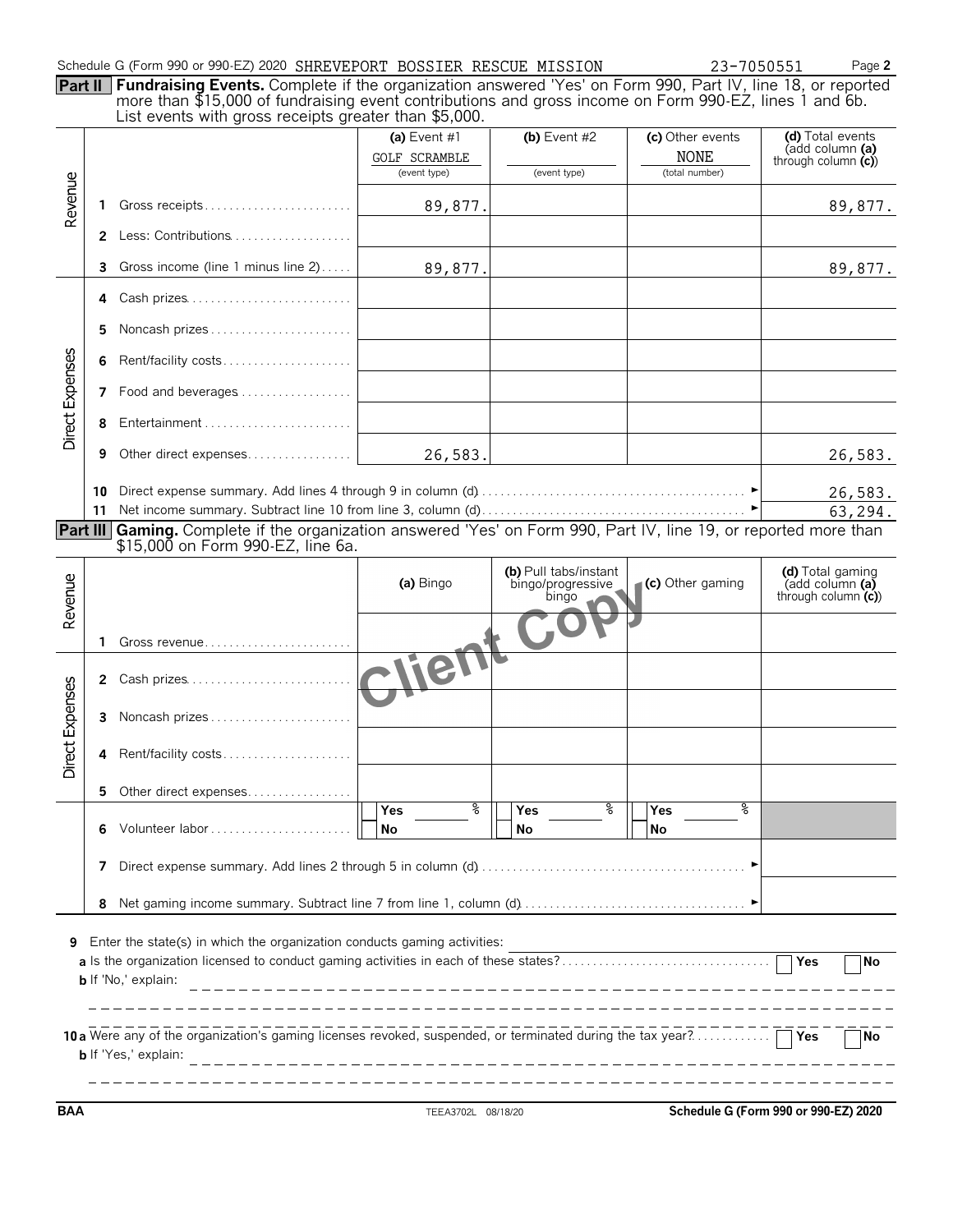|                 |          | Schedule G (Form 990 or 990-EZ) 2020 SHREVEPORT BOSSIER RESCUE MISSION                                                                                                                                                                                                        |                                                      |                                                     | 23-7050551                                        | Page 2                                                      |
|-----------------|----------|-------------------------------------------------------------------------------------------------------------------------------------------------------------------------------------------------------------------------------------------------------------------------------|------------------------------------------------------|-----------------------------------------------------|---------------------------------------------------|-------------------------------------------------------------|
| Part II         |          | Fundraising Events. Complete if the organization answered 'Yes' on Form 990, Part IV, line 18, or reported<br>more than \$15,000 of fundraising event contributions and gross income on Form 990-EZ, lines 1 and 6b.<br>List events with gross receipts greater than \$5,000. |                                                      |                                                     |                                                   |                                                             |
| Revenue         |          |                                                                                                                                                                                                                                                                               | (a) Event #1<br><b>GOLF SCRAMBLE</b><br>(event type) | (b) Event $#2$<br>(event type)                      | (c) Other events<br><b>NONE</b><br>(total number) | (d) Total events<br>(add column (a)<br>through column $(c)$ |
|                 | 1.       |                                                                                                                                                                                                                                                                               | 89,877.                                              |                                                     |                                                   | 89,877.                                                     |
|                 | 2.       | Less: Contributions                                                                                                                                                                                                                                                           |                                                      |                                                     |                                                   |                                                             |
|                 | 3        | Gross income (line 1 minus line 2)                                                                                                                                                                                                                                            | 89,877.                                              |                                                     |                                                   | 89,877.                                                     |
|                 | 4        | Cash prizes                                                                                                                                                                                                                                                                   |                                                      |                                                     |                                                   |                                                             |
|                 | 5        | Noncash prizes                                                                                                                                                                                                                                                                |                                                      |                                                     |                                                   |                                                             |
|                 | 6        | Rent/facility costs                                                                                                                                                                                                                                                           |                                                      |                                                     |                                                   |                                                             |
| Direct Expenses |          | 7 Food and beverages                                                                                                                                                                                                                                                          |                                                      |                                                     |                                                   |                                                             |
|                 | 8        |                                                                                                                                                                                                                                                                               |                                                      |                                                     |                                                   |                                                             |
|                 | 9        | Other direct expenses                                                                                                                                                                                                                                                         | 26,583.                                              |                                                     |                                                   | 26,583.                                                     |
|                 | 10<br>11 |                                                                                                                                                                                                                                                                               |                                                      |                                                     |                                                   | 26,583.<br>63,294.                                          |
|                 |          | <b>Part III</b> Gaming. Complete if the organization answered 'Yes' on Form 990, Part IV, line 19, or reported more than<br>\$15,000 on Form 990-EZ, line 6a.                                                                                                                 |                                                      |                                                     |                                                   |                                                             |
| venue           |          |                                                                                                                                                                                                                                                                               | (a) Bingo                                            | (b) Pull tabs/instant<br>bingo/progressive<br>bingo | (c) Other gaming                                  | (d) Total gaming<br>(add column (a)<br>through column $(c)$ |
| ବୁ              | 1        |                                                                                                                                                                                                                                                                               |                                                      |                                                     |                                                   |                                                             |
|                 |          |                                                                                                                                                                                                                                                                               | Hientc                                               |                                                     |                                                   |                                                             |
|                 | 3        | Noncash prizes                                                                                                                                                                                                                                                                |                                                      |                                                     |                                                   |                                                             |
| Direct Expenses | 4        | Rent/facility costs                                                                                                                                                                                                                                                           |                                                      |                                                     |                                                   |                                                             |
|                 | 5        | Other direct expenses                                                                                                                                                                                                                                                         |                                                      |                                                     |                                                   |                                                             |
|                 | 6        | Volunteer labor                                                                                                                                                                                                                                                               | ႜ<br>Yes<br>No                                       | နွ<br>Yes<br>No                                     | °<br>Yes<br>No                                    |                                                             |
|                 | 7        |                                                                                                                                                                                                                                                                               |                                                      |                                                     |                                                   |                                                             |
|                 |          |                                                                                                                                                                                                                                                                               |                                                      |                                                     |                                                   |                                                             |

| <b>9</b> Enter the state(s) in which the organization conducts gaming activities:<br><b>b</b> If 'No,' explain:                                | <b>No</b> |
|------------------------------------------------------------------------------------------------------------------------------------------------|-----------|
| 10 a Were any of the organization's gaming licenses revoked, suspended, or terminated during the tax year? TYes<br><b>b</b> If 'Yes,' explain: | <b>No</b> |

**BAA** TEEA3702L 08/18/20 **Schedule G (Form 990 or 990-EZ) 2020**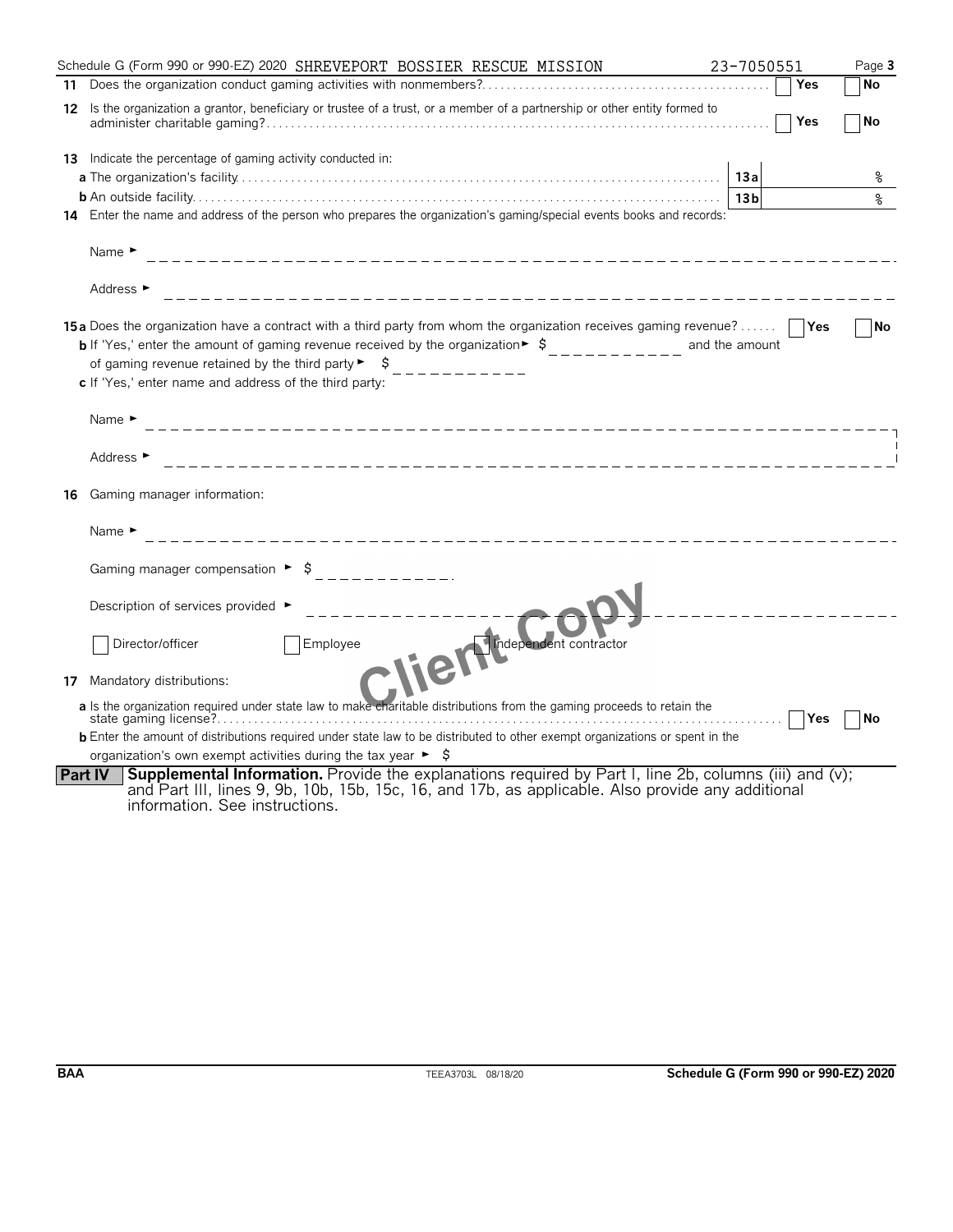|    | Schedule G (Form 990 or 990-EZ) 2020 SHREVEPORT BOSSIER RESCUE MISSION                                                                                                                                                                                                                   | 23-7050551      |        |    |  |
|----|------------------------------------------------------------------------------------------------------------------------------------------------------------------------------------------------------------------------------------------------------------------------------------------|-----------------|--------|----|--|
| 11 |                                                                                                                                                                                                                                                                                          |                 | Yes    | No |  |
|    | 12 Is the organization a grantor, beneficiary or trustee of a trust, or a member of a partnership or other entity formed to                                                                                                                                                              |                 | Yes    | No |  |
|    | <b>13</b> Indicate the percentage of gaming activity conducted in:                                                                                                                                                                                                                       |                 |        |    |  |
|    |                                                                                                                                                                                                                                                                                          | 13a             |        | န့ |  |
|    |                                                                                                                                                                                                                                                                                          | 13 <sub>b</sub> |        | ጱ  |  |
|    | 14 Enter the name and address of the person who prepares the organization's gaming/special events books and records:                                                                                                                                                                     |                 |        |    |  |
|    | Name $\blacktriangleright$                                                                                                                                                                                                                                                               |                 |        |    |  |
|    | Address ►                                                                                                                                                                                                                                                                                |                 |        |    |  |
|    | 15a Does the organization have a contract with a third party from whom the organization receives gaming revenue?     Yes<br>of gaming revenue retained by the third party $\triangleright$ $\uparrow$ $\downarrow$ ___________<br>c If 'Yes,' enter name and address of the third party: | and the amount  |        | No |  |
|    | Name $\blacktriangleright$                                                                                                                                                                                                                                                               |                 |        |    |  |
|    | Address ►                                                                                                                                                                                                                                                                                |                 |        |    |  |
| 16 | Gaming manager information:                                                                                                                                                                                                                                                              |                 |        |    |  |
|    | Name $\blacktriangleright$<br>_________________                                                                                                                                                                                                                                          |                 |        |    |  |
|    | Gaming manager compensation $\rightarrow$ \$ _____________                                                                                                                                                                                                                               |                 |        |    |  |
|    | Description of services provided ►                                                                                                                                                                                                                                                       |                 |        |    |  |
|    | CIP The Present contractor<br>Employee<br>Director/officer                                                                                                                                                                                                                               |                 |        |    |  |
|    | 17 Mandatory distributions:                                                                                                                                                                                                                                                              |                 |        |    |  |
|    | a Is the organization required under state law to make charitable distributions from the gaming proceeds to retain the                                                                                                                                                                   |                 | l lYes | No |  |
|    | <b>b</b> Enter the amount of distributions required under state law to be distributed to other exempt organizations or spent in the                                                                                                                                                      |                 |        |    |  |
|    | organization's own exempt activities during the tax year $\blacktriangleright$ $\blacktriangleright$                                                                                                                                                                                     |                 |        |    |  |
|    | <b>Supplemental Information.</b> Provide the explanations required by Part I, line 2b, columns (iii) and (v);<br><b>Part IV</b><br>and Part III, lines 9, 9b, 10b, 15b, 15c, 16, and 17b, as applicable. Also provide any additional<br>information. See instructions.                   |                 |        |    |  |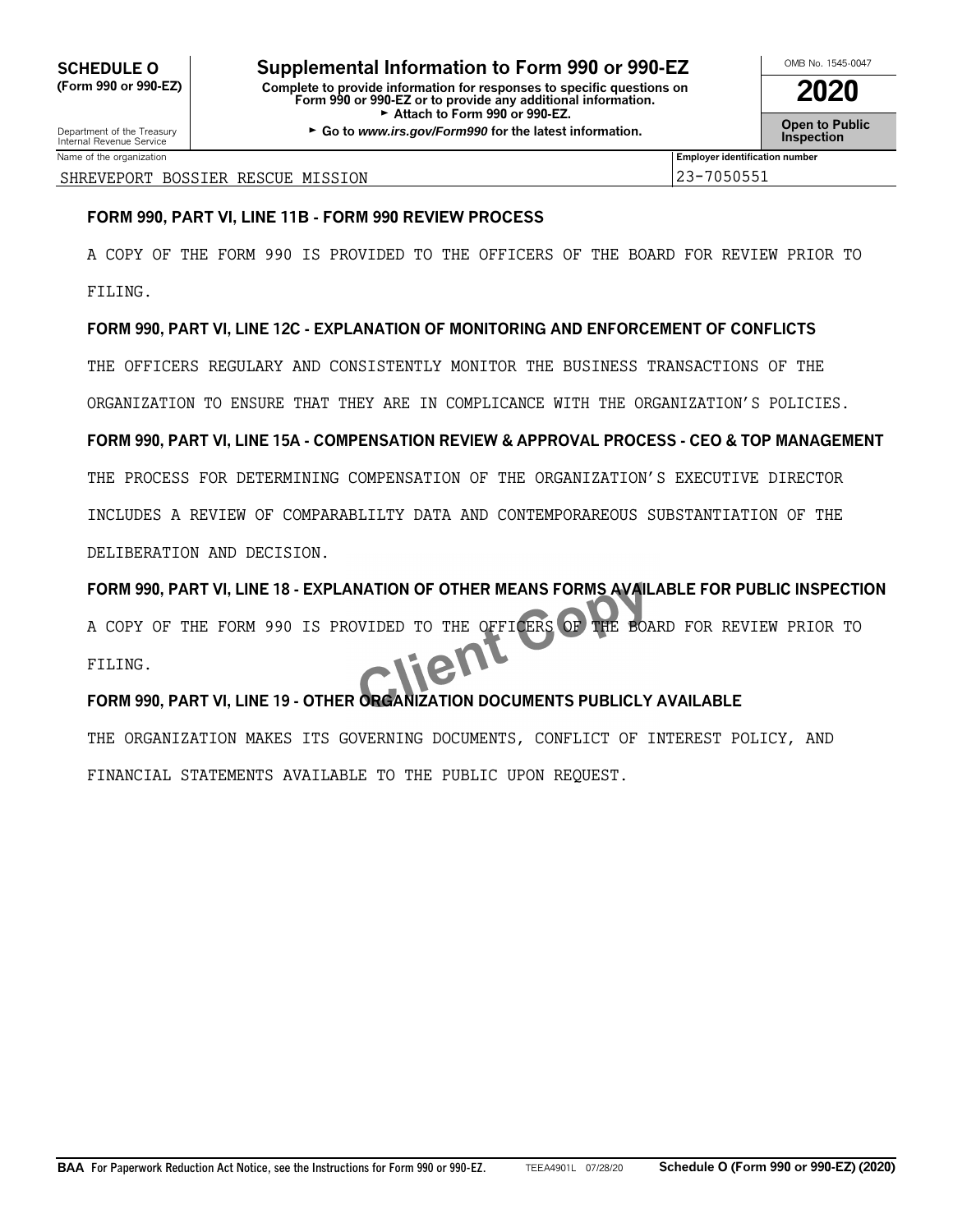Department of the Treasury **Constant Comment of the Collam Constant Constant Constant Comment Constant Constant<br>Internal Revenue Service <b>Inspection** 

| OMB No. 1545-0047 |  |  |  |
|-------------------|--|--|--|
| 2020              |  |  |  |
|                   |  |  |  |

Name of the organization **Employer identification number Employer identification number** 

#### SHREVEPORT BOSSIER RESCUE MISSION 23-7050551

#### **FORM 990, PART VI, LINE 11B - FORM 990 REVIEW PROCESS**

A COPY OF THE FORM 990 IS PROVIDED TO THE OFFICERS OF THE BOARD FOR REVIEW PRIOR TO

FILING.

# **FORM 990, PART VI, LINE 12C - EXPLANATION OF MONITORING AND ENFORCEMENT OF CONFLICTS**

THE OFFICERS REGULARY AND CONSISTENTLY MONITOR THE BUSINESS TRANSACTIONS OF THE

ORGANIZATION TO ENSURE THAT THEY ARE IN COMPLICANCE WITH THE ORGANIZATION'S POLICIES.

**FORM 990, PART VI, LINE 15A - COMPENSATION REVIEW & APPROVAL PROCESS - CEO & TOP MANAGEMENT**

THE PROCESS FOR DETERMINING COMPENSATION OF THE ORGANIZATION'S EXECUTIVE DIRECTOR

INCLUDES A REVIEW OF COMPARABLILTY DATA AND CONTEMPORAREOUS SUBSTANTIATION OF THE

DELIBERATION AND DECISION.

**FORM 990, PART VI, LINE 18 - EXPLANATION OF OTHER MEANS FORMS AVAILABLE FOR PUBLIC INSPECTION**

A COPY OF THE FORM 990 IS PROVIDED TO THE OFFICERS OF THE BOARD FOR REVIEW PRIOR TO ier FILING.

# **FORM 990, PART VI, LINE 19 - OTHER ORGANIZATION DOCUMENTS PUBLICLY AVAILABLE**

THE ORGANIZATION MAKES ITS GOVERNING DOCUMENTS, CONFLICT OF INTEREST POLICY, AND FINANCIAL STATEMENTS AVAILABLE TO THE PUBLIC UPON REQUEST.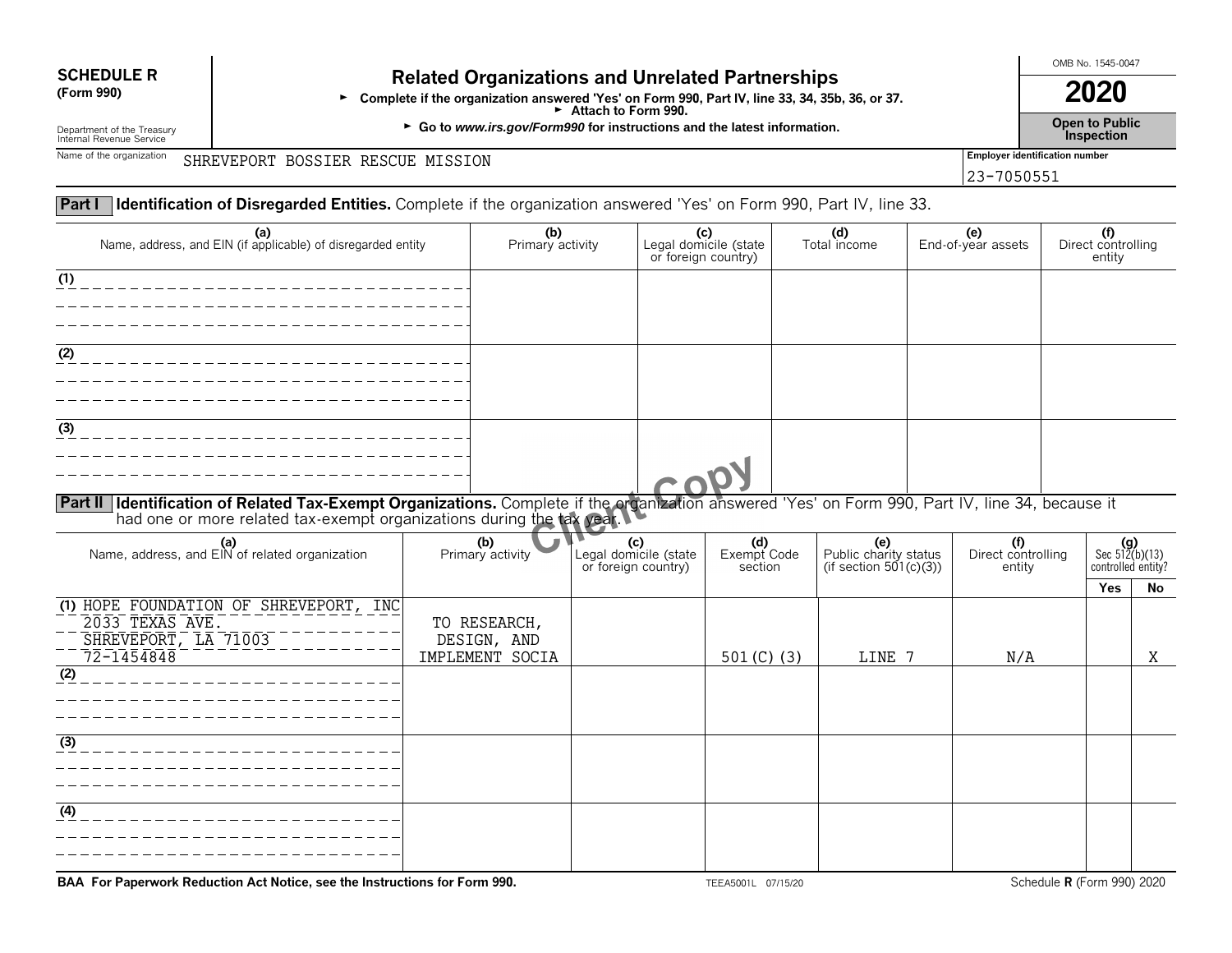# **SCHEDULE R Related Organizations and Unrelated Partnerships**<br>(Form 990) **Related Organization answered 'Yes' on Form 990, Part IV, line 33, 34, 35h**

Form 990)<br>Form 990, Part IV, line 33, 34, 35b, 36, or 37.<br>Attach to Form 990.

► Go to *www.irs.gov/Form990* for instructions and the latest information. <br>Inspection

OMB No. 1545-0047

Department of the Treasury<br>Internal Revenue Service

Name of the organization **SHREVEPORT BOSSIER RESCUE MISSION** 

23-7050551

# **Part I Identification of Disregarded Entities.** Complete if the organization answered 'Yes' on Form 990, Part IV, line 33.

| (a)<br>Name, address, and EIN (if applicable) of disregarded entity                                                                                                                                                       | (b)<br>Primary activity                        |  |                     | (c)<br>Legal domicile (state<br>or foreign country) |                               | (d)<br>Total income |                                                           | (e)<br>End-of-year assets |                                     | (f)<br>Direct controlling<br>entity |                                               |         |
|---------------------------------------------------------------------------------------------------------------------------------------------------------------------------------------------------------------------------|------------------------------------------------|--|---------------------|-----------------------------------------------------|-------------------------------|---------------------|-----------------------------------------------------------|---------------------------|-------------------------------------|-------------------------------------|-----------------------------------------------|---------|
| (1)                                                                                                                                                                                                                       |                                                |  |                     |                                                     |                               |                     |                                                           |                           |                                     |                                     |                                               |         |
| (2)<br>__________________________________                                                                                                                                                                                 |                                                |  |                     |                                                     |                               |                     |                                                           |                           |                                     |                                     |                                               |         |
| $\frac{(3)}{2}$<br>__________________________________                                                                                                                                                                     |                                                |  |                     |                                                     |                               |                     |                                                           |                           |                                     |                                     |                                               |         |
| Part II   Identification of Related Tax-Exempt Organizations. Complete if the organization answered 'Yes' on Form 990, Part IV, line 34, because it had one or more related tax-exempt organizations during the tax year. |                                                |  |                     |                                                     |                               |                     |                                                           |                           |                                     |                                     |                                               |         |
| (a)<br>Name, address, and EIN of related organization                                                                                                                                                                     | (b)<br>Primary activity                        |  | or foreign country) | (c)<br>Legal domicile (state                        | (d)<br>Exempt Code<br>section |                     | (e)<br>Public charity status<br>(if section $501(c)(3)$ ) |                           | (f)<br>Direct controlling<br>entity |                                     | $(g)$<br>Sec 512(b)(13)<br>controlled entity? |         |
| (1) HOPE FOUNDATION OF SHREVEPORT, INC<br>2033 TEXAS AVE.<br>SHREVEPORT, LA 71003<br>72-1454848                                                                                                                           | TO RESEARCH,<br>DESIGN, AND<br>IMPLEMENT SOCIA |  |                     | 501 $(C)$ $(3)$                                     |                               | LINE 7              |                                                           |                           | N/A                                 |                                     | Yes                                           | No<br>X |
| $\overline{(2)}$<br>______________________                                                                                                                                                                                |                                                |  |                     |                                                     |                               |                     |                                                           |                           |                                     |                                     |                                               |         |
| <u>(3) _____________________________</u><br>______________________________                                                                                                                                                |                                                |  |                     |                                                     |                               |                     |                                                           |                           |                                     |                                     |                                               |         |
| (4)<br>___________________________                                                                                                                                                                                        |                                                |  |                     |                                                     |                               |                     |                                                           |                           |                                     |                                     |                                               |         |
| <b>PAAF PLANE AREA AND AREA AND AREA AREA</b>                                                                                                                                                                             |                                                |  |                     |                                                     |                               |                     |                                                           |                           |                                     |                                     |                                               |         |

**BAA For Paperwork Reduction Act Notice, see the Instructions for Form 990.** TEEA5001L O7/15/20 TEEA5001L O7/15/20 Schedule **R** (Form 990) 2020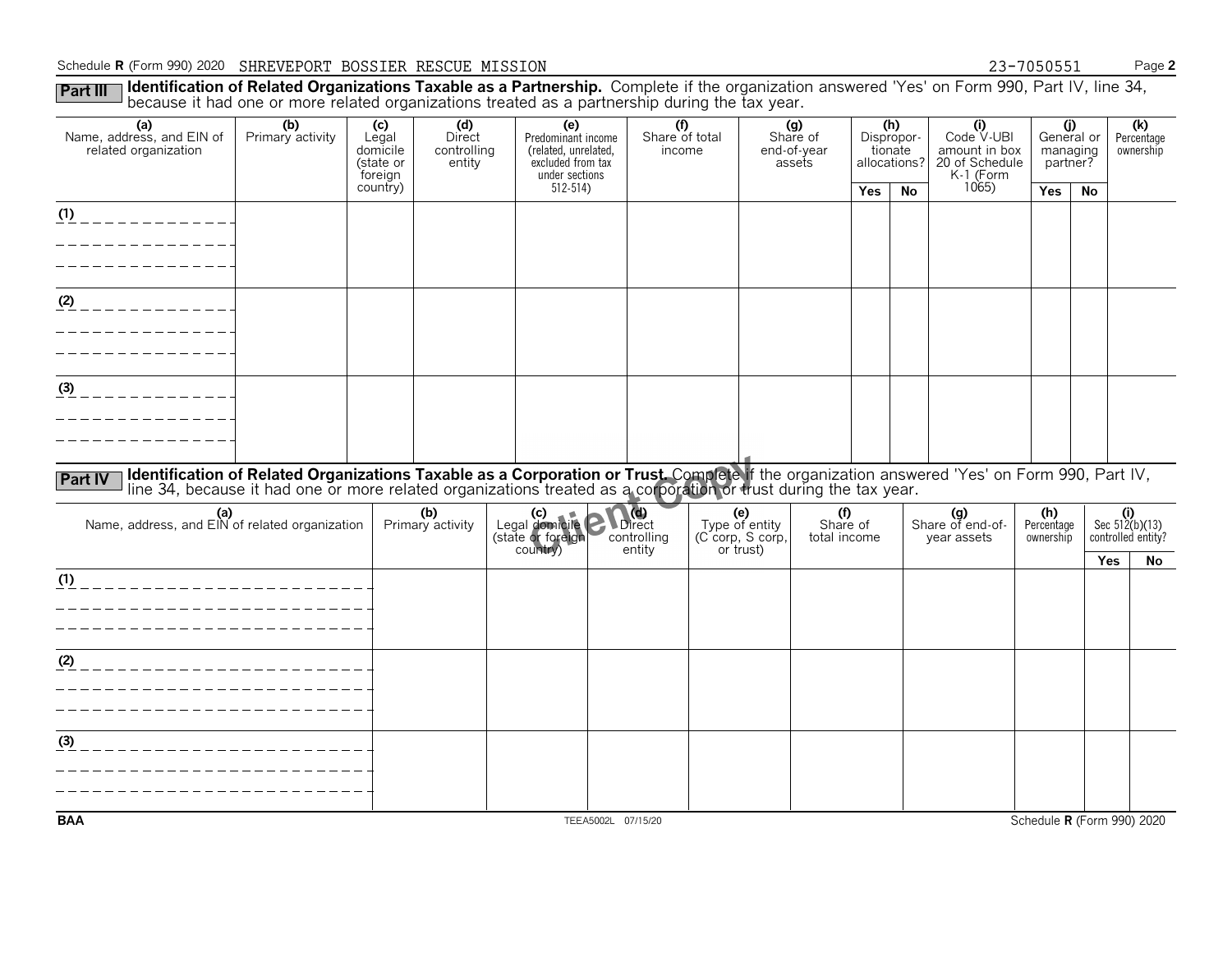#### Schedule **R** (Form 990) 2020 SHREVEPORT BOSSIER RESCUE MISSION 23-7050551 Page **2**

Part III I **Identification of Related Organizations Taxable as a Partnership.** Complete if the organization answered 'Yes' on Form 990, Part IV, line 34,<br>because it had one or more related organizations treated as a partne

| $\overline{a}$<br>Name, address, and EIN of<br>related organization | (b)<br>(d)<br>Direct<br>(c)<br>Primary activity<br>Legal<br>controlling<br>domicile<br>(state or<br>entity                                                                                                                     |                     | (e)<br>Predominant income<br>(related, unrelated,<br>excluded from tax<br>under sections |  |                                                        | $\overline{(\text{f})}$<br>Share of total<br>income |                                | (g)<br>Share of<br>end-of-year<br>assets |                                                        | (h)<br>Dispropor-<br>tionate<br>allocations? |     | (i)<br>Code V-UBI<br>amount in box<br>20 of Schedule |                                        | (j)<br>General or<br>managing<br>partner? | $\overline{\textbf{(k)}}$<br>Percentage<br>ownership |                                               |
|---------------------------------------------------------------------|--------------------------------------------------------------------------------------------------------------------------------------------------------------------------------------------------------------------------------|---------------------|------------------------------------------------------------------------------------------|--|--------------------------------------------------------|-----------------------------------------------------|--------------------------------|------------------------------------------|--------------------------------------------------------|----------------------------------------------|-----|------------------------------------------------------|----------------------------------------|-------------------------------------------|------------------------------------------------------|-----------------------------------------------|
|                                                                     |                                                                                                                                                                                                                                | foreign<br>country) |                                                                                          |  | $512 - 514$                                            |                                                     |                                |                                          |                                                        |                                              | Yes | No                                                   | K-1 (Form<br>1065                      | Yes                                       | No                                                   |                                               |
| (1)<br>___________<br>_ _ _ _ _ _ _ _ _ _<br>_ _ _ _ _ _ _ _ _      |                                                                                                                                                                                                                                |                     |                                                                                          |  |                                                        |                                                     |                                |                                          |                                                        |                                              |     |                                                      |                                        |                                           |                                                      |                                               |
| $(2)$ _ _ _ _ _ _ _ _ _ _ _ _                                       |                                                                                                                                                                                                                                |                     |                                                                                          |  |                                                        |                                                     |                                |                                          |                                                        |                                              |     |                                                      |                                        |                                           |                                                      |                                               |
| (3)                                                                 |                                                                                                                                                                                                                                |                     |                                                                                          |  |                                                        |                                                     |                                |                                          |                                                        |                                              |     |                                                      |                                        |                                           |                                                      |                                               |
|                                                                     |                                                                                                                                                                                                                                |                     |                                                                                          |  |                                                        |                                                     |                                |                                          |                                                        |                                              |     |                                                      |                                        |                                           |                                                      |                                               |
| <b>Part IV</b>                                                      | Identification of Related Organizations Taxable as a Corporation or Trust. Complete if the organization answered 'Yes' on Form 990, Part IV, line 34, because it had one or more related organizations treated as a corporatio |                     |                                                                                          |  |                                                        |                                                     |                                |                                          |                                                        |                                              |     |                                                      |                                        |                                           |                                                      |                                               |
| (a)<br>Name, address, and EIN of related organization               |                                                                                                                                                                                                                                |                     | (b)<br>Primary activity                                                                  |  | (c)<br>Legal domicile<br>(state or foreign<br>country) |                                                     | Drect<br>controlling<br>entity |                                          | (e)<br>Type of entity<br>(C corp, S corp,<br>or trust) | (f)<br>Share of<br>total income              |     |                                                      | (g)<br>Share of end-of-<br>year assets | (h)<br>Percentage<br>ownership            |                                                      | (i)<br>Sec $512(b)(13)$<br>controlled entity? |
|                                                                     |                                                                                                                                                                                                                                |                     |                                                                                          |  |                                                        |                                                     |                                |                                          |                                                        |                                              |     |                                                      |                                        |                                           |                                                      | Yes<br>No                                     |
| <u>(1) ________________________</u><br>______________               |                                                                                                                                                                                                                                |                     |                                                                                          |  |                                                        |                                                     |                                |                                          |                                                        |                                              |     |                                                      |                                        |                                           |                                                      |                                               |
| (2)<br>_______________________                                      |                                                                                                                                                                                                                                |                     |                                                                                          |  |                                                        |                                                     |                                |                                          |                                                        |                                              |     |                                                      |                                        |                                           |                                                      |                                               |
|                                                                     |                                                                                                                                                                                                                                |                     |                                                                                          |  |                                                        |                                                     |                                |                                          |                                                        |                                              |     |                                                      |                                        |                                           |                                                      |                                               |
| (3)                                                                 |                                                                                                                                                                                                                                |                     |                                                                                          |  |                                                        |                                                     |                                |                                          |                                                        |                                              |     |                                                      |                                        |                                           |                                                      |                                               |
|                                                                     |                                                                                                                                                                                                                                |                     |                                                                                          |  |                                                        |                                                     |                                |                                          |                                                        |                                              |     |                                                      |                                        |                                           |                                                      |                                               |
| <b>BAA</b>                                                          |                                                                                                                                                                                                                                |                     |                                                                                          |  |                                                        |                                                     | TEEA5002L 07/15/20             |                                          |                                                        |                                              |     |                                                      |                                        |                                           |                                                      | Schedule R (Form 990) 2020                    |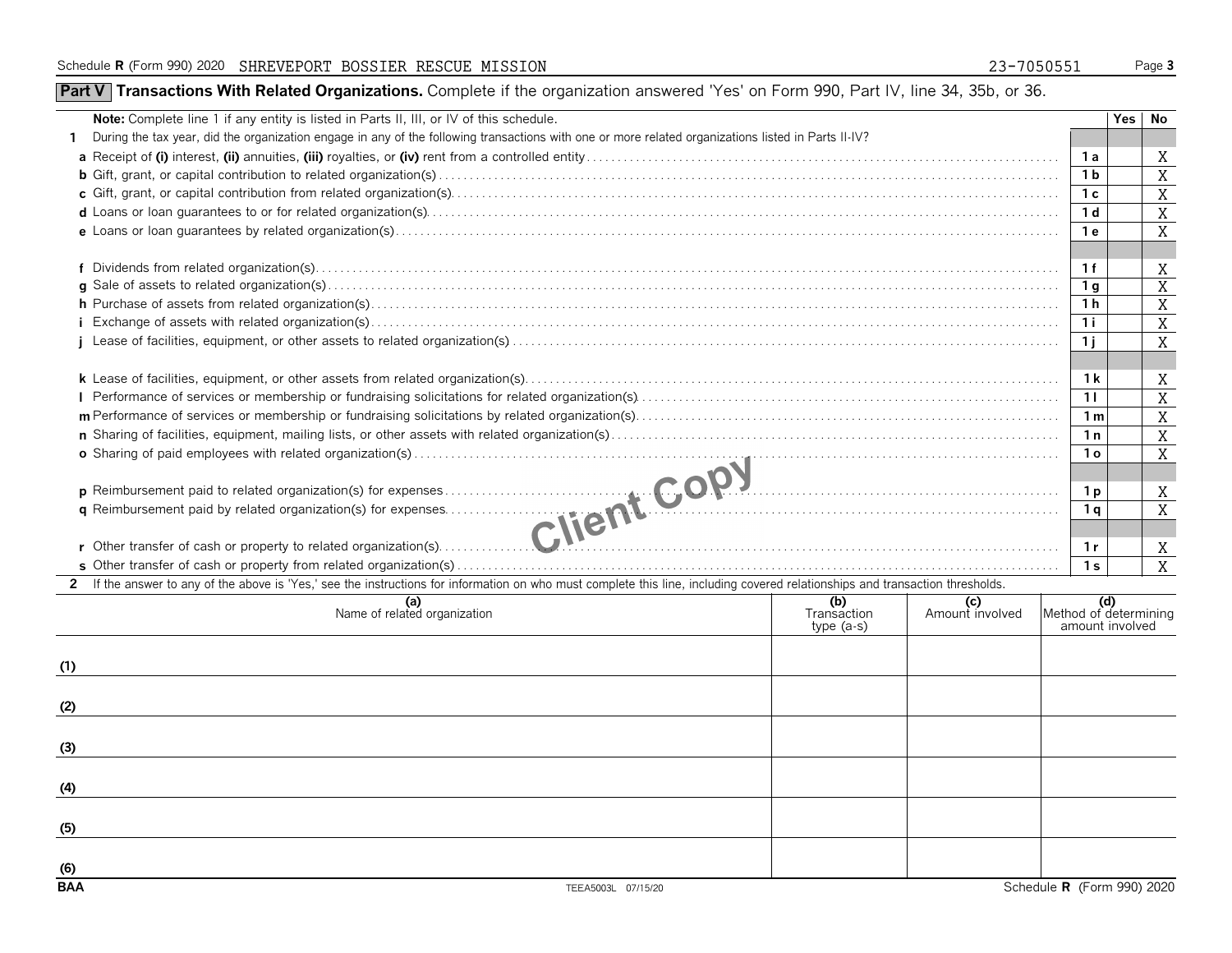**(4)**

**(5)**

**(6)**

| Part V Transactions With Related Organizations. Complete if the organization answered 'Yes' on Form 990, Part IV, line 34, 35b, or 36. |  |  |  |  |
|----------------------------------------------------------------------------------------------------------------------------------------|--|--|--|--|
|----------------------------------------------------------------------------------------------------------------------------------------|--|--|--|--|

| Note: Complete line 1 if any entity is listed in Parts II, III, or IV of this schedule.                                                                                                            |                            |                        |                               | <b>Yes</b> | No             |  |  |  |  |
|----------------------------------------------------------------------------------------------------------------------------------------------------------------------------------------------------|----------------------------|------------------------|-------------------------------|------------|----------------|--|--|--|--|
| During the tax year, did the organization engage in any of the following transactions with one or more related organizations listed in Parts II-IV?<br>1.                                          |                            |                        |                               |            |                |  |  |  |  |
|                                                                                                                                                                                                    |                            |                        | - 1 a                         |            | X              |  |  |  |  |
|                                                                                                                                                                                                    |                            |                        | 1 b                           |            | $\,$ X         |  |  |  |  |
|                                                                                                                                                                                                    |                            |                        | 1c                            |            | $\overline{X}$ |  |  |  |  |
|                                                                                                                                                                                                    |                            |                        |                               |            |                |  |  |  |  |
|                                                                                                                                                                                                    |                            |                        |                               |            |                |  |  |  |  |
|                                                                                                                                                                                                    |                            |                        |                               |            |                |  |  |  |  |
|                                                                                                                                                                                                    |                            |                        | 1f                            |            | X              |  |  |  |  |
|                                                                                                                                                                                                    |                            |                        | 1 <sub>q</sub>                |            | $\overline{X}$ |  |  |  |  |
|                                                                                                                                                                                                    |                            |                        | 1 <sub>h</sub>                |            | $\overline{X}$ |  |  |  |  |
|                                                                                                                                                                                                    |                            |                        | 11                            |            | $\overline{X}$ |  |  |  |  |
|                                                                                                                                                                                                    |                            |                        |                               |            |                |  |  |  |  |
|                                                                                                                                                                                                    |                            |                        |                               |            |                |  |  |  |  |
|                                                                                                                                                                                                    |                            |                        | 1 k                           |            | X              |  |  |  |  |
|                                                                                                                                                                                                    |                            |                        |                               |            |                |  |  |  |  |
|                                                                                                                                                                                                    |                            |                        |                               |            |                |  |  |  |  |
|                                                                                                                                                                                                    |                            |                        |                               |            |                |  |  |  |  |
|                                                                                                                                                                                                    |                            |                        |                               |            |                |  |  |  |  |
|                                                                                                                                                                                                    |                            |                        |                               |            |                |  |  |  |  |
|                                                                                                                                                                                                    |                            |                        | 1p                            |            | X              |  |  |  |  |
| p Reimbursement paid to related organization(s) for expenses.<br>q Reimbursement paid by related organization(s) for expenses.<br>r Other transfer of cash or property to related organization(s). |                            |                        |                               |            |                |  |  |  |  |
|                                                                                                                                                                                                    |                            |                        |                               |            |                |  |  |  |  |
|                                                                                                                                                                                                    |                            |                        | 1r                            |            | X              |  |  |  |  |
|                                                                                                                                                                                                    |                            |                        | 1 <sub>s</sub>                |            | $\overline{X}$ |  |  |  |  |
| 2 If the answer to any of the above is 'Yes,' see the instructions for information on who must complete this line, including covered relationships and transaction thresholds.                     |                            |                        |                               |            |                |  |  |  |  |
| (a)<br>Name of related organization                                                                                                                                                                | (b)                        | (c)<br>Amount involved | $\vert$ Method of determining |            |                |  |  |  |  |
|                                                                                                                                                                                                    | Transaction<br>$type(a-s)$ |                        | amount involved               |            |                |  |  |  |  |
|                                                                                                                                                                                                    |                            |                        |                               |            |                |  |  |  |  |
|                                                                                                                                                                                                    |                            |                        |                               |            |                |  |  |  |  |
| (1)                                                                                                                                                                                                |                            |                        |                               |            |                |  |  |  |  |
|                                                                                                                                                                                                    |                            |                        |                               |            |                |  |  |  |  |
| (2)                                                                                                                                                                                                |                            |                        |                               |            |                |  |  |  |  |
|                                                                                                                                                                                                    |                            |                        |                               |            |                |  |  |  |  |
| (3)                                                                                                                                                                                                |                            |                        |                               |            |                |  |  |  |  |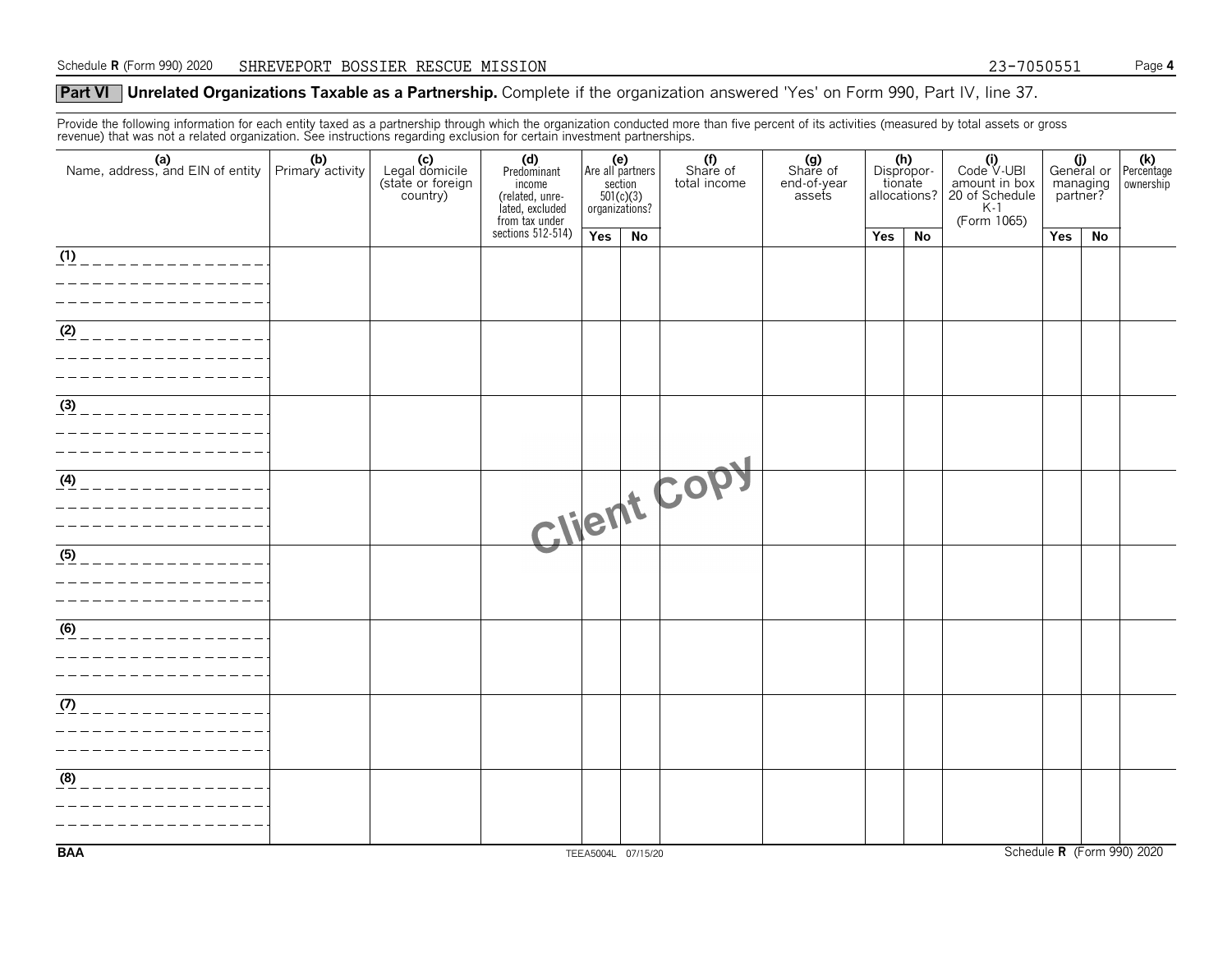### **Part VI** Unrelated Organizations Taxable as a Partnership. Complete if the organization answered 'Yes' on Form 990, Part IV, line 37.

Provide the following information for each entity taxed as a partnership through which the organization conducted more than five percent of its activities (measured by total assets or gross revenue) that was not a related organization. See instructions regarding exclusion for certain investment partnerships.

|                                                                                                                                                                                                                                                                                                                                                                                               | (c)<br>Legal domicile<br>(state or foreign<br>country) | (d)<br>Predominant<br>income<br>(related, unre-<br>lated, excluded | Are all partners   | (e)<br>$\frac{\text{section}}{501(c)(3)}$<br>organizations? | (f)<br>Share of<br>total income | (g)<br>Share of<br>end-of-year<br>assets | (h)<br>Dispropor-<br>tionate<br>allocations? |    | $(i)$<br>Code $\vee$ -UBI<br>amount in box<br>20 of Schedule<br>K-1<br>(Form 1065) | (i)<br>General or Percentage<br>managing<br>partner? |    | ownership                  |
|-----------------------------------------------------------------------------------------------------------------------------------------------------------------------------------------------------------------------------------------------------------------------------------------------------------------------------------------------------------------------------------------------|--------------------------------------------------------|--------------------------------------------------------------------|--------------------|-------------------------------------------------------------|---------------------------------|------------------------------------------|----------------------------------------------|----|------------------------------------------------------------------------------------|------------------------------------------------------|----|----------------------------|
|                                                                                                                                                                                                                                                                                                                                                                                               |                                                        | from tax under<br>sections 512-514)                                | Yes                | No                                                          |                                 |                                          | Yes                                          | No |                                                                                    | Yes                                                  | No |                            |
| $\boxed{ \frac{1}{12} \frac{1}{2} \frac{1}{2} \frac{1}{2} \frac{1}{2} \frac{1}{2} \frac{1}{2} \frac{1}{2} \frac{1}{2} \frac{1}{2} \frac{1}{2} \frac{1}{2} \frac{1}{2} \frac{1}{2} \frac{1}{2} \frac{1}{2} \frac{1}{2} \frac{1}{2} \frac{1}{2} \frac{1}{2} \frac{1}{2} \frac{1}{2} \frac{1}{2} \frac{1}{2} \frac{1}{2} \frac{1}{2} \frac{1}{2} \frac{1}{2} \frac{1}{2} \frac{1}{2} \frac{1}{2$ |                                                        |                                                                    |                    |                                                             |                                 |                                          |                                              |    |                                                                                    |                                                      |    |                            |
| $(2)$ _ _ _ _ _ _ _ _ _ _ _ _ _ _ _ _                                                                                                                                                                                                                                                                                                                                                         |                                                        |                                                                    |                    |                                                             |                                 |                                          |                                              |    |                                                                                    |                                                      |    |                            |
| $\frac{(3)}{2}$<br>______________                                                                                                                                                                                                                                                                                                                                                             |                                                        |                                                                    |                    |                                                             |                                 |                                          |                                              |    |                                                                                    |                                                      |    |                            |
| _________________<br>_____________                                                                                                                                                                                                                                                                                                                                                            |                                                        |                                                                    |                    |                                                             | Client Copy                     |                                          |                                              |    |                                                                                    |                                                      |    |                            |
| <u>(5)</u> _ _ _ _ _ _ _ _ _ _ _ _ _ _ _                                                                                                                                                                                                                                                                                                                                                      |                                                        |                                                                    |                    |                                                             |                                 |                                          |                                              |    |                                                                                    |                                                      |    |                            |
| (6)                                                                                                                                                                                                                                                                                                                                                                                           |                                                        |                                                                    |                    |                                                             |                                 |                                          |                                              |    |                                                                                    |                                                      |    |                            |
| $\frac{(\eta)}{\eta}$ _ _ _ _ _ _ _ _ _ _ _ _ _ _ _ _ _<br>_______________<br>-----------------                                                                                                                                                                                                                                                                                               |                                                        |                                                                    |                    |                                                             |                                 |                                          |                                              |    |                                                                                    |                                                      |    |                            |
| (8)<br>. _ _ _ _ _ _ _ _ _ _ _ _ _ _ _                                                                                                                                                                                                                                                                                                                                                        |                                                        |                                                                    |                    |                                                             |                                 |                                          |                                              |    |                                                                                    |                                                      |    |                            |
| <b>BAA</b>                                                                                                                                                                                                                                                                                                                                                                                    |                                                        |                                                                    | TEEA5004L 07/15/20 |                                                             |                                 |                                          |                                              |    |                                                                                    |                                                      |    | Schedule R (Form 990) 2020 |